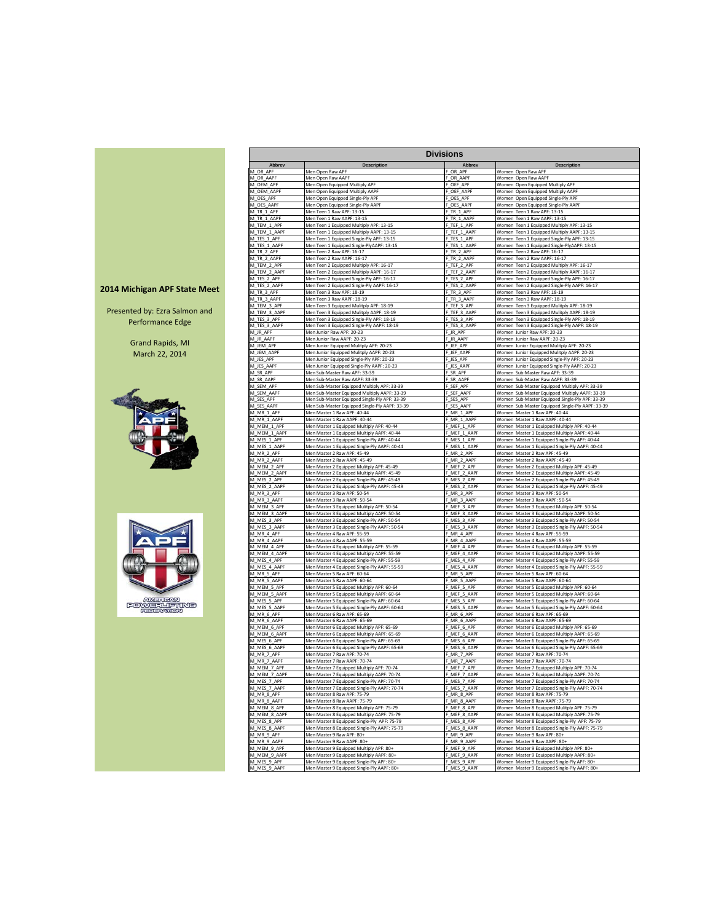|  |  | 2014 Michigan APF State Meet |  |
|--|--|------------------------------|--|
|--|--|------------------------------|--|

Presented by: Ezra Salmon and Performance Edge

> Grand Rapids, MI March 22, 2014





| Abbrev<br><b>Description</b><br>Abbrev<br><b>Description</b><br>OR_APF<br>M_OR_APF<br>Men Open Raw APF<br>Women Open Raw APF<br>M_OR_AAPF<br>Men Open Raw AAPF<br>OR_AAPF<br>Women Open Raw AAPF<br>Men Open Equipped Multiply APF<br>OEF_APF<br>Women Open Equipped Multiply APF<br>M_OEM_APF<br>M_OEM_AAPF<br>Men Open Equipped Multiply AAPF<br>OEF_AAPF<br>Women Open Equipped Multiply AAPF<br>M_OES_APF<br>Men Open Equipped Single-Ply APF<br>OES_APF<br>Women Open Equipped Single-Ply APF<br>M_OES_AAPF<br>Men Open Equipped Single-Ply AAPF<br>OES_AAPF<br>Women Open Equipped Single-Ply AAPF<br>M_TR_1_APF<br>Men Teen 1 Raw APF: 13-15<br>TR_1_APF<br>Women Teen 1 Raw APF: 13-15<br>M_TR_1_AAPF<br>Men Teen 1 Raw AAPF: 13-15<br>Women Teen 1 Raw AAPF: 13-15<br>TR 1 AAPF<br>M_TEM_1_APF<br>Men Teen 1 Equipped Multiply APF: 13-15<br>TEF 1 APF<br>Women Teen 1 Equipped Multiply APF: 13-15<br>M_TEM_1_AAPF<br>TEF_1_AAPF<br>Women Teen 1 Equipped Multiply AAPF: 13-15<br>Men Teen 1 Equipped Multiply AAPF: 13-15<br>M_TES_1_APF<br>Men Teen 1 Equipped Single-Ply APF: 13-15<br>TES_1_APF<br>Women Teen 1 Equipped Single-Ply APF: 13-15<br>M_TES_1_AAPF<br>Men Teen 1 Equipped Single-PlyAAPF: 13-15<br>_TES_1_AAPF<br>Women Teen 1 Equipped Single-PlyAAPF: 13-15<br>M_TR_2_APF<br>Men Teen 2 Raw APF: 16-17<br>TR_2_APF<br>Women Teen 2 Raw APF: 16-17<br>M_TR_2_AAPF<br>Men Teen 2 Raw AAPF: 16-17<br>TR_2_AAPF<br>Women Teen 2 Raw AAPF: 16-17<br>M_TEM_2_APF<br>Women Teen 2 Equipped Multiply APF: 16-17<br>Men Teen 2 Equipped Multiply APF: 16-17<br>TEF_2_APF<br>M_TEM_2_AAPF<br>Men Teen 2 Equipped Multiply AAPF: 16-17<br>TEF_2_AAPF<br>Women Teen 2 Equipped Multiply AAPF: 16-17<br>TES_2_APF<br>M_TES_2_APF<br>Men Teen 2 Equipped Single-Ply APF: 16-17<br>Women Teen 2 Equipped Single-Ply APF: 16-17<br>M_TES_2_AAPF<br>Men Teen 2 Equipped Single-Ply AAPF: 16-17<br>TES_2_AAPF<br>Women Teen 2 Equipped Single-Ply AAPF: 16-17<br>M_TR_3_APF<br>Men Teen 3 Raw APF: 18-19<br>TR_3_APF<br>Women Teen 3 Raw APF: 18-19<br>M_TR_3_AAPF<br>Men Teen 3 Raw AAPF: 18-19<br>TR_3_AAPF<br>Women Teen 3 Raw AAPF: 18-19<br>M_TEM_3_APF<br>TEF_3_APF<br>Men Teen 3 Equipped Mulitply APF: 18-19<br>Women Teen 3 Equipped Mulitply APF: 18-19<br>M_TEM_3_AAPF<br>TEF 3 AAPF<br>Women Teen 3 Equipped Mulitply AAPF: 18-19<br>Men Teen 3 Equipped Mulitply AAPF: 18-19<br>M_TES_3_APF<br>Men Teen 3 Equipped Single-Ply APF: 18-19<br>TES_3_APF<br>Women Teen 3 Equipped Single-Ply APF: 18-19<br>M_TES_3_AAPF<br>Men Teen 3 Equipped Single-Ply AAPF: 18-19<br>TES_3_AAPF<br>Women Teen 3 Equipped Single-Ply AAPF: 18-19<br>M_JR_APF<br>Men Junior Raw APF: 20-23<br>F_JR_APF<br>Women Junior Raw APF: 20-23<br>M_JR_AAPF<br>Men Junior Raw AAPF: 20-23<br>JR_AAPF<br>Women Junior Raw AAPF: 20-23<br>M_JEM_APF<br>Men Junior Equipped Mulitply APF: 20-23<br>_JEF_APF<br>Women Junior Equipped Mulitply APF: 20-23<br>M_JEM_AAPF<br>Men Junior Equipped Mulitply AAPF: 20-23<br>JEF_AAPF<br>Women Junior Equipped Mulitply AAPF: 20-23<br>M_JES_APF<br>Men Junior Equipped Single-Ply APF: 20-23<br>F_JES_APF<br>Women Junior Equipped Single-Ply APF: 20-23<br>M_JES_AAPF<br>Men Junior Equipped Single-Ply AAPF: 20-23<br>JES_AAPF<br>Women Junior Equipped Single-Ply AAPF: 20-23<br>M_SR_APF<br>Men Sub-Master Raw APF: 33-39<br>SR_APF<br>Women Sub-Master Raw APF: 33-39<br>M_SR_AAPF<br>SR_AAPF<br>Women Sub-Master Raw AAPF: 33-39<br>Men Sub-Master Raw AAPF: 33-39<br>M_SEM_APF<br>Men Sub-Master Equipped Multiply APF: 33-39<br>SEF_APF<br>Women Sub-Master Equipped Multiply APF: 33-39<br>M_SEM_AAPF<br>Men Sub-Master Equipped Multiply AAPF: 33-39<br>SEF AAPI<br>Women Sub-Master Equipped Multiply AAPF: 33-39<br>Men Sub-Master Equipped Single-Ply APF: 33-39<br>Women Sub-Master Equipped Single-Ply APF: 33-39<br>M_SES_APF<br>SES APF<br>Women Sub-Master Equipped Single-Ply AAPF: 33-39<br>M_SES_AAPF<br>Men Sub-Master Equipped Single-Ply AAPF: 33-39<br>_SES_AAPF<br>M_MR_1_APF<br>Men Master 1 Raw APF: 40-44<br>F_MR_1_APF<br>Women Master 1 Raw APF: 40-44<br>M_MR_1_AAPF<br>Men Master 1 Raw AAPF: 40-44<br>_MR_1_AAPF<br>Women Master 1 Raw AAPF: 40-44<br>MEF_1_APF<br>Women Master 1 Equipped Multiply APF: 40-44<br>M_MEM_1_APF<br>Men Master 1 Equipped Multiply APF: 40-44<br>M_MEM_1_AAPF<br>Men Master 1 Equipped Multiply AAPF: 40-44<br>MEF_1_AAPF<br>Women Master 1 Equipped Multiply AAPF: 40-44<br>MES_1_APF<br>M_MES_1_APF<br>Men Master 1 Equipped Single-Ply APF: 40-44<br>Women Master 1 Equipped Single-Ply APF: 40-44<br>MES_1_AAPF<br>M_MES_1_AAPF<br>Men Master 1 Equipped Single-Ply AAPF: 40-44<br>Women Master 1 Equipped Single-Ply AAPF: 40-44<br>M_MR_2_APF<br>Men Master 2 Raw APF: 45-49<br>MR_2_APF<br>Women Master 2 Raw APF: 45-49<br>M_MR_2_AAPF<br>Men Master 2 Raw AAPF: 45-49<br>MR_2_AAPF<br>Women Master 2 Raw AAPF: 45-49<br>M_MEM_2_APP<br>Men Master 2 Equipped Mulitply APF: 45-49<br>MEF 2 APF<br>Women Master 2 Equipped Mulitply APF: 45-49<br>MEF_2_AAPF<br>M_MEM_2_AAPF<br>Men Master 2 Equipped Multiply AAPF: 45-49<br>Women Master 2 Equipped Multiply AAPF: 45-49<br>MES_2_APF<br>M_MES_2_APF<br>Men Master 2 Equipped Single-Ply APF: 45-49<br>Women Master 2 Equipped Single-Ply APF: 45-49<br>M_MES_2_AAPF<br>Men Master 2 Equipped Sinlge-Ply AAPF: 45-49<br>MES 2 AAPF<br>Women Master 2 Equipped Sinlge-Ply AAPF: 45-49<br>M_MR_3_APF<br>Men Master 3 Raw APF: 50-54<br>MR_3_APF<br>Women Master 3 Raw APF: 50-54<br>M_MR_3_AAPF<br>Men Master 3 Raw AAPF: 50-54<br>_MR_3_AAPF<br>Women Master 3 Raw AAPF: 50-54<br>M_MEM_3_APF<br>Men Master 3 Equipped Mulitply APF: 50-54<br>F_MEF_3_APF<br>Women Master 3 Equipped Mulitply APF: 50-54<br>M_MEM_3_AAPF<br>MEF_3_AAPF<br>Men Master 3 Equipped Multiply AAPF: 50-54<br>Women Master 3 Equipped Multiply AAPF: 50-54<br>Men Master 3 Equipped Single-Ply APF: 50-54<br>MES_3_APF<br>Women Master 3 Equipped Single-Ply APF: 50-54<br>M_MES_3_APF<br>MES_3_AAPF<br>Women Master 3 Equipped Single-Ply AAPF: 50-54<br>M_MES_3_AAPF<br>Men Master 3 Equipped Single-Ply AAPF: 50-54<br>MR 4 APF<br>M_MR_4_APF<br>Men Master 4 Raw APF: 55-59<br>Women Master 4 Raw APF: 55-59<br>M_MR_4_AAPF<br>Men Master 4 Raw AAPF: 55-59<br>MR_4_AAPF<br>Women Master 4 Raw AAPF: 55-59<br>M_MEM_4_APF<br>Men Master 4 Equipped Mulitply APF: 55-59<br>MEF_4_APF<br>Women Master 4 Equipped Mulitply APF: 55-59<br>M_MEM_4_AAPF<br>MEF_4_AAPF<br>Men Master 4 Equipped Multiply AAPF: 55-59<br>Women Master 4 Equipped Multiply AAPF: 55-59<br>M_MES_4_APF<br>MES_4 APF<br>Men Master 4 Equipped Single-Ply APF: 55-59<br>Women Master 4 Equipped Single-Ply APF: 55-59<br>MES 4 AAPF<br>Women Master 4 Equipped Single-Ply AAPF: 55-59<br>M_MES_4_AAPF<br>Men Master 4 Equipped Single-Ply AAPF: 55-59<br>Men Master 5 Raw APF: 60-64<br>MR_5_APF<br>Women Master 5 Raw APF: 60-64<br>M_MR_5_APF<br>MR_5_AAPF<br>Women Master 5 Raw AAPF: 60-64<br>M_MR_5_AAPF<br>Men Master 5 Raw AAPF: 60-64<br>M_MEM_5_APF<br>Men Master 5 Equipped Multiply APF: 60-64<br>_MEF_5_APF<br>Women Master 5 Equipped Multiply APF: 60-64<br>M_MEM_5_AAPF<br>MEF_5_AAPF<br>Men Master 5 Equipped Multiply AAPF: 60-64<br>Women Master 5 Equipped Multiply AAPF: 60-64<br>M_MES_5_APF<br>Men Master 5 Equipped Single-Ply APF: 60-64<br>MES_5_APF<br>Women Master 5 Equipped Single-Ply APF: 60-64<br>MES_5_AAPF<br>Women Master 5 Equipped Single-Ply AAPF: 60-64<br>M_MES_5_AAPF<br>Men Master 5 Equipped Single-Ply AAPF: 60-64<br>M_MR_6_APF<br>Men Master 6 Raw APF: 65-69<br>MR <sub>6</sub> APF<br>Women Master 6 Raw APF: 65-69<br>M MR 6 AAPF<br>Men Master 6 Raw AAPF: 65-69<br>MR_6_AAPF<br>Women Master 6 Raw AAPF: 65-69<br>M_MEM_6_APF<br>Men Master 6 Equipped Multiply APF: 65-69<br>MEF_6_APF<br>Women Master 6 Equipped Multiply APF: 65-69<br>M_MEM_6_AAPF<br>Men Master 6 Equipped Multiply AAPF: 65-69<br>MEF_6_AAPF<br>Women Master 6 Equipped Multiply AAPF: 65-69<br>MES_6_APF<br>M_MES_6_APF<br>Men Master 6 Equipped Single-Ply APF: 65-69<br>Women Master 6 Equipped Single-Ply APF: 65-69<br>MES 6 AAPF<br>M_MES_6_AAPF<br>Men Master 6 Equipped Single-Ply AAPF: 65-69<br>Women Master 6 Equipped Single-Ply AAPF: 65-69<br>M_MR_7_APF<br>Men Master 7 Raw APF: 70-74<br>F_MR_7_APF<br>Women Master 7 Raw APF: 70-74<br>Men Master 7 Raw AAPF: 70-74<br>F_MR_7_AAPF<br>Women Master 7 Raw AAPF: 70-74<br>M_MR_7_AAPF<br>M MEM 7 APF<br>Men Master 7 Foujoned Multiply APF: 70-74<br>MEF 7 APF<br>Women, Master 7 Foujoned Multiply APF: 70-74<br>M_MEM_7_AAPF<br>Men Master 7 Equipped Multiply AAPF: 70-74<br>MEF_7_AAPF<br>Women Master 7 Equipped Multiply AAPF: 70-74<br>M_MES_7_APF<br>Men Master 7 Equipped Single-Ply APF: 70-74<br>MES_7_APF<br>Women Master 7 Equipped Single-Ply APF: 70-74<br>M_MES_7_AAPF<br>Men Master 7 Equipped Single-Ply AAPF: 70-74<br>MES_7_AAPF<br>Women Master 7 Equipped Single-Ply AAPF: 70-74<br>Men Master 8 Raw APF: 75-79<br>MR_8_APF<br>Women Master 8 Raw APF: 75-79<br>M_MR_8_APF<br>Women Master 8 Raw AAPF: 75-79<br>M_MR_8_AAPF<br>Men Master 8 Raw AAPF: 75-79<br>MR_8_AAPF | Men Master 8 Equipped Mulitply APF: 75-79<br>MEF_8_APF<br>Women Master 8 Equipped Mulitply APF: 75-79<br>Men Master 8 Equipped Multiply AAPF: 75-79<br>MEF 8 AAPF<br>Women Master 8 Equipped Multiply AAPF: 75-79<br>MES_8_APF<br>M_MES_8_APF<br>Men Master 8 Equipped Single-Ply_APF: 75-79<br>Women Master 8 Equipped Single-Ply APF: 75-79<br>MES_8_AAPF<br>Men Master 8 Equipped Single-Ply AAPF: 75-79<br>Women Master 8 Equipped Single-Ply AAPF: 75-79<br>Men Master 9 Raw APF: 80+<br>MR_9_APF<br>Women Master 9 Raw APF: 80+<br>Men Master 9 Raw AAPF: 80+<br>MR 9 AAPF<br>Women Master 9 Raw AAPF: 80+ |              |                                            | <b>Divisions</b> |                                              |
|------------------------------------------------------------------------------------------------------------------------------------------------------------------------------------------------------------------------------------------------------------------------------------------------------------------------------------------------------------------------------------------------------------------------------------------------------------------------------------------------------------------------------------------------------------------------------------------------------------------------------------------------------------------------------------------------------------------------------------------------------------------------------------------------------------------------------------------------------------------------------------------------------------------------------------------------------------------------------------------------------------------------------------------------------------------------------------------------------------------------------------------------------------------------------------------------------------------------------------------------------------------------------------------------------------------------------------------------------------------------------------------------------------------------------------------------------------------------------------------------------------------------------------------------------------------------------------------------------------------------------------------------------------------------------------------------------------------------------------------------------------------------------------------------------------------------------------------------------------------------------------------------------------------------------------------------------------------------------------------------------------------------------------------------------------------------------------------------------------------------------------------------------------------------------------------------------------------------------------------------------------------------------------------------------------------------------------------------------------------------------------------------------------------------------------------------------------------------------------------------------------------------------------------------------------------------------------------------------------------------------------------------------------------------------------------------------------------------------------------------------------------------------------------------------------------------------------------------------------------------------------------------------------------------------------------------------------------------------------------------------------------------------------------------------------------------------------------------------------------------------------------------------------------------------------------------------------------------------------------------------------------------------------------------------------------------------------------------------------------------------------------------------------------------------------------------------------------------------------------------------------------------------------------------------------------------------------------------------------------------------------------------------------------------------------------------------------------------------------------------------------------------------------------------------------------------------------------------------------------------------------------------------------------------------------------------------------------------------------------------------------------------------------------------------------------------------------------------------------------------------------------------------------------------------------------------------------------------------------------------------------------------------------------------------------------------------------------------------------------------------------------------------------------------------------------------------------------------------------------------------------------------------------------------------------------------------------------------------------------------------------------------------------------------------------------------------------------------------------------------------------------------------------------------------------------------------------------------------------------------------------------------------------------------------------------------------------------------------------------------------------------------------------------------------------------------------------------------------------------------------------------------------------------------------------------------------------------------------------------------------------------------------------------------------------------------------------------------------------------------------------------------------------------------------------------------------------------------------------------------------------------------------------------------------------------------------------------------------------------------------------------------------------------------------------------------------------------------------------------------------------------------------------------------------------------------------------------------------------------------------------------------------------------------------------------------------------------------------------------------------------------------------------------------------------------------------------------------------------------------------------------------------------------------------------------------------------------------------------------------------------------------------------------------------------------------------------------------------------------------------------------------------------------------------------------------------------------------------------------------------------------------------------------------------------------------------------------------------------------------------------------------------------------------------------------------------------------------------------------------------------------------------------------------------------------------------------------------------------------------------------------------------------------------------------------------------------------------------------------------------------------------------------------------------------------------------------------------------------------------------------------------------------------------------------------------------------------------------------------------------------------------------------------------------------------------------------------------------------------------------------------------------------------------------------------------------------------------------------------------------------------------------------------------------------------------------------------------------------------------------------------------------------------------------------------------------------------------------------------------------------------------------------------------------------------------------------------------------------------------------------------------------------------------------------------------------------------------------------------------------------------------------------------------------------------------------------------------------------------------------------------------------------------------------------------------------------------------------------------------------------------------------------------------------------------------------------------------------------------------------------------------------------------------------------------------------------------------------------------------------------------------------------------------------------------------------------------------------------------------------------------------------------------------------------------------------------------------------------------------------------------------------------------------------------------------------------------------------------------------------------------------------------------------------------------------------------------------------------------------------------------------------------------------------------------------------------------------------------------------------------------------------------------------------------------------------|------------------------------------------------------------------------------------------------------------------------------------------------------------------------------------------------------------------------------------------------------------------------------------------------------------------------------------------------------------------------------------------------------------------------------------------------------------------------------------------------------------------------------------------------------------------------------------------------------------------|--------------|--------------------------------------------|------------------|----------------------------------------------|
|                                                                                                                                                                                                                                                                                                                                                                                                                                                                                                                                                                                                                                                                                                                                                                                                                                                                                                                                                                                                                                                                                                                                                                                                                                                                                                                                                                                                                                                                                                                                                                                                                                                                                                                                                                                                                                                                                                                                                                                                                                                                                                                                                                                                                                                                                                                                                                                                                                                                                                                                                                                                                                                                                                                                                                                                                                                                                                                                                                                                                                                                                                                                                                                                                                                                                                                                                                                                                                                                                                                                                                                                                                                                                                                                                                                                                                                                                                                                                                                                                                                                                                                                                                                                                                                                                                                                                                                                                                                                                                                                                                                                                                                                                                                                                                                                                                                                                                                                                                                                                                                                                                                                                                                                                                                                                                                                                                                                                                                                                                                                                                                                                                                                                                                                                                                                                                                                                                                                                                                                                                                                                                                                                                                                                                                                                                                                                                                                                                                                                                                                                                                                                                                                                                                                                                                                                                                                                                                                                                                                                                                                                                                                                                                                                                                                                                                                                                                                                                                                                                                                                                                                                                                                                                                                                                                                                                                                                                                                                                                                                                                                                                                                                                                                                                                                                                                                                                                                                                                                                                                                                                                                                                                                                                                                                                                                                                                                                                                                                                                                                                                                                                                                                                                                      |                                                                                                                                                                                                                                                                                                                                                                                                                                                                                                                                                                                                                  |              |                                            |                  |                                              |
|                                                                                                                                                                                                                                                                                                                                                                                                                                                                                                                                                                                                                                                                                                                                                                                                                                                                                                                                                                                                                                                                                                                                                                                                                                                                                                                                                                                                                                                                                                                                                                                                                                                                                                                                                                                                                                                                                                                                                                                                                                                                                                                                                                                                                                                                                                                                                                                                                                                                                                                                                                                                                                                                                                                                                                                                                                                                                                                                                                                                                                                                                                                                                                                                                                                                                                                                                                                                                                                                                                                                                                                                                                                                                                                                                                                                                                                                                                                                                                                                                                                                                                                                                                                                                                                                                                                                                                                                                                                                                                                                                                                                                                                                                                                                                                                                                                                                                                                                                                                                                                                                                                                                                                                                                                                                                                                                                                                                                                                                                                                                                                                                                                                                                                                                                                                                                                                                                                                                                                                                                                                                                                                                                                                                                                                                                                                                                                                                                                                                                                                                                                                                                                                                                                                                                                                                                                                                                                                                                                                                                                                                                                                                                                                                                                                                                                                                                                                                                                                                                                                                                                                                                                                                                                                                                                                                                                                                                                                                                                                                                                                                                                                                                                                                                                                                                                                                                                                                                                                                                                                                                                                                                                                                                                                                                                                                                                                                                                                                                                                                                                                                                                                                                                                                      |                                                                                                                                                                                                                                                                                                                                                                                                                                                                                                                                                                                                                  |              |                                            |                  |                                              |
|                                                                                                                                                                                                                                                                                                                                                                                                                                                                                                                                                                                                                                                                                                                                                                                                                                                                                                                                                                                                                                                                                                                                                                                                                                                                                                                                                                                                                                                                                                                                                                                                                                                                                                                                                                                                                                                                                                                                                                                                                                                                                                                                                                                                                                                                                                                                                                                                                                                                                                                                                                                                                                                                                                                                                                                                                                                                                                                                                                                                                                                                                                                                                                                                                                                                                                                                                                                                                                                                                                                                                                                                                                                                                                                                                                                                                                                                                                                                                                                                                                                                                                                                                                                                                                                                                                                                                                                                                                                                                                                                                                                                                                                                                                                                                                                                                                                                                                                                                                                                                                                                                                                                                                                                                                                                                                                                                                                                                                                                                                                                                                                                                                                                                                                                                                                                                                                                                                                                                                                                                                                                                                                                                                                                                                                                                                                                                                                                                                                                                                                                                                                                                                                                                                                                                                                                                                                                                                                                                                                                                                                                                                                                                                                                                                                                                                                                                                                                                                                                                                                                                                                                                                                                                                                                                                                                                                                                                                                                                                                                                                                                                                                                                                                                                                                                                                                                                                                                                                                                                                                                                                                                                                                                                                                                                                                                                                                                                                                                                                                                                                                                                                                                                                                                      |                                                                                                                                                                                                                                                                                                                                                                                                                                                                                                                                                                                                                  |              |                                            |                  |                                              |
|                                                                                                                                                                                                                                                                                                                                                                                                                                                                                                                                                                                                                                                                                                                                                                                                                                                                                                                                                                                                                                                                                                                                                                                                                                                                                                                                                                                                                                                                                                                                                                                                                                                                                                                                                                                                                                                                                                                                                                                                                                                                                                                                                                                                                                                                                                                                                                                                                                                                                                                                                                                                                                                                                                                                                                                                                                                                                                                                                                                                                                                                                                                                                                                                                                                                                                                                                                                                                                                                                                                                                                                                                                                                                                                                                                                                                                                                                                                                                                                                                                                                                                                                                                                                                                                                                                                                                                                                                                                                                                                                                                                                                                                                                                                                                                                                                                                                                                                                                                                                                                                                                                                                                                                                                                                                                                                                                                                                                                                                                                                                                                                                                                                                                                                                                                                                                                                                                                                                                                                                                                                                                                                                                                                                                                                                                                                                                                                                                                                                                                                                                                                                                                                                                                                                                                                                                                                                                                                                                                                                                                                                                                                                                                                                                                                                                                                                                                                                                                                                                                                                                                                                                                                                                                                                                                                                                                                                                                                                                                                                                                                                                                                                                                                                                                                                                                                                                                                                                                                                                                                                                                                                                                                                                                                                                                                                                                                                                                                                                                                                                                                                                                                                                                                                      |                                                                                                                                                                                                                                                                                                                                                                                                                                                                                                                                                                                                                  |              |                                            |                  |                                              |
|                                                                                                                                                                                                                                                                                                                                                                                                                                                                                                                                                                                                                                                                                                                                                                                                                                                                                                                                                                                                                                                                                                                                                                                                                                                                                                                                                                                                                                                                                                                                                                                                                                                                                                                                                                                                                                                                                                                                                                                                                                                                                                                                                                                                                                                                                                                                                                                                                                                                                                                                                                                                                                                                                                                                                                                                                                                                                                                                                                                                                                                                                                                                                                                                                                                                                                                                                                                                                                                                                                                                                                                                                                                                                                                                                                                                                                                                                                                                                                                                                                                                                                                                                                                                                                                                                                                                                                                                                                                                                                                                                                                                                                                                                                                                                                                                                                                                                                                                                                                                                                                                                                                                                                                                                                                                                                                                                                                                                                                                                                                                                                                                                                                                                                                                                                                                                                                                                                                                                                                                                                                                                                                                                                                                                                                                                                                                                                                                                                                                                                                                                                                                                                                                                                                                                                                                                                                                                                                                                                                                                                                                                                                                                                                                                                                                                                                                                                                                                                                                                                                                                                                                                                                                                                                                                                                                                                                                                                                                                                                                                                                                                                                                                                                                                                                                                                                                                                                                                                                                                                                                                                                                                                                                                                                                                                                                                                                                                                                                                                                                                                                                                                                                                                                                      |                                                                                                                                                                                                                                                                                                                                                                                                                                                                                                                                                                                                                  |              |                                            |                  |                                              |
|                                                                                                                                                                                                                                                                                                                                                                                                                                                                                                                                                                                                                                                                                                                                                                                                                                                                                                                                                                                                                                                                                                                                                                                                                                                                                                                                                                                                                                                                                                                                                                                                                                                                                                                                                                                                                                                                                                                                                                                                                                                                                                                                                                                                                                                                                                                                                                                                                                                                                                                                                                                                                                                                                                                                                                                                                                                                                                                                                                                                                                                                                                                                                                                                                                                                                                                                                                                                                                                                                                                                                                                                                                                                                                                                                                                                                                                                                                                                                                                                                                                                                                                                                                                                                                                                                                                                                                                                                                                                                                                                                                                                                                                                                                                                                                                                                                                                                                                                                                                                                                                                                                                                                                                                                                                                                                                                                                                                                                                                                                                                                                                                                                                                                                                                                                                                                                                                                                                                                                                                                                                                                                                                                                                                                                                                                                                                                                                                                                                                                                                                                                                                                                                                                                                                                                                                                                                                                                                                                                                                                                                                                                                                                                                                                                                                                                                                                                                                                                                                                                                                                                                                                                                                                                                                                                                                                                                                                                                                                                                                                                                                                                                                                                                                                                                                                                                                                                                                                                                                                                                                                                                                                                                                                                                                                                                                                                                                                                                                                                                                                                                                                                                                                                                                      |                                                                                                                                                                                                                                                                                                                                                                                                                                                                                                                                                                                                                  |              |                                            |                  |                                              |
|                                                                                                                                                                                                                                                                                                                                                                                                                                                                                                                                                                                                                                                                                                                                                                                                                                                                                                                                                                                                                                                                                                                                                                                                                                                                                                                                                                                                                                                                                                                                                                                                                                                                                                                                                                                                                                                                                                                                                                                                                                                                                                                                                                                                                                                                                                                                                                                                                                                                                                                                                                                                                                                                                                                                                                                                                                                                                                                                                                                                                                                                                                                                                                                                                                                                                                                                                                                                                                                                                                                                                                                                                                                                                                                                                                                                                                                                                                                                                                                                                                                                                                                                                                                                                                                                                                                                                                                                                                                                                                                                                                                                                                                                                                                                                                                                                                                                                                                                                                                                                                                                                                                                                                                                                                                                                                                                                                                                                                                                                                                                                                                                                                                                                                                                                                                                                                                                                                                                                                                                                                                                                                                                                                                                                                                                                                                                                                                                                                                                                                                                                                                                                                                                                                                                                                                                                                                                                                                                                                                                                                                                                                                                                                                                                                                                                                                                                                                                                                                                                                                                                                                                                                                                                                                                                                                                                                                                                                                                                                                                                                                                                                                                                                                                                                                                                                                                                                                                                                                                                                                                                                                                                                                                                                                                                                                                                                                                                                                                                                                                                                                                                                                                                                                                      |                                                                                                                                                                                                                                                                                                                                                                                                                                                                                                                                                                                                                  |              |                                            |                  |                                              |
|                                                                                                                                                                                                                                                                                                                                                                                                                                                                                                                                                                                                                                                                                                                                                                                                                                                                                                                                                                                                                                                                                                                                                                                                                                                                                                                                                                                                                                                                                                                                                                                                                                                                                                                                                                                                                                                                                                                                                                                                                                                                                                                                                                                                                                                                                                                                                                                                                                                                                                                                                                                                                                                                                                                                                                                                                                                                                                                                                                                                                                                                                                                                                                                                                                                                                                                                                                                                                                                                                                                                                                                                                                                                                                                                                                                                                                                                                                                                                                                                                                                                                                                                                                                                                                                                                                                                                                                                                                                                                                                                                                                                                                                                                                                                                                                                                                                                                                                                                                                                                                                                                                                                                                                                                                                                                                                                                                                                                                                                                                                                                                                                                                                                                                                                                                                                                                                                                                                                                                                                                                                                                                                                                                                                                                                                                                                                                                                                                                                                                                                                                                                                                                                                                                                                                                                                                                                                                                                                                                                                                                                                                                                                                                                                                                                                                                                                                                                                                                                                                                                                                                                                                                                                                                                                                                                                                                                                                                                                                                                                                                                                                                                                                                                                                                                                                                                                                                                                                                                                                                                                                                                                                                                                                                                                                                                                                                                                                                                                                                                                                                                                                                                                                                                                      |                                                                                                                                                                                                                                                                                                                                                                                                                                                                                                                                                                                                                  |              |                                            |                  |                                              |
|                                                                                                                                                                                                                                                                                                                                                                                                                                                                                                                                                                                                                                                                                                                                                                                                                                                                                                                                                                                                                                                                                                                                                                                                                                                                                                                                                                                                                                                                                                                                                                                                                                                                                                                                                                                                                                                                                                                                                                                                                                                                                                                                                                                                                                                                                                                                                                                                                                                                                                                                                                                                                                                                                                                                                                                                                                                                                                                                                                                                                                                                                                                                                                                                                                                                                                                                                                                                                                                                                                                                                                                                                                                                                                                                                                                                                                                                                                                                                                                                                                                                                                                                                                                                                                                                                                                                                                                                                                                                                                                                                                                                                                                                                                                                                                                                                                                                                                                                                                                                                                                                                                                                                                                                                                                                                                                                                                                                                                                                                                                                                                                                                                                                                                                                                                                                                                                                                                                                                                                                                                                                                                                                                                                                                                                                                                                                                                                                                                                                                                                                                                                                                                                                                                                                                                                                                                                                                                                                                                                                                                                                                                                                                                                                                                                                                                                                                                                                                                                                                                                                                                                                                                                                                                                                                                                                                                                                                                                                                                                                                                                                                                                                                                                                                                                                                                                                                                                                                                                                                                                                                                                                                                                                                                                                                                                                                                                                                                                                                                                                                                                                                                                                                                                                      |                                                                                                                                                                                                                                                                                                                                                                                                                                                                                                                                                                                                                  |              |                                            |                  |                                              |
|                                                                                                                                                                                                                                                                                                                                                                                                                                                                                                                                                                                                                                                                                                                                                                                                                                                                                                                                                                                                                                                                                                                                                                                                                                                                                                                                                                                                                                                                                                                                                                                                                                                                                                                                                                                                                                                                                                                                                                                                                                                                                                                                                                                                                                                                                                                                                                                                                                                                                                                                                                                                                                                                                                                                                                                                                                                                                                                                                                                                                                                                                                                                                                                                                                                                                                                                                                                                                                                                                                                                                                                                                                                                                                                                                                                                                                                                                                                                                                                                                                                                                                                                                                                                                                                                                                                                                                                                                                                                                                                                                                                                                                                                                                                                                                                                                                                                                                                                                                                                                                                                                                                                                                                                                                                                                                                                                                                                                                                                                                                                                                                                                                                                                                                                                                                                                                                                                                                                                                                                                                                                                                                                                                                                                                                                                                                                                                                                                                                                                                                                                                                                                                                                                                                                                                                                                                                                                                                                                                                                                                                                                                                                                                                                                                                                                                                                                                                                                                                                                                                                                                                                                                                                                                                                                                                                                                                                                                                                                                                                                                                                                                                                                                                                                                                                                                                                                                                                                                                                                                                                                                                                                                                                                                                                                                                                                                                                                                                                                                                                                                                                                                                                                                                                      |                                                                                                                                                                                                                                                                                                                                                                                                                                                                                                                                                                                                                  |              |                                            |                  |                                              |
|                                                                                                                                                                                                                                                                                                                                                                                                                                                                                                                                                                                                                                                                                                                                                                                                                                                                                                                                                                                                                                                                                                                                                                                                                                                                                                                                                                                                                                                                                                                                                                                                                                                                                                                                                                                                                                                                                                                                                                                                                                                                                                                                                                                                                                                                                                                                                                                                                                                                                                                                                                                                                                                                                                                                                                                                                                                                                                                                                                                                                                                                                                                                                                                                                                                                                                                                                                                                                                                                                                                                                                                                                                                                                                                                                                                                                                                                                                                                                                                                                                                                                                                                                                                                                                                                                                                                                                                                                                                                                                                                                                                                                                                                                                                                                                                                                                                                                                                                                                                                                                                                                                                                                                                                                                                                                                                                                                                                                                                                                                                                                                                                                                                                                                                                                                                                                                                                                                                                                                                                                                                                                                                                                                                                                                                                                                                                                                                                                                                                                                                                                                                                                                                                                                                                                                                                                                                                                                                                                                                                                                                                                                                                                                                                                                                                                                                                                                                                                                                                                                                                                                                                                                                                                                                                                                                                                                                                                                                                                                                                                                                                                                                                                                                                                                                                                                                                                                                                                                                                                                                                                                                                                                                                                                                                                                                                                                                                                                                                                                                                                                                                                                                                                                                                      |                                                                                                                                                                                                                                                                                                                                                                                                                                                                                                                                                                                                                  |              |                                            |                  |                                              |
|                                                                                                                                                                                                                                                                                                                                                                                                                                                                                                                                                                                                                                                                                                                                                                                                                                                                                                                                                                                                                                                                                                                                                                                                                                                                                                                                                                                                                                                                                                                                                                                                                                                                                                                                                                                                                                                                                                                                                                                                                                                                                                                                                                                                                                                                                                                                                                                                                                                                                                                                                                                                                                                                                                                                                                                                                                                                                                                                                                                                                                                                                                                                                                                                                                                                                                                                                                                                                                                                                                                                                                                                                                                                                                                                                                                                                                                                                                                                                                                                                                                                                                                                                                                                                                                                                                                                                                                                                                                                                                                                                                                                                                                                                                                                                                                                                                                                                                                                                                                                                                                                                                                                                                                                                                                                                                                                                                                                                                                                                                                                                                                                                                                                                                                                                                                                                                                                                                                                                                                                                                                                                                                                                                                                                                                                                                                                                                                                                                                                                                                                                                                                                                                                                                                                                                                                                                                                                                                                                                                                                                                                                                                                                                                                                                                                                                                                                                                                                                                                                                                                                                                                                                                                                                                                                                                                                                                                                                                                                                                                                                                                                                                                                                                                                                                                                                                                                                                                                                                                                                                                                                                                                                                                                                                                                                                                                                                                                                                                                                                                                                                                                                                                                                                                      |                                                                                                                                                                                                                                                                                                                                                                                                                                                                                                                                                                                                                  |              |                                            |                  |                                              |
|                                                                                                                                                                                                                                                                                                                                                                                                                                                                                                                                                                                                                                                                                                                                                                                                                                                                                                                                                                                                                                                                                                                                                                                                                                                                                                                                                                                                                                                                                                                                                                                                                                                                                                                                                                                                                                                                                                                                                                                                                                                                                                                                                                                                                                                                                                                                                                                                                                                                                                                                                                                                                                                                                                                                                                                                                                                                                                                                                                                                                                                                                                                                                                                                                                                                                                                                                                                                                                                                                                                                                                                                                                                                                                                                                                                                                                                                                                                                                                                                                                                                                                                                                                                                                                                                                                                                                                                                                                                                                                                                                                                                                                                                                                                                                                                                                                                                                                                                                                                                                                                                                                                                                                                                                                                                                                                                                                                                                                                                                                                                                                                                                                                                                                                                                                                                                                                                                                                                                                                                                                                                                                                                                                                                                                                                                                                                                                                                                                                                                                                                                                                                                                                                                                                                                                                                                                                                                                                                                                                                                                                                                                                                                                                                                                                                                                                                                                                                                                                                                                                                                                                                                                                                                                                                                                                                                                                                                                                                                                                                                                                                                                                                                                                                                                                                                                                                                                                                                                                                                                                                                                                                                                                                                                                                                                                                                                                                                                                                                                                                                                                                                                                                                                                                      |                                                                                                                                                                                                                                                                                                                                                                                                                                                                                                                                                                                                                  |              |                                            |                  |                                              |
|                                                                                                                                                                                                                                                                                                                                                                                                                                                                                                                                                                                                                                                                                                                                                                                                                                                                                                                                                                                                                                                                                                                                                                                                                                                                                                                                                                                                                                                                                                                                                                                                                                                                                                                                                                                                                                                                                                                                                                                                                                                                                                                                                                                                                                                                                                                                                                                                                                                                                                                                                                                                                                                                                                                                                                                                                                                                                                                                                                                                                                                                                                                                                                                                                                                                                                                                                                                                                                                                                                                                                                                                                                                                                                                                                                                                                                                                                                                                                                                                                                                                                                                                                                                                                                                                                                                                                                                                                                                                                                                                                                                                                                                                                                                                                                                                                                                                                                                                                                                                                                                                                                                                                                                                                                                                                                                                                                                                                                                                                                                                                                                                                                                                                                                                                                                                                                                                                                                                                                                                                                                                                                                                                                                                                                                                                                                                                                                                                                                                                                                                                                                                                                                                                                                                                                                                                                                                                                                                                                                                                                                                                                                                                                                                                                                                                                                                                                                                                                                                                                                                                                                                                                                                                                                                                                                                                                                                                                                                                                                                                                                                                                                                                                                                                                                                                                                                                                                                                                                                                                                                                                                                                                                                                                                                                                                                                                                                                                                                                                                                                                                                                                                                                                                                      |                                                                                                                                                                                                                                                                                                                                                                                                                                                                                                                                                                                                                  |              |                                            |                  |                                              |
|                                                                                                                                                                                                                                                                                                                                                                                                                                                                                                                                                                                                                                                                                                                                                                                                                                                                                                                                                                                                                                                                                                                                                                                                                                                                                                                                                                                                                                                                                                                                                                                                                                                                                                                                                                                                                                                                                                                                                                                                                                                                                                                                                                                                                                                                                                                                                                                                                                                                                                                                                                                                                                                                                                                                                                                                                                                                                                                                                                                                                                                                                                                                                                                                                                                                                                                                                                                                                                                                                                                                                                                                                                                                                                                                                                                                                                                                                                                                                                                                                                                                                                                                                                                                                                                                                                                                                                                                                                                                                                                                                                                                                                                                                                                                                                                                                                                                                                                                                                                                                                                                                                                                                                                                                                                                                                                                                                                                                                                                                                                                                                                                                                                                                                                                                                                                                                                                                                                                                                                                                                                                                                                                                                                                                                                                                                                                                                                                                                                                                                                                                                                                                                                                                                                                                                                                                                                                                                                                                                                                                                                                                                                                                                                                                                                                                                                                                                                                                                                                                                                                                                                                                                                                                                                                                                                                                                                                                                                                                                                                                                                                                                                                                                                                                                                                                                                                                                                                                                                                                                                                                                                                                                                                                                                                                                                                                                                                                                                                                                                                                                                                                                                                                                                                      |                                                                                                                                                                                                                                                                                                                                                                                                                                                                                                                                                                                                                  |              |                                            |                  |                                              |
|                                                                                                                                                                                                                                                                                                                                                                                                                                                                                                                                                                                                                                                                                                                                                                                                                                                                                                                                                                                                                                                                                                                                                                                                                                                                                                                                                                                                                                                                                                                                                                                                                                                                                                                                                                                                                                                                                                                                                                                                                                                                                                                                                                                                                                                                                                                                                                                                                                                                                                                                                                                                                                                                                                                                                                                                                                                                                                                                                                                                                                                                                                                                                                                                                                                                                                                                                                                                                                                                                                                                                                                                                                                                                                                                                                                                                                                                                                                                                                                                                                                                                                                                                                                                                                                                                                                                                                                                                                                                                                                                                                                                                                                                                                                                                                                                                                                                                                                                                                                                                                                                                                                                                                                                                                                                                                                                                                                                                                                                                                                                                                                                                                                                                                                                                                                                                                                                                                                                                                                                                                                                                                                                                                                                                                                                                                                                                                                                                                                                                                                                                                                                                                                                                                                                                                                                                                                                                                                                                                                                                                                                                                                                                                                                                                                                                                                                                                                                                                                                                                                                                                                                                                                                                                                                                                                                                                                                                                                                                                                                                                                                                                                                                                                                                                                                                                                                                                                                                                                                                                                                                                                                                                                                                                                                                                                                                                                                                                                                                                                                                                                                                                                                                                                                      |                                                                                                                                                                                                                                                                                                                                                                                                                                                                                                                                                                                                                  |              |                                            |                  |                                              |
|                                                                                                                                                                                                                                                                                                                                                                                                                                                                                                                                                                                                                                                                                                                                                                                                                                                                                                                                                                                                                                                                                                                                                                                                                                                                                                                                                                                                                                                                                                                                                                                                                                                                                                                                                                                                                                                                                                                                                                                                                                                                                                                                                                                                                                                                                                                                                                                                                                                                                                                                                                                                                                                                                                                                                                                                                                                                                                                                                                                                                                                                                                                                                                                                                                                                                                                                                                                                                                                                                                                                                                                                                                                                                                                                                                                                                                                                                                                                                                                                                                                                                                                                                                                                                                                                                                                                                                                                                                                                                                                                                                                                                                                                                                                                                                                                                                                                                                                                                                                                                                                                                                                                                                                                                                                                                                                                                                                                                                                                                                                                                                                                                                                                                                                                                                                                                                                                                                                                                                                                                                                                                                                                                                                                                                                                                                                                                                                                                                                                                                                                                                                                                                                                                                                                                                                                                                                                                                                                                                                                                                                                                                                                                                                                                                                                                                                                                                                                                                                                                                                                                                                                                                                                                                                                                                                                                                                                                                                                                                                                                                                                                                                                                                                                                                                                                                                                                                                                                                                                                                                                                                                                                                                                                                                                                                                                                                                                                                                                                                                                                                                                                                                                                                                                      |                                                                                                                                                                                                                                                                                                                                                                                                                                                                                                                                                                                                                  |              |                                            |                  |                                              |
|                                                                                                                                                                                                                                                                                                                                                                                                                                                                                                                                                                                                                                                                                                                                                                                                                                                                                                                                                                                                                                                                                                                                                                                                                                                                                                                                                                                                                                                                                                                                                                                                                                                                                                                                                                                                                                                                                                                                                                                                                                                                                                                                                                                                                                                                                                                                                                                                                                                                                                                                                                                                                                                                                                                                                                                                                                                                                                                                                                                                                                                                                                                                                                                                                                                                                                                                                                                                                                                                                                                                                                                                                                                                                                                                                                                                                                                                                                                                                                                                                                                                                                                                                                                                                                                                                                                                                                                                                                                                                                                                                                                                                                                                                                                                                                                                                                                                                                                                                                                                                                                                                                                                                                                                                                                                                                                                                                                                                                                                                                                                                                                                                                                                                                                                                                                                                                                                                                                                                                                                                                                                                                                                                                                                                                                                                                                                                                                                                                                                                                                                                                                                                                                                                                                                                                                                                                                                                                                                                                                                                                                                                                                                                                                                                                                                                                                                                                                                                                                                                                                                                                                                                                                                                                                                                                                                                                                                                                                                                                                                                                                                                                                                                                                                                                                                                                                                                                                                                                                                                                                                                                                                                                                                                                                                                                                                                                                                                                                                                                                                                                                                                                                                                                                                      |                                                                                                                                                                                                                                                                                                                                                                                                                                                                                                                                                                                                                  |              |                                            |                  |                                              |
|                                                                                                                                                                                                                                                                                                                                                                                                                                                                                                                                                                                                                                                                                                                                                                                                                                                                                                                                                                                                                                                                                                                                                                                                                                                                                                                                                                                                                                                                                                                                                                                                                                                                                                                                                                                                                                                                                                                                                                                                                                                                                                                                                                                                                                                                                                                                                                                                                                                                                                                                                                                                                                                                                                                                                                                                                                                                                                                                                                                                                                                                                                                                                                                                                                                                                                                                                                                                                                                                                                                                                                                                                                                                                                                                                                                                                                                                                                                                                                                                                                                                                                                                                                                                                                                                                                                                                                                                                                                                                                                                                                                                                                                                                                                                                                                                                                                                                                                                                                                                                                                                                                                                                                                                                                                                                                                                                                                                                                                                                                                                                                                                                                                                                                                                                                                                                                                                                                                                                                                                                                                                                                                                                                                                                                                                                                                                                                                                                                                                                                                                                                                                                                                                                                                                                                                                                                                                                                                                                                                                                                                                                                                                                                                                                                                                                                                                                                                                                                                                                                                                                                                                                                                                                                                                                                                                                                                                                                                                                                                                                                                                                                                                                                                                                                                                                                                                                                                                                                                                                                                                                                                                                                                                                                                                                                                                                                                                                                                                                                                                                                                                                                                                                                                                      |                                                                                                                                                                                                                                                                                                                                                                                                                                                                                                                                                                                                                  |              |                                            |                  |                                              |
|                                                                                                                                                                                                                                                                                                                                                                                                                                                                                                                                                                                                                                                                                                                                                                                                                                                                                                                                                                                                                                                                                                                                                                                                                                                                                                                                                                                                                                                                                                                                                                                                                                                                                                                                                                                                                                                                                                                                                                                                                                                                                                                                                                                                                                                                                                                                                                                                                                                                                                                                                                                                                                                                                                                                                                                                                                                                                                                                                                                                                                                                                                                                                                                                                                                                                                                                                                                                                                                                                                                                                                                                                                                                                                                                                                                                                                                                                                                                                                                                                                                                                                                                                                                                                                                                                                                                                                                                                                                                                                                                                                                                                                                                                                                                                                                                                                                                                                                                                                                                                                                                                                                                                                                                                                                                                                                                                                                                                                                                                                                                                                                                                                                                                                                                                                                                                                                                                                                                                                                                                                                                                                                                                                                                                                                                                                                                                                                                                                                                                                                                                                                                                                                                                                                                                                                                                                                                                                                                                                                                                                                                                                                                                                                                                                                                                                                                                                                                                                                                                                                                                                                                                                                                                                                                                                                                                                                                                                                                                                                                                                                                                                                                                                                                                                                                                                                                                                                                                                                                                                                                                                                                                                                                                                                                                                                                                                                                                                                                                                                                                                                                                                                                                                                                      |                                                                                                                                                                                                                                                                                                                                                                                                                                                                                                                                                                                                                  |              |                                            |                  |                                              |
|                                                                                                                                                                                                                                                                                                                                                                                                                                                                                                                                                                                                                                                                                                                                                                                                                                                                                                                                                                                                                                                                                                                                                                                                                                                                                                                                                                                                                                                                                                                                                                                                                                                                                                                                                                                                                                                                                                                                                                                                                                                                                                                                                                                                                                                                                                                                                                                                                                                                                                                                                                                                                                                                                                                                                                                                                                                                                                                                                                                                                                                                                                                                                                                                                                                                                                                                                                                                                                                                                                                                                                                                                                                                                                                                                                                                                                                                                                                                                                                                                                                                                                                                                                                                                                                                                                                                                                                                                                                                                                                                                                                                                                                                                                                                                                                                                                                                                                                                                                                                                                                                                                                                                                                                                                                                                                                                                                                                                                                                                                                                                                                                                                                                                                                                                                                                                                                                                                                                                                                                                                                                                                                                                                                                                                                                                                                                                                                                                                                                                                                                                                                                                                                                                                                                                                                                                                                                                                                                                                                                                                                                                                                                                                                                                                                                                                                                                                                                                                                                                                                                                                                                                                                                                                                                                                                                                                                                                                                                                                                                                                                                                                                                                                                                                                                                                                                                                                                                                                                                                                                                                                                                                                                                                                                                                                                                                                                                                                                                                                                                                                                                                                                                                                                                      |                                                                                                                                                                                                                                                                                                                                                                                                                                                                                                                                                                                                                  |              |                                            |                  |                                              |
|                                                                                                                                                                                                                                                                                                                                                                                                                                                                                                                                                                                                                                                                                                                                                                                                                                                                                                                                                                                                                                                                                                                                                                                                                                                                                                                                                                                                                                                                                                                                                                                                                                                                                                                                                                                                                                                                                                                                                                                                                                                                                                                                                                                                                                                                                                                                                                                                                                                                                                                                                                                                                                                                                                                                                                                                                                                                                                                                                                                                                                                                                                                                                                                                                                                                                                                                                                                                                                                                                                                                                                                                                                                                                                                                                                                                                                                                                                                                                                                                                                                                                                                                                                                                                                                                                                                                                                                                                                                                                                                                                                                                                                                                                                                                                                                                                                                                                                                                                                                                                                                                                                                                                                                                                                                                                                                                                                                                                                                                                                                                                                                                                                                                                                                                                                                                                                                                                                                                                                                                                                                                                                                                                                                                                                                                                                                                                                                                                                                                                                                                                                                                                                                                                                                                                                                                                                                                                                                                                                                                                                                                                                                                                                                                                                                                                                                                                                                                                                                                                                                                                                                                                                                                                                                                                                                                                                                                                                                                                                                                                                                                                                                                                                                                                                                                                                                                                                                                                                                                                                                                                                                                                                                                                                                                                                                                                                                                                                                                                                                                                                                                                                                                                                                                      |                                                                                                                                                                                                                                                                                                                                                                                                                                                                                                                                                                                                                  |              |                                            |                  |                                              |
|                                                                                                                                                                                                                                                                                                                                                                                                                                                                                                                                                                                                                                                                                                                                                                                                                                                                                                                                                                                                                                                                                                                                                                                                                                                                                                                                                                                                                                                                                                                                                                                                                                                                                                                                                                                                                                                                                                                                                                                                                                                                                                                                                                                                                                                                                                                                                                                                                                                                                                                                                                                                                                                                                                                                                                                                                                                                                                                                                                                                                                                                                                                                                                                                                                                                                                                                                                                                                                                                                                                                                                                                                                                                                                                                                                                                                                                                                                                                                                                                                                                                                                                                                                                                                                                                                                                                                                                                                                                                                                                                                                                                                                                                                                                                                                                                                                                                                                                                                                                                                                                                                                                                                                                                                                                                                                                                                                                                                                                                                                                                                                                                                                                                                                                                                                                                                                                                                                                                                                                                                                                                                                                                                                                                                                                                                                                                                                                                                                                                                                                                                                                                                                                                                                                                                                                                                                                                                                                                                                                                                                                                                                                                                                                                                                                                                                                                                                                                                                                                                                                                                                                                                                                                                                                                                                                                                                                                                                                                                                                                                                                                                                                                                                                                                                                                                                                                                                                                                                                                                                                                                                                                                                                                                                                                                                                                                                                                                                                                                                                                                                                                                                                                                                                                      |                                                                                                                                                                                                                                                                                                                                                                                                                                                                                                                                                                                                                  |              |                                            |                  |                                              |
|                                                                                                                                                                                                                                                                                                                                                                                                                                                                                                                                                                                                                                                                                                                                                                                                                                                                                                                                                                                                                                                                                                                                                                                                                                                                                                                                                                                                                                                                                                                                                                                                                                                                                                                                                                                                                                                                                                                                                                                                                                                                                                                                                                                                                                                                                                                                                                                                                                                                                                                                                                                                                                                                                                                                                                                                                                                                                                                                                                                                                                                                                                                                                                                                                                                                                                                                                                                                                                                                                                                                                                                                                                                                                                                                                                                                                                                                                                                                                                                                                                                                                                                                                                                                                                                                                                                                                                                                                                                                                                                                                                                                                                                                                                                                                                                                                                                                                                                                                                                                                                                                                                                                                                                                                                                                                                                                                                                                                                                                                                                                                                                                                                                                                                                                                                                                                                                                                                                                                                                                                                                                                                                                                                                                                                                                                                                                                                                                                                                                                                                                                                                                                                                                                                                                                                                                                                                                                                                                                                                                                                                                                                                                                                                                                                                                                                                                                                                                                                                                                                                                                                                                                                                                                                                                                                                                                                                                                                                                                                                                                                                                                                                                                                                                                                                                                                                                                                                                                                                                                                                                                                                                                                                                                                                                                                                                                                                                                                                                                                                                                                                                                                                                                                                                      |                                                                                                                                                                                                                                                                                                                                                                                                                                                                                                                                                                                                                  |              |                                            |                  |                                              |
|                                                                                                                                                                                                                                                                                                                                                                                                                                                                                                                                                                                                                                                                                                                                                                                                                                                                                                                                                                                                                                                                                                                                                                                                                                                                                                                                                                                                                                                                                                                                                                                                                                                                                                                                                                                                                                                                                                                                                                                                                                                                                                                                                                                                                                                                                                                                                                                                                                                                                                                                                                                                                                                                                                                                                                                                                                                                                                                                                                                                                                                                                                                                                                                                                                                                                                                                                                                                                                                                                                                                                                                                                                                                                                                                                                                                                                                                                                                                                                                                                                                                                                                                                                                                                                                                                                                                                                                                                                                                                                                                                                                                                                                                                                                                                                                                                                                                                                                                                                                                                                                                                                                                                                                                                                                                                                                                                                                                                                                                                                                                                                                                                                                                                                                                                                                                                                                                                                                                                                                                                                                                                                                                                                                                                                                                                                                                                                                                                                                                                                                                                                                                                                                                                                                                                                                                                                                                                                                                                                                                                                                                                                                                                                                                                                                                                                                                                                                                                                                                                                                                                                                                                                                                                                                                                                                                                                                                                                                                                                                                                                                                                                                                                                                                                                                                                                                                                                                                                                                                                                                                                                                                                                                                                                                                                                                                                                                                                                                                                                                                                                                                                                                                                                                                      |                                                                                                                                                                                                                                                                                                                                                                                                                                                                                                                                                                                                                  |              |                                            |                  |                                              |
|                                                                                                                                                                                                                                                                                                                                                                                                                                                                                                                                                                                                                                                                                                                                                                                                                                                                                                                                                                                                                                                                                                                                                                                                                                                                                                                                                                                                                                                                                                                                                                                                                                                                                                                                                                                                                                                                                                                                                                                                                                                                                                                                                                                                                                                                                                                                                                                                                                                                                                                                                                                                                                                                                                                                                                                                                                                                                                                                                                                                                                                                                                                                                                                                                                                                                                                                                                                                                                                                                                                                                                                                                                                                                                                                                                                                                                                                                                                                                                                                                                                                                                                                                                                                                                                                                                                                                                                                                                                                                                                                                                                                                                                                                                                                                                                                                                                                                                                                                                                                                                                                                                                                                                                                                                                                                                                                                                                                                                                                                                                                                                                                                                                                                                                                                                                                                                                                                                                                                                                                                                                                                                                                                                                                                                                                                                                                                                                                                                                                                                                                                                                                                                                                                                                                                                                                                                                                                                                                                                                                                                                                                                                                                                                                                                                                                                                                                                                                                                                                                                                                                                                                                                                                                                                                                                                                                                                                                                                                                                                                                                                                                                                                                                                                                                                                                                                                                                                                                                                                                                                                                                                                                                                                                                                                                                                                                                                                                                                                                                                                                                                                                                                                                                                                      |                                                                                                                                                                                                                                                                                                                                                                                                                                                                                                                                                                                                                  |              |                                            |                  |                                              |
|                                                                                                                                                                                                                                                                                                                                                                                                                                                                                                                                                                                                                                                                                                                                                                                                                                                                                                                                                                                                                                                                                                                                                                                                                                                                                                                                                                                                                                                                                                                                                                                                                                                                                                                                                                                                                                                                                                                                                                                                                                                                                                                                                                                                                                                                                                                                                                                                                                                                                                                                                                                                                                                                                                                                                                                                                                                                                                                                                                                                                                                                                                                                                                                                                                                                                                                                                                                                                                                                                                                                                                                                                                                                                                                                                                                                                                                                                                                                                                                                                                                                                                                                                                                                                                                                                                                                                                                                                                                                                                                                                                                                                                                                                                                                                                                                                                                                                                                                                                                                                                                                                                                                                                                                                                                                                                                                                                                                                                                                                                                                                                                                                                                                                                                                                                                                                                                                                                                                                                                                                                                                                                                                                                                                                                                                                                                                                                                                                                                                                                                                                                                                                                                                                                                                                                                                                                                                                                                                                                                                                                                                                                                                                                                                                                                                                                                                                                                                                                                                                                                                                                                                                                                                                                                                                                                                                                                                                                                                                                                                                                                                                                                                                                                                                                                                                                                                                                                                                                                                                                                                                                                                                                                                                                                                                                                                                                                                                                                                                                                                                                                                                                                                                                                                      |                                                                                                                                                                                                                                                                                                                                                                                                                                                                                                                                                                                                                  |              |                                            |                  |                                              |
|                                                                                                                                                                                                                                                                                                                                                                                                                                                                                                                                                                                                                                                                                                                                                                                                                                                                                                                                                                                                                                                                                                                                                                                                                                                                                                                                                                                                                                                                                                                                                                                                                                                                                                                                                                                                                                                                                                                                                                                                                                                                                                                                                                                                                                                                                                                                                                                                                                                                                                                                                                                                                                                                                                                                                                                                                                                                                                                                                                                                                                                                                                                                                                                                                                                                                                                                                                                                                                                                                                                                                                                                                                                                                                                                                                                                                                                                                                                                                                                                                                                                                                                                                                                                                                                                                                                                                                                                                                                                                                                                                                                                                                                                                                                                                                                                                                                                                                                                                                                                                                                                                                                                                                                                                                                                                                                                                                                                                                                                                                                                                                                                                                                                                                                                                                                                                                                                                                                                                                                                                                                                                                                                                                                                                                                                                                                                                                                                                                                                                                                                                                                                                                                                                                                                                                                                                                                                                                                                                                                                                                                                                                                                                                                                                                                                                                                                                                                                                                                                                                                                                                                                                                                                                                                                                                                                                                                                                                                                                                                                                                                                                                                                                                                                                                                                                                                                                                                                                                                                                                                                                                                                                                                                                                                                                                                                                                                                                                                                                                                                                                                                                                                                                                                                      |                                                                                                                                                                                                                                                                                                                                                                                                                                                                                                                                                                                                                  |              |                                            |                  |                                              |
|                                                                                                                                                                                                                                                                                                                                                                                                                                                                                                                                                                                                                                                                                                                                                                                                                                                                                                                                                                                                                                                                                                                                                                                                                                                                                                                                                                                                                                                                                                                                                                                                                                                                                                                                                                                                                                                                                                                                                                                                                                                                                                                                                                                                                                                                                                                                                                                                                                                                                                                                                                                                                                                                                                                                                                                                                                                                                                                                                                                                                                                                                                                                                                                                                                                                                                                                                                                                                                                                                                                                                                                                                                                                                                                                                                                                                                                                                                                                                                                                                                                                                                                                                                                                                                                                                                                                                                                                                                                                                                                                                                                                                                                                                                                                                                                                                                                                                                                                                                                                                                                                                                                                                                                                                                                                                                                                                                                                                                                                                                                                                                                                                                                                                                                                                                                                                                                                                                                                                                                                                                                                                                                                                                                                                                                                                                                                                                                                                                                                                                                                                                                                                                                                                                                                                                                                                                                                                                                                                                                                                                                                                                                                                                                                                                                                                                                                                                                                                                                                                                                                                                                                                                                                                                                                                                                                                                                                                                                                                                                                                                                                                                                                                                                                                                                                                                                                                                                                                                                                                                                                                                                                                                                                                                                                                                                                                                                                                                                                                                                                                                                                                                                                                                                                      |                                                                                                                                                                                                                                                                                                                                                                                                                                                                                                                                                                                                                  |              |                                            |                  |                                              |
|                                                                                                                                                                                                                                                                                                                                                                                                                                                                                                                                                                                                                                                                                                                                                                                                                                                                                                                                                                                                                                                                                                                                                                                                                                                                                                                                                                                                                                                                                                                                                                                                                                                                                                                                                                                                                                                                                                                                                                                                                                                                                                                                                                                                                                                                                                                                                                                                                                                                                                                                                                                                                                                                                                                                                                                                                                                                                                                                                                                                                                                                                                                                                                                                                                                                                                                                                                                                                                                                                                                                                                                                                                                                                                                                                                                                                                                                                                                                                                                                                                                                                                                                                                                                                                                                                                                                                                                                                                                                                                                                                                                                                                                                                                                                                                                                                                                                                                                                                                                                                                                                                                                                                                                                                                                                                                                                                                                                                                                                                                                                                                                                                                                                                                                                                                                                                                                                                                                                                                                                                                                                                                                                                                                                                                                                                                                                                                                                                                                                                                                                                                                                                                                                                                                                                                                                                                                                                                                                                                                                                                                                                                                                                                                                                                                                                                                                                                                                                                                                                                                                                                                                                                                                                                                                                                                                                                                                                                                                                                                                                                                                                                                                                                                                                                                                                                                                                                                                                                                                                                                                                                                                                                                                                                                                                                                                                                                                                                                                                                                                                                                                                                                                                                                                      |                                                                                                                                                                                                                                                                                                                                                                                                                                                                                                                                                                                                                  |              |                                            |                  |                                              |
|                                                                                                                                                                                                                                                                                                                                                                                                                                                                                                                                                                                                                                                                                                                                                                                                                                                                                                                                                                                                                                                                                                                                                                                                                                                                                                                                                                                                                                                                                                                                                                                                                                                                                                                                                                                                                                                                                                                                                                                                                                                                                                                                                                                                                                                                                                                                                                                                                                                                                                                                                                                                                                                                                                                                                                                                                                                                                                                                                                                                                                                                                                                                                                                                                                                                                                                                                                                                                                                                                                                                                                                                                                                                                                                                                                                                                                                                                                                                                                                                                                                                                                                                                                                                                                                                                                                                                                                                                                                                                                                                                                                                                                                                                                                                                                                                                                                                                                                                                                                                                                                                                                                                                                                                                                                                                                                                                                                                                                                                                                                                                                                                                                                                                                                                                                                                                                                                                                                                                                                                                                                                                                                                                                                                                                                                                                                                                                                                                                                                                                                                                                                                                                                                                                                                                                                                                                                                                                                                                                                                                                                                                                                                                                                                                                                                                                                                                                                                                                                                                                                                                                                                                                                                                                                                                                                                                                                                                                                                                                                                                                                                                                                                                                                                                                                                                                                                                                                                                                                                                                                                                                                                                                                                                                                                                                                                                                                                                                                                                                                                                                                                                                                                                                                                      |                                                                                                                                                                                                                                                                                                                                                                                                                                                                                                                                                                                                                  |              |                                            |                  |                                              |
|                                                                                                                                                                                                                                                                                                                                                                                                                                                                                                                                                                                                                                                                                                                                                                                                                                                                                                                                                                                                                                                                                                                                                                                                                                                                                                                                                                                                                                                                                                                                                                                                                                                                                                                                                                                                                                                                                                                                                                                                                                                                                                                                                                                                                                                                                                                                                                                                                                                                                                                                                                                                                                                                                                                                                                                                                                                                                                                                                                                                                                                                                                                                                                                                                                                                                                                                                                                                                                                                                                                                                                                                                                                                                                                                                                                                                                                                                                                                                                                                                                                                                                                                                                                                                                                                                                                                                                                                                                                                                                                                                                                                                                                                                                                                                                                                                                                                                                                                                                                                                                                                                                                                                                                                                                                                                                                                                                                                                                                                                                                                                                                                                                                                                                                                                                                                                                                                                                                                                                                                                                                                                                                                                                                                                                                                                                                                                                                                                                                                                                                                                                                                                                                                                                                                                                                                                                                                                                                                                                                                                                                                                                                                                                                                                                                                                                                                                                                                                                                                                                                                                                                                                                                                                                                                                                                                                                                                                                                                                                                                                                                                                                                                                                                                                                                                                                                                                                                                                                                                                                                                                                                                                                                                                                                                                                                                                                                                                                                                                                                                                                                                                                                                                                                                      |                                                                                                                                                                                                                                                                                                                                                                                                                                                                                                                                                                                                                  |              |                                            |                  |                                              |
|                                                                                                                                                                                                                                                                                                                                                                                                                                                                                                                                                                                                                                                                                                                                                                                                                                                                                                                                                                                                                                                                                                                                                                                                                                                                                                                                                                                                                                                                                                                                                                                                                                                                                                                                                                                                                                                                                                                                                                                                                                                                                                                                                                                                                                                                                                                                                                                                                                                                                                                                                                                                                                                                                                                                                                                                                                                                                                                                                                                                                                                                                                                                                                                                                                                                                                                                                                                                                                                                                                                                                                                                                                                                                                                                                                                                                                                                                                                                                                                                                                                                                                                                                                                                                                                                                                                                                                                                                                                                                                                                                                                                                                                                                                                                                                                                                                                                                                                                                                                                                                                                                                                                                                                                                                                                                                                                                                                                                                                                                                                                                                                                                                                                                                                                                                                                                                                                                                                                                                                                                                                                                                                                                                                                                                                                                                                                                                                                                                                                                                                                                                                                                                                                                                                                                                                                                                                                                                                                                                                                                                                                                                                                                                                                                                                                                                                                                                                                                                                                                                                                                                                                                                                                                                                                                                                                                                                                                                                                                                                                                                                                                                                                                                                                                                                                                                                                                                                                                                                                                                                                                                                                                                                                                                                                                                                                                                                                                                                                                                                                                                                                                                                                                                                                      |                                                                                                                                                                                                                                                                                                                                                                                                                                                                                                                                                                                                                  |              |                                            |                  |                                              |
|                                                                                                                                                                                                                                                                                                                                                                                                                                                                                                                                                                                                                                                                                                                                                                                                                                                                                                                                                                                                                                                                                                                                                                                                                                                                                                                                                                                                                                                                                                                                                                                                                                                                                                                                                                                                                                                                                                                                                                                                                                                                                                                                                                                                                                                                                                                                                                                                                                                                                                                                                                                                                                                                                                                                                                                                                                                                                                                                                                                                                                                                                                                                                                                                                                                                                                                                                                                                                                                                                                                                                                                                                                                                                                                                                                                                                                                                                                                                                                                                                                                                                                                                                                                                                                                                                                                                                                                                                                                                                                                                                                                                                                                                                                                                                                                                                                                                                                                                                                                                                                                                                                                                                                                                                                                                                                                                                                                                                                                                                                                                                                                                                                                                                                                                                                                                                                                                                                                                                                                                                                                                                                                                                                                                                                                                                                                                                                                                                                                                                                                                                                                                                                                                                                                                                                                                                                                                                                                                                                                                                                                                                                                                                                                                                                                                                                                                                                                                                                                                                                                                                                                                                                                                                                                                                                                                                                                                                                                                                                                                                                                                                                                                                                                                                                                                                                                                                                                                                                                                                                                                                                                                                                                                                                                                                                                                                                                                                                                                                                                                                                                                                                                                                                                                      |                                                                                                                                                                                                                                                                                                                                                                                                                                                                                                                                                                                                                  |              |                                            |                  |                                              |
|                                                                                                                                                                                                                                                                                                                                                                                                                                                                                                                                                                                                                                                                                                                                                                                                                                                                                                                                                                                                                                                                                                                                                                                                                                                                                                                                                                                                                                                                                                                                                                                                                                                                                                                                                                                                                                                                                                                                                                                                                                                                                                                                                                                                                                                                                                                                                                                                                                                                                                                                                                                                                                                                                                                                                                                                                                                                                                                                                                                                                                                                                                                                                                                                                                                                                                                                                                                                                                                                                                                                                                                                                                                                                                                                                                                                                                                                                                                                                                                                                                                                                                                                                                                                                                                                                                                                                                                                                                                                                                                                                                                                                                                                                                                                                                                                                                                                                                                                                                                                                                                                                                                                                                                                                                                                                                                                                                                                                                                                                                                                                                                                                                                                                                                                                                                                                                                                                                                                                                                                                                                                                                                                                                                                                                                                                                                                                                                                                                                                                                                                                                                                                                                                                                                                                                                                                                                                                                                                                                                                                                                                                                                                                                                                                                                                                                                                                                                                                                                                                                                                                                                                                                                                                                                                                                                                                                                                                                                                                                                                                                                                                                                                                                                                                                                                                                                                                                                                                                                                                                                                                                                                                                                                                                                                                                                                                                                                                                                                                                                                                                                                                                                                                                                                      |                                                                                                                                                                                                                                                                                                                                                                                                                                                                                                                                                                                                                  |              |                                            |                  |                                              |
|                                                                                                                                                                                                                                                                                                                                                                                                                                                                                                                                                                                                                                                                                                                                                                                                                                                                                                                                                                                                                                                                                                                                                                                                                                                                                                                                                                                                                                                                                                                                                                                                                                                                                                                                                                                                                                                                                                                                                                                                                                                                                                                                                                                                                                                                                                                                                                                                                                                                                                                                                                                                                                                                                                                                                                                                                                                                                                                                                                                                                                                                                                                                                                                                                                                                                                                                                                                                                                                                                                                                                                                                                                                                                                                                                                                                                                                                                                                                                                                                                                                                                                                                                                                                                                                                                                                                                                                                                                                                                                                                                                                                                                                                                                                                                                                                                                                                                                                                                                                                                                                                                                                                                                                                                                                                                                                                                                                                                                                                                                                                                                                                                                                                                                                                                                                                                                                                                                                                                                                                                                                                                                                                                                                                                                                                                                                                                                                                                                                                                                                                                                                                                                                                                                                                                                                                                                                                                                                                                                                                                                                                                                                                                                                                                                                                                                                                                                                                                                                                                                                                                                                                                                                                                                                                                                                                                                                                                                                                                                                                                                                                                                                                                                                                                                                                                                                                                                                                                                                                                                                                                                                                                                                                                                                                                                                                                                                                                                                                                                                                                                                                                                                                                                                                      |                                                                                                                                                                                                                                                                                                                                                                                                                                                                                                                                                                                                                  |              |                                            |                  |                                              |
|                                                                                                                                                                                                                                                                                                                                                                                                                                                                                                                                                                                                                                                                                                                                                                                                                                                                                                                                                                                                                                                                                                                                                                                                                                                                                                                                                                                                                                                                                                                                                                                                                                                                                                                                                                                                                                                                                                                                                                                                                                                                                                                                                                                                                                                                                                                                                                                                                                                                                                                                                                                                                                                                                                                                                                                                                                                                                                                                                                                                                                                                                                                                                                                                                                                                                                                                                                                                                                                                                                                                                                                                                                                                                                                                                                                                                                                                                                                                                                                                                                                                                                                                                                                                                                                                                                                                                                                                                                                                                                                                                                                                                                                                                                                                                                                                                                                                                                                                                                                                                                                                                                                                                                                                                                                                                                                                                                                                                                                                                                                                                                                                                                                                                                                                                                                                                                                                                                                                                                                                                                                                                                                                                                                                                                                                                                                                                                                                                                                                                                                                                                                                                                                                                                                                                                                                                                                                                                                                                                                                                                                                                                                                                                                                                                                                                                                                                                                                                                                                                                                                                                                                                                                                                                                                                                                                                                                                                                                                                                                                                                                                                                                                                                                                                                                                                                                                                                                                                                                                                                                                                                                                                                                                                                                                                                                                                                                                                                                                                                                                                                                                                                                                                                                                      |                                                                                                                                                                                                                                                                                                                                                                                                                                                                                                                                                                                                                  |              |                                            |                  |                                              |
|                                                                                                                                                                                                                                                                                                                                                                                                                                                                                                                                                                                                                                                                                                                                                                                                                                                                                                                                                                                                                                                                                                                                                                                                                                                                                                                                                                                                                                                                                                                                                                                                                                                                                                                                                                                                                                                                                                                                                                                                                                                                                                                                                                                                                                                                                                                                                                                                                                                                                                                                                                                                                                                                                                                                                                                                                                                                                                                                                                                                                                                                                                                                                                                                                                                                                                                                                                                                                                                                                                                                                                                                                                                                                                                                                                                                                                                                                                                                                                                                                                                                                                                                                                                                                                                                                                                                                                                                                                                                                                                                                                                                                                                                                                                                                                                                                                                                                                                                                                                                                                                                                                                                                                                                                                                                                                                                                                                                                                                                                                                                                                                                                                                                                                                                                                                                                                                                                                                                                                                                                                                                                                                                                                                                                                                                                                                                                                                                                                                                                                                                                                                                                                                                                                                                                                                                                                                                                                                                                                                                                                                                                                                                                                                                                                                                                                                                                                                                                                                                                                                                                                                                                                                                                                                                                                                                                                                                                                                                                                                                                                                                                                                                                                                                                                                                                                                                                                                                                                                                                                                                                                                                                                                                                                                                                                                                                                                                                                                                                                                                                                                                                                                                                                                                      |                                                                                                                                                                                                                                                                                                                                                                                                                                                                                                                                                                                                                  |              |                                            |                  |                                              |
|                                                                                                                                                                                                                                                                                                                                                                                                                                                                                                                                                                                                                                                                                                                                                                                                                                                                                                                                                                                                                                                                                                                                                                                                                                                                                                                                                                                                                                                                                                                                                                                                                                                                                                                                                                                                                                                                                                                                                                                                                                                                                                                                                                                                                                                                                                                                                                                                                                                                                                                                                                                                                                                                                                                                                                                                                                                                                                                                                                                                                                                                                                                                                                                                                                                                                                                                                                                                                                                                                                                                                                                                                                                                                                                                                                                                                                                                                                                                                                                                                                                                                                                                                                                                                                                                                                                                                                                                                                                                                                                                                                                                                                                                                                                                                                                                                                                                                                                                                                                                                                                                                                                                                                                                                                                                                                                                                                                                                                                                                                                                                                                                                                                                                                                                                                                                                                                                                                                                                                                                                                                                                                                                                                                                                                                                                                                                                                                                                                                                                                                                                                                                                                                                                                                                                                                                                                                                                                                                                                                                                                                                                                                                                                                                                                                                                                                                                                                                                                                                                                                                                                                                                                                                                                                                                                                                                                                                                                                                                                                                                                                                                                                                                                                                                                                                                                                                                                                                                                                                                                                                                                                                                                                                                                                                                                                                                                                                                                                                                                                                                                                                                                                                                                                                      |                                                                                                                                                                                                                                                                                                                                                                                                                                                                                                                                                                                                                  |              |                                            |                  |                                              |
|                                                                                                                                                                                                                                                                                                                                                                                                                                                                                                                                                                                                                                                                                                                                                                                                                                                                                                                                                                                                                                                                                                                                                                                                                                                                                                                                                                                                                                                                                                                                                                                                                                                                                                                                                                                                                                                                                                                                                                                                                                                                                                                                                                                                                                                                                                                                                                                                                                                                                                                                                                                                                                                                                                                                                                                                                                                                                                                                                                                                                                                                                                                                                                                                                                                                                                                                                                                                                                                                                                                                                                                                                                                                                                                                                                                                                                                                                                                                                                                                                                                                                                                                                                                                                                                                                                                                                                                                                                                                                                                                                                                                                                                                                                                                                                                                                                                                                                                                                                                                                                                                                                                                                                                                                                                                                                                                                                                                                                                                                                                                                                                                                                                                                                                                                                                                                                                                                                                                                                                                                                                                                                                                                                                                                                                                                                                                                                                                                                                                                                                                                                                                                                                                                                                                                                                                                                                                                                                                                                                                                                                                                                                                                                                                                                                                                                                                                                                                                                                                                                                                                                                                                                                                                                                                                                                                                                                                                                                                                                                                                                                                                                                                                                                                                                                                                                                                                                                                                                                                                                                                                                                                                                                                                                                                                                                                                                                                                                                                                                                                                                                                                                                                                                                                      |                                                                                                                                                                                                                                                                                                                                                                                                                                                                                                                                                                                                                  |              |                                            |                  |                                              |
|                                                                                                                                                                                                                                                                                                                                                                                                                                                                                                                                                                                                                                                                                                                                                                                                                                                                                                                                                                                                                                                                                                                                                                                                                                                                                                                                                                                                                                                                                                                                                                                                                                                                                                                                                                                                                                                                                                                                                                                                                                                                                                                                                                                                                                                                                                                                                                                                                                                                                                                                                                                                                                                                                                                                                                                                                                                                                                                                                                                                                                                                                                                                                                                                                                                                                                                                                                                                                                                                                                                                                                                                                                                                                                                                                                                                                                                                                                                                                                                                                                                                                                                                                                                                                                                                                                                                                                                                                                                                                                                                                                                                                                                                                                                                                                                                                                                                                                                                                                                                                                                                                                                                                                                                                                                                                                                                                                                                                                                                                                                                                                                                                                                                                                                                                                                                                                                                                                                                                                                                                                                                                                                                                                                                                                                                                                                                                                                                                                                                                                                                                                                                                                                                                                                                                                                                                                                                                                                                                                                                                                                                                                                                                                                                                                                                                                                                                                                                                                                                                                                                                                                                                                                                                                                                                                                                                                                                                                                                                                                                                                                                                                                                                                                                                                                                                                                                                                                                                                                                                                                                                                                                                                                                                                                                                                                                                                                                                                                                                                                                                                                                                                                                                                                                      |                                                                                                                                                                                                                                                                                                                                                                                                                                                                                                                                                                                                                  |              |                                            |                  |                                              |
|                                                                                                                                                                                                                                                                                                                                                                                                                                                                                                                                                                                                                                                                                                                                                                                                                                                                                                                                                                                                                                                                                                                                                                                                                                                                                                                                                                                                                                                                                                                                                                                                                                                                                                                                                                                                                                                                                                                                                                                                                                                                                                                                                                                                                                                                                                                                                                                                                                                                                                                                                                                                                                                                                                                                                                                                                                                                                                                                                                                                                                                                                                                                                                                                                                                                                                                                                                                                                                                                                                                                                                                                                                                                                                                                                                                                                                                                                                                                                                                                                                                                                                                                                                                                                                                                                                                                                                                                                                                                                                                                                                                                                                                                                                                                                                                                                                                                                                                                                                                                                                                                                                                                                                                                                                                                                                                                                                                                                                                                                                                                                                                                                                                                                                                                                                                                                                                                                                                                                                                                                                                                                                                                                                                                                                                                                                                                                                                                                                                                                                                                                                                                                                                                                                                                                                                                                                                                                                                                                                                                                                                                                                                                                                                                                                                                                                                                                                                                                                                                                                                                                                                                                                                                                                                                                                                                                                                                                                                                                                                                                                                                                                                                                                                                                                                                                                                                                                                                                                                                                                                                                                                                                                                                                                                                                                                                                                                                                                                                                                                                                                                                                                                                                                                                      |                                                                                                                                                                                                                                                                                                                                                                                                                                                                                                                                                                                                                  |              |                                            |                  |                                              |
|                                                                                                                                                                                                                                                                                                                                                                                                                                                                                                                                                                                                                                                                                                                                                                                                                                                                                                                                                                                                                                                                                                                                                                                                                                                                                                                                                                                                                                                                                                                                                                                                                                                                                                                                                                                                                                                                                                                                                                                                                                                                                                                                                                                                                                                                                                                                                                                                                                                                                                                                                                                                                                                                                                                                                                                                                                                                                                                                                                                                                                                                                                                                                                                                                                                                                                                                                                                                                                                                                                                                                                                                                                                                                                                                                                                                                                                                                                                                                                                                                                                                                                                                                                                                                                                                                                                                                                                                                                                                                                                                                                                                                                                                                                                                                                                                                                                                                                                                                                                                                                                                                                                                                                                                                                                                                                                                                                                                                                                                                                                                                                                                                                                                                                                                                                                                                                                                                                                                                                                                                                                                                                                                                                                                                                                                                                                                                                                                                                                                                                                                                                                                                                                                                                                                                                                                                                                                                                                                                                                                                                                                                                                                                                                                                                                                                                                                                                                                                                                                                                                                                                                                                                                                                                                                                                                                                                                                                                                                                                                                                                                                                                                                                                                                                                                                                                                                                                                                                                                                                                                                                                                                                                                                                                                                                                                                                                                                                                                                                                                                                                                                                                                                                                                                      |                                                                                                                                                                                                                                                                                                                                                                                                                                                                                                                                                                                                                  |              |                                            |                  |                                              |
|                                                                                                                                                                                                                                                                                                                                                                                                                                                                                                                                                                                                                                                                                                                                                                                                                                                                                                                                                                                                                                                                                                                                                                                                                                                                                                                                                                                                                                                                                                                                                                                                                                                                                                                                                                                                                                                                                                                                                                                                                                                                                                                                                                                                                                                                                                                                                                                                                                                                                                                                                                                                                                                                                                                                                                                                                                                                                                                                                                                                                                                                                                                                                                                                                                                                                                                                                                                                                                                                                                                                                                                                                                                                                                                                                                                                                                                                                                                                                                                                                                                                                                                                                                                                                                                                                                                                                                                                                                                                                                                                                                                                                                                                                                                                                                                                                                                                                                                                                                                                                                                                                                                                                                                                                                                                                                                                                                                                                                                                                                                                                                                                                                                                                                                                                                                                                                                                                                                                                                                                                                                                                                                                                                                                                                                                                                                                                                                                                                                                                                                                                                                                                                                                                                                                                                                                                                                                                                                                                                                                                                                                                                                                                                                                                                                                                                                                                                                                                                                                                                                                                                                                                                                                                                                                                                                                                                                                                                                                                                                                                                                                                                                                                                                                                                                                                                                                                                                                                                                                                                                                                                                                                                                                                                                                                                                                                                                                                                                                                                                                                                                                                                                                                                                                      |                                                                                                                                                                                                                                                                                                                                                                                                                                                                                                                                                                                                                  |              |                                            |                  |                                              |
|                                                                                                                                                                                                                                                                                                                                                                                                                                                                                                                                                                                                                                                                                                                                                                                                                                                                                                                                                                                                                                                                                                                                                                                                                                                                                                                                                                                                                                                                                                                                                                                                                                                                                                                                                                                                                                                                                                                                                                                                                                                                                                                                                                                                                                                                                                                                                                                                                                                                                                                                                                                                                                                                                                                                                                                                                                                                                                                                                                                                                                                                                                                                                                                                                                                                                                                                                                                                                                                                                                                                                                                                                                                                                                                                                                                                                                                                                                                                                                                                                                                                                                                                                                                                                                                                                                                                                                                                                                                                                                                                                                                                                                                                                                                                                                                                                                                                                                                                                                                                                                                                                                                                                                                                                                                                                                                                                                                                                                                                                                                                                                                                                                                                                                                                                                                                                                                                                                                                                                                                                                                                                                                                                                                                                                                                                                                                                                                                                                                                                                                                                                                                                                                                                                                                                                                                                                                                                                                                                                                                                                                                                                                                                                                                                                                                                                                                                                                                                                                                                                                                                                                                                                                                                                                                                                                                                                                                                                                                                                                                                                                                                                                                                                                                                                                                                                                                                                                                                                                                                                                                                                                                                                                                                                                                                                                                                                                                                                                                                                                                                                                                                                                                                                                                      |                                                                                                                                                                                                                                                                                                                                                                                                                                                                                                                                                                                                                  |              |                                            |                  |                                              |
|                                                                                                                                                                                                                                                                                                                                                                                                                                                                                                                                                                                                                                                                                                                                                                                                                                                                                                                                                                                                                                                                                                                                                                                                                                                                                                                                                                                                                                                                                                                                                                                                                                                                                                                                                                                                                                                                                                                                                                                                                                                                                                                                                                                                                                                                                                                                                                                                                                                                                                                                                                                                                                                                                                                                                                                                                                                                                                                                                                                                                                                                                                                                                                                                                                                                                                                                                                                                                                                                                                                                                                                                                                                                                                                                                                                                                                                                                                                                                                                                                                                                                                                                                                                                                                                                                                                                                                                                                                                                                                                                                                                                                                                                                                                                                                                                                                                                                                                                                                                                                                                                                                                                                                                                                                                                                                                                                                                                                                                                                                                                                                                                                                                                                                                                                                                                                                                                                                                                                                                                                                                                                                                                                                                                                                                                                                                                                                                                                                                                                                                                                                                                                                                                                                                                                                                                                                                                                                                                                                                                                                                                                                                                                                                                                                                                                                                                                                                                                                                                                                                                                                                                                                                                                                                                                                                                                                                                                                                                                                                                                                                                                                                                                                                                                                                                                                                                                                                                                                                                                                                                                                                                                                                                                                                                                                                                                                                                                                                                                                                                                                                                                                                                                                                                      |                                                                                                                                                                                                                                                                                                                                                                                                                                                                                                                                                                                                                  |              |                                            |                  |                                              |
|                                                                                                                                                                                                                                                                                                                                                                                                                                                                                                                                                                                                                                                                                                                                                                                                                                                                                                                                                                                                                                                                                                                                                                                                                                                                                                                                                                                                                                                                                                                                                                                                                                                                                                                                                                                                                                                                                                                                                                                                                                                                                                                                                                                                                                                                                                                                                                                                                                                                                                                                                                                                                                                                                                                                                                                                                                                                                                                                                                                                                                                                                                                                                                                                                                                                                                                                                                                                                                                                                                                                                                                                                                                                                                                                                                                                                                                                                                                                                                                                                                                                                                                                                                                                                                                                                                                                                                                                                                                                                                                                                                                                                                                                                                                                                                                                                                                                                                                                                                                                                                                                                                                                                                                                                                                                                                                                                                                                                                                                                                                                                                                                                                                                                                                                                                                                                                                                                                                                                                                                                                                                                                                                                                                                                                                                                                                                                                                                                                                                                                                                                                                                                                                                                                                                                                                                                                                                                                                                                                                                                                                                                                                                                                                                                                                                                                                                                                                                                                                                                                                                                                                                                                                                                                                                                                                                                                                                                                                                                                                                                                                                                                                                                                                                                                                                                                                                                                                                                                                                                                                                                                                                                                                                                                                                                                                                                                                                                                                                                                                                                                                                                                                                                                                                      |                                                                                                                                                                                                                                                                                                                                                                                                                                                                                                                                                                                                                  |              |                                            |                  |                                              |
|                                                                                                                                                                                                                                                                                                                                                                                                                                                                                                                                                                                                                                                                                                                                                                                                                                                                                                                                                                                                                                                                                                                                                                                                                                                                                                                                                                                                                                                                                                                                                                                                                                                                                                                                                                                                                                                                                                                                                                                                                                                                                                                                                                                                                                                                                                                                                                                                                                                                                                                                                                                                                                                                                                                                                                                                                                                                                                                                                                                                                                                                                                                                                                                                                                                                                                                                                                                                                                                                                                                                                                                                                                                                                                                                                                                                                                                                                                                                                                                                                                                                                                                                                                                                                                                                                                                                                                                                                                                                                                                                                                                                                                                                                                                                                                                                                                                                                                                                                                                                                                                                                                                                                                                                                                                                                                                                                                                                                                                                                                                                                                                                                                                                                                                                                                                                                                                                                                                                                                                                                                                                                                                                                                                                                                                                                                                                                                                                                                                                                                                                                                                                                                                                                                                                                                                                                                                                                                                                                                                                                                                                                                                                                                                                                                                                                                                                                                                                                                                                                                                                                                                                                                                                                                                                                                                                                                                                                                                                                                                                                                                                                                                                                                                                                                                                                                                                                                                                                                                                                                                                                                                                                                                                                                                                                                                                                                                                                                                                                                                                                                                                                                                                                                                                      |                                                                                                                                                                                                                                                                                                                                                                                                                                                                                                                                                                                                                  |              |                                            |                  |                                              |
|                                                                                                                                                                                                                                                                                                                                                                                                                                                                                                                                                                                                                                                                                                                                                                                                                                                                                                                                                                                                                                                                                                                                                                                                                                                                                                                                                                                                                                                                                                                                                                                                                                                                                                                                                                                                                                                                                                                                                                                                                                                                                                                                                                                                                                                                                                                                                                                                                                                                                                                                                                                                                                                                                                                                                                                                                                                                                                                                                                                                                                                                                                                                                                                                                                                                                                                                                                                                                                                                                                                                                                                                                                                                                                                                                                                                                                                                                                                                                                                                                                                                                                                                                                                                                                                                                                                                                                                                                                                                                                                                                                                                                                                                                                                                                                                                                                                                                                                                                                                                                                                                                                                                                                                                                                                                                                                                                                                                                                                                                                                                                                                                                                                                                                                                                                                                                                                                                                                                                                                                                                                                                                                                                                                                                                                                                                                                                                                                                                                                                                                                                                                                                                                                                                                                                                                                                                                                                                                                                                                                                                                                                                                                                                                                                                                                                                                                                                                                                                                                                                                                                                                                                                                                                                                                                                                                                                                                                                                                                                                                                                                                                                                                                                                                                                                                                                                                                                                                                                                                                                                                                                                                                                                                                                                                                                                                                                                                                                                                                                                                                                                                                                                                                                                                      |                                                                                                                                                                                                                                                                                                                                                                                                                                                                                                                                                                                                                  |              |                                            |                  |                                              |
|                                                                                                                                                                                                                                                                                                                                                                                                                                                                                                                                                                                                                                                                                                                                                                                                                                                                                                                                                                                                                                                                                                                                                                                                                                                                                                                                                                                                                                                                                                                                                                                                                                                                                                                                                                                                                                                                                                                                                                                                                                                                                                                                                                                                                                                                                                                                                                                                                                                                                                                                                                                                                                                                                                                                                                                                                                                                                                                                                                                                                                                                                                                                                                                                                                                                                                                                                                                                                                                                                                                                                                                                                                                                                                                                                                                                                                                                                                                                                                                                                                                                                                                                                                                                                                                                                                                                                                                                                                                                                                                                                                                                                                                                                                                                                                                                                                                                                                                                                                                                                                                                                                                                                                                                                                                                                                                                                                                                                                                                                                                                                                                                                                                                                                                                                                                                                                                                                                                                                                                                                                                                                                                                                                                                                                                                                                                                                                                                                                                                                                                                                                                                                                                                                                                                                                                                                                                                                                                                                                                                                                                                                                                                                                                                                                                                                                                                                                                                                                                                                                                                                                                                                                                                                                                                                                                                                                                                                                                                                                                                                                                                                                                                                                                                                                                                                                                                                                                                                                                                                                                                                                                                                                                                                                                                                                                                                                                                                                                                                                                                                                                                                                                                                                                                      |                                                                                                                                                                                                                                                                                                                                                                                                                                                                                                                                                                                                                  |              |                                            |                  |                                              |
|                                                                                                                                                                                                                                                                                                                                                                                                                                                                                                                                                                                                                                                                                                                                                                                                                                                                                                                                                                                                                                                                                                                                                                                                                                                                                                                                                                                                                                                                                                                                                                                                                                                                                                                                                                                                                                                                                                                                                                                                                                                                                                                                                                                                                                                                                                                                                                                                                                                                                                                                                                                                                                                                                                                                                                                                                                                                                                                                                                                                                                                                                                                                                                                                                                                                                                                                                                                                                                                                                                                                                                                                                                                                                                                                                                                                                                                                                                                                                                                                                                                                                                                                                                                                                                                                                                                                                                                                                                                                                                                                                                                                                                                                                                                                                                                                                                                                                                                                                                                                                                                                                                                                                                                                                                                                                                                                                                                                                                                                                                                                                                                                                                                                                                                                                                                                                                                                                                                                                                                                                                                                                                                                                                                                                                                                                                                                                                                                                                                                                                                                                                                                                                                                                                                                                                                                                                                                                                                                                                                                                                                                                                                                                                                                                                                                                                                                                                                                                                                                                                                                                                                                                                                                                                                                                                                                                                                                                                                                                                                                                                                                                                                                                                                                                                                                                                                                                                                                                                                                                                                                                                                                                                                                                                                                                                                                                                                                                                                                                                                                                                                                                                                                                                                                      |                                                                                                                                                                                                                                                                                                                                                                                                                                                                                                                                                                                                                  |              |                                            |                  |                                              |
|                                                                                                                                                                                                                                                                                                                                                                                                                                                                                                                                                                                                                                                                                                                                                                                                                                                                                                                                                                                                                                                                                                                                                                                                                                                                                                                                                                                                                                                                                                                                                                                                                                                                                                                                                                                                                                                                                                                                                                                                                                                                                                                                                                                                                                                                                                                                                                                                                                                                                                                                                                                                                                                                                                                                                                                                                                                                                                                                                                                                                                                                                                                                                                                                                                                                                                                                                                                                                                                                                                                                                                                                                                                                                                                                                                                                                                                                                                                                                                                                                                                                                                                                                                                                                                                                                                                                                                                                                                                                                                                                                                                                                                                                                                                                                                                                                                                                                                                                                                                                                                                                                                                                                                                                                                                                                                                                                                                                                                                                                                                                                                                                                                                                                                                                                                                                                                                                                                                                                                                                                                                                                                                                                                                                                                                                                                                                                                                                                                                                                                                                                                                                                                                                                                                                                                                                                                                                                                                                                                                                                                                                                                                                                                                                                                                                                                                                                                                                                                                                                                                                                                                                                                                                                                                                                                                                                                                                                                                                                                                                                                                                                                                                                                                                                                                                                                                                                                                                                                                                                                                                                                                                                                                                                                                                                                                                                                                                                                                                                                                                                                                                                                                                                                                                      |                                                                                                                                                                                                                                                                                                                                                                                                                                                                                                                                                                                                                  |              |                                            |                  |                                              |
|                                                                                                                                                                                                                                                                                                                                                                                                                                                                                                                                                                                                                                                                                                                                                                                                                                                                                                                                                                                                                                                                                                                                                                                                                                                                                                                                                                                                                                                                                                                                                                                                                                                                                                                                                                                                                                                                                                                                                                                                                                                                                                                                                                                                                                                                                                                                                                                                                                                                                                                                                                                                                                                                                                                                                                                                                                                                                                                                                                                                                                                                                                                                                                                                                                                                                                                                                                                                                                                                                                                                                                                                                                                                                                                                                                                                                                                                                                                                                                                                                                                                                                                                                                                                                                                                                                                                                                                                                                                                                                                                                                                                                                                                                                                                                                                                                                                                                                                                                                                                                                                                                                                                                                                                                                                                                                                                                                                                                                                                                                                                                                                                                                                                                                                                                                                                                                                                                                                                                                                                                                                                                                                                                                                                                                                                                                                                                                                                                                                                                                                                                                                                                                                                                                                                                                                                                                                                                                                                                                                                                                                                                                                                                                                                                                                                                                                                                                                                                                                                                                                                                                                                                                                                                                                                                                                                                                                                                                                                                                                                                                                                                                                                                                                                                                                                                                                                                                                                                                                                                                                                                                                                                                                                                                                                                                                                                                                                                                                                                                                                                                                                                                                                                                                                      |                                                                                                                                                                                                                                                                                                                                                                                                                                                                                                                                                                                                                  |              |                                            |                  |                                              |
|                                                                                                                                                                                                                                                                                                                                                                                                                                                                                                                                                                                                                                                                                                                                                                                                                                                                                                                                                                                                                                                                                                                                                                                                                                                                                                                                                                                                                                                                                                                                                                                                                                                                                                                                                                                                                                                                                                                                                                                                                                                                                                                                                                                                                                                                                                                                                                                                                                                                                                                                                                                                                                                                                                                                                                                                                                                                                                                                                                                                                                                                                                                                                                                                                                                                                                                                                                                                                                                                                                                                                                                                                                                                                                                                                                                                                                                                                                                                                                                                                                                                                                                                                                                                                                                                                                                                                                                                                                                                                                                                                                                                                                                                                                                                                                                                                                                                                                                                                                                                                                                                                                                                                                                                                                                                                                                                                                                                                                                                                                                                                                                                                                                                                                                                                                                                                                                                                                                                                                                                                                                                                                                                                                                                                                                                                                                                                                                                                                                                                                                                                                                                                                                                                                                                                                                                                                                                                                                                                                                                                                                                                                                                                                                                                                                                                                                                                                                                                                                                                                                                                                                                                                                                                                                                                                                                                                                                                                                                                                                                                                                                                                                                                                                                                                                                                                                                                                                                                                                                                                                                                                                                                                                                                                                                                                                                                                                                                                                                                                                                                                                                                                                                                                                                      |                                                                                                                                                                                                                                                                                                                                                                                                                                                                                                                                                                                                                  |              |                                            |                  |                                              |
|                                                                                                                                                                                                                                                                                                                                                                                                                                                                                                                                                                                                                                                                                                                                                                                                                                                                                                                                                                                                                                                                                                                                                                                                                                                                                                                                                                                                                                                                                                                                                                                                                                                                                                                                                                                                                                                                                                                                                                                                                                                                                                                                                                                                                                                                                                                                                                                                                                                                                                                                                                                                                                                                                                                                                                                                                                                                                                                                                                                                                                                                                                                                                                                                                                                                                                                                                                                                                                                                                                                                                                                                                                                                                                                                                                                                                                                                                                                                                                                                                                                                                                                                                                                                                                                                                                                                                                                                                                                                                                                                                                                                                                                                                                                                                                                                                                                                                                                                                                                                                                                                                                                                                                                                                                                                                                                                                                                                                                                                                                                                                                                                                                                                                                                                                                                                                                                                                                                                                                                                                                                                                                                                                                                                                                                                                                                                                                                                                                                                                                                                                                                                                                                                                                                                                                                                                                                                                                                                                                                                                                                                                                                                                                                                                                                                                                                                                                                                                                                                                                                                                                                                                                                                                                                                                                                                                                                                                                                                                                                                                                                                                                                                                                                                                                                                                                                                                                                                                                                                                                                                                                                                                                                                                                                                                                                                                                                                                                                                                                                                                                                                                                                                                                                                      |                                                                                                                                                                                                                                                                                                                                                                                                                                                                                                                                                                                                                  |              |                                            |                  |                                              |
|                                                                                                                                                                                                                                                                                                                                                                                                                                                                                                                                                                                                                                                                                                                                                                                                                                                                                                                                                                                                                                                                                                                                                                                                                                                                                                                                                                                                                                                                                                                                                                                                                                                                                                                                                                                                                                                                                                                                                                                                                                                                                                                                                                                                                                                                                                                                                                                                                                                                                                                                                                                                                                                                                                                                                                                                                                                                                                                                                                                                                                                                                                                                                                                                                                                                                                                                                                                                                                                                                                                                                                                                                                                                                                                                                                                                                                                                                                                                                                                                                                                                                                                                                                                                                                                                                                                                                                                                                                                                                                                                                                                                                                                                                                                                                                                                                                                                                                                                                                                                                                                                                                                                                                                                                                                                                                                                                                                                                                                                                                                                                                                                                                                                                                                                                                                                                                                                                                                                                                                                                                                                                                                                                                                                                                                                                                                                                                                                                                                                                                                                                                                                                                                                                                                                                                                                                                                                                                                                                                                                                                                                                                                                                                                                                                                                                                                                                                                                                                                                                                                                                                                                                                                                                                                                                                                                                                                                                                                                                                                                                                                                                                                                                                                                                                                                                                                                                                                                                                                                                                                                                                                                                                                                                                                                                                                                                                                                                                                                                                                                                                                                                                                                                                                                      |                                                                                                                                                                                                                                                                                                                                                                                                                                                                                                                                                                                                                  |              |                                            |                  |                                              |
|                                                                                                                                                                                                                                                                                                                                                                                                                                                                                                                                                                                                                                                                                                                                                                                                                                                                                                                                                                                                                                                                                                                                                                                                                                                                                                                                                                                                                                                                                                                                                                                                                                                                                                                                                                                                                                                                                                                                                                                                                                                                                                                                                                                                                                                                                                                                                                                                                                                                                                                                                                                                                                                                                                                                                                                                                                                                                                                                                                                                                                                                                                                                                                                                                                                                                                                                                                                                                                                                                                                                                                                                                                                                                                                                                                                                                                                                                                                                                                                                                                                                                                                                                                                                                                                                                                                                                                                                                                                                                                                                                                                                                                                                                                                                                                                                                                                                                                                                                                                                                                                                                                                                                                                                                                                                                                                                                                                                                                                                                                                                                                                                                                                                                                                                                                                                                                                                                                                                                                                                                                                                                                                                                                                                                                                                                                                                                                                                                                                                                                                                                                                                                                                                                                                                                                                                                                                                                                                                                                                                                                                                                                                                                                                                                                                                                                                                                                                                                                                                                                                                                                                                                                                                                                                                                                                                                                                                                                                                                                                                                                                                                                                                                                                                                                                                                                                                                                                                                                                                                                                                                                                                                                                                                                                                                                                                                                                                                                                                                                                                                                                                                                                                                                                                      |                                                                                                                                                                                                                                                                                                                                                                                                                                                                                                                                                                                                                  |              |                                            |                  |                                              |
|                                                                                                                                                                                                                                                                                                                                                                                                                                                                                                                                                                                                                                                                                                                                                                                                                                                                                                                                                                                                                                                                                                                                                                                                                                                                                                                                                                                                                                                                                                                                                                                                                                                                                                                                                                                                                                                                                                                                                                                                                                                                                                                                                                                                                                                                                                                                                                                                                                                                                                                                                                                                                                                                                                                                                                                                                                                                                                                                                                                                                                                                                                                                                                                                                                                                                                                                                                                                                                                                                                                                                                                                                                                                                                                                                                                                                                                                                                                                                                                                                                                                                                                                                                                                                                                                                                                                                                                                                                                                                                                                                                                                                                                                                                                                                                                                                                                                                                                                                                                                                                                                                                                                                                                                                                                                                                                                                                                                                                                                                                                                                                                                                                                                                                                                                                                                                                                                                                                                                                                                                                                                                                                                                                                                                                                                                                                                                                                                                                                                                                                                                                                                                                                                                                                                                                                                                                                                                                                                                                                                                                                                                                                                                                                                                                                                                                                                                                                                                                                                                                                                                                                                                                                                                                                                                                                                                                                                                                                                                                                                                                                                                                                                                                                                                                                                                                                                                                                                                                                                                                                                                                                                                                                                                                                                                                                                                                                                                                                                                                                                                                                                                                                                                                                                      |                                                                                                                                                                                                                                                                                                                                                                                                                                                                                                                                                                                                                  |              |                                            |                  |                                              |
|                                                                                                                                                                                                                                                                                                                                                                                                                                                                                                                                                                                                                                                                                                                                                                                                                                                                                                                                                                                                                                                                                                                                                                                                                                                                                                                                                                                                                                                                                                                                                                                                                                                                                                                                                                                                                                                                                                                                                                                                                                                                                                                                                                                                                                                                                                                                                                                                                                                                                                                                                                                                                                                                                                                                                                                                                                                                                                                                                                                                                                                                                                                                                                                                                                                                                                                                                                                                                                                                                                                                                                                                                                                                                                                                                                                                                                                                                                                                                                                                                                                                                                                                                                                                                                                                                                                                                                                                                                                                                                                                                                                                                                                                                                                                                                                                                                                                                                                                                                                                                                                                                                                                                                                                                                                                                                                                                                                                                                                                                                                                                                                                                                                                                                                                                                                                                                                                                                                                                                                                                                                                                                                                                                                                                                                                                                                                                                                                                                                                                                                                                                                                                                                                                                                                                                                                                                                                                                                                                                                                                                                                                                                                                                                                                                                                                                                                                                                                                                                                                                                                                                                                                                                                                                                                                                                                                                                                                                                                                                                                                                                                                                                                                                                                                                                                                                                                                                                                                                                                                                                                                                                                                                                                                                                                                                                                                                                                                                                                                                                                                                                                                                                                                                                                      |                                                                                                                                                                                                                                                                                                                                                                                                                                                                                                                                                                                                                  |              |                                            |                  |                                              |
|                                                                                                                                                                                                                                                                                                                                                                                                                                                                                                                                                                                                                                                                                                                                                                                                                                                                                                                                                                                                                                                                                                                                                                                                                                                                                                                                                                                                                                                                                                                                                                                                                                                                                                                                                                                                                                                                                                                                                                                                                                                                                                                                                                                                                                                                                                                                                                                                                                                                                                                                                                                                                                                                                                                                                                                                                                                                                                                                                                                                                                                                                                                                                                                                                                                                                                                                                                                                                                                                                                                                                                                                                                                                                                                                                                                                                                                                                                                                                                                                                                                                                                                                                                                                                                                                                                                                                                                                                                                                                                                                                                                                                                                                                                                                                                                                                                                                                                                                                                                                                                                                                                                                                                                                                                                                                                                                                                                                                                                                                                                                                                                                                                                                                                                                                                                                                                                                                                                                                                                                                                                                                                                                                                                                                                                                                                                                                                                                                                                                                                                                                                                                                                                                                                                                                                                                                                                                                                                                                                                                                                                                                                                                                                                                                                                                                                                                                                                                                                                                                                                                                                                                                                                                                                                                                                                                                                                                                                                                                                                                                                                                                                                                                                                                                                                                                                                                                                                                                                                                                                                                                                                                                                                                                                                                                                                                                                                                                                                                                                                                                                                                                                                                                                                                      |                                                                                                                                                                                                                                                                                                                                                                                                                                                                                                                                                                                                                  |              |                                            |                  |                                              |
|                                                                                                                                                                                                                                                                                                                                                                                                                                                                                                                                                                                                                                                                                                                                                                                                                                                                                                                                                                                                                                                                                                                                                                                                                                                                                                                                                                                                                                                                                                                                                                                                                                                                                                                                                                                                                                                                                                                                                                                                                                                                                                                                                                                                                                                                                                                                                                                                                                                                                                                                                                                                                                                                                                                                                                                                                                                                                                                                                                                                                                                                                                                                                                                                                                                                                                                                                                                                                                                                                                                                                                                                                                                                                                                                                                                                                                                                                                                                                                                                                                                                                                                                                                                                                                                                                                                                                                                                                                                                                                                                                                                                                                                                                                                                                                                                                                                                                                                                                                                                                                                                                                                                                                                                                                                                                                                                                                                                                                                                                                                                                                                                                                                                                                                                                                                                                                                                                                                                                                                                                                                                                                                                                                                                                                                                                                                                                                                                                                                                                                                                                                                                                                                                                                                                                                                                                                                                                                                                                                                                                                                                                                                                                                                                                                                                                                                                                                                                                                                                                                                                                                                                                                                                                                                                                                                                                                                                                                                                                                                                                                                                                                                                                                                                                                                                                                                                                                                                                                                                                                                                                                                                                                                                                                                                                                                                                                                                                                                                                                                                                                                                                                                                                                                                      |                                                                                                                                                                                                                                                                                                                                                                                                                                                                                                                                                                                                                  |              |                                            |                  |                                              |
|                                                                                                                                                                                                                                                                                                                                                                                                                                                                                                                                                                                                                                                                                                                                                                                                                                                                                                                                                                                                                                                                                                                                                                                                                                                                                                                                                                                                                                                                                                                                                                                                                                                                                                                                                                                                                                                                                                                                                                                                                                                                                                                                                                                                                                                                                                                                                                                                                                                                                                                                                                                                                                                                                                                                                                                                                                                                                                                                                                                                                                                                                                                                                                                                                                                                                                                                                                                                                                                                                                                                                                                                                                                                                                                                                                                                                                                                                                                                                                                                                                                                                                                                                                                                                                                                                                                                                                                                                                                                                                                                                                                                                                                                                                                                                                                                                                                                                                                                                                                                                                                                                                                                                                                                                                                                                                                                                                                                                                                                                                                                                                                                                                                                                                                                                                                                                                                                                                                                                                                                                                                                                                                                                                                                                                                                                                                                                                                                                                                                                                                                                                                                                                                                                                                                                                                                                                                                                                                                                                                                                                                                                                                                                                                                                                                                                                                                                                                                                                                                                                                                                                                                                                                                                                                                                                                                                                                                                                                                                                                                                                                                                                                                                                                                                                                                                                                                                                                                                                                                                                                                                                                                                                                                                                                                                                                                                                                                                                                                                                                                                                                                                                                                                                                                      |                                                                                                                                                                                                                                                                                                                                                                                                                                                                                                                                                                                                                  |              |                                            |                  |                                              |
|                                                                                                                                                                                                                                                                                                                                                                                                                                                                                                                                                                                                                                                                                                                                                                                                                                                                                                                                                                                                                                                                                                                                                                                                                                                                                                                                                                                                                                                                                                                                                                                                                                                                                                                                                                                                                                                                                                                                                                                                                                                                                                                                                                                                                                                                                                                                                                                                                                                                                                                                                                                                                                                                                                                                                                                                                                                                                                                                                                                                                                                                                                                                                                                                                                                                                                                                                                                                                                                                                                                                                                                                                                                                                                                                                                                                                                                                                                                                                                                                                                                                                                                                                                                                                                                                                                                                                                                                                                                                                                                                                                                                                                                                                                                                                                                                                                                                                                                                                                                                                                                                                                                                                                                                                                                                                                                                                                                                                                                                                                                                                                                                                                                                                                                                                                                                                                                                                                                                                                                                                                                                                                                                                                                                                                                                                                                                                                                                                                                                                                                                                                                                                                                                                                                                                                                                                                                                                                                                                                                                                                                                                                                                                                                                                                                                                                                                                                                                                                                                                                                                                                                                                                                                                                                                                                                                                                                                                                                                                                                                                                                                                                                                                                                                                                                                                                                                                                                                                                                                                                                                                                                                                                                                                                                                                                                                                                                                                                                                                                                                                                                                                                                                                                                                      |                                                                                                                                                                                                                                                                                                                                                                                                                                                                                                                                                                                                                  |              |                                            |                  |                                              |
|                                                                                                                                                                                                                                                                                                                                                                                                                                                                                                                                                                                                                                                                                                                                                                                                                                                                                                                                                                                                                                                                                                                                                                                                                                                                                                                                                                                                                                                                                                                                                                                                                                                                                                                                                                                                                                                                                                                                                                                                                                                                                                                                                                                                                                                                                                                                                                                                                                                                                                                                                                                                                                                                                                                                                                                                                                                                                                                                                                                                                                                                                                                                                                                                                                                                                                                                                                                                                                                                                                                                                                                                                                                                                                                                                                                                                                                                                                                                                                                                                                                                                                                                                                                                                                                                                                                                                                                                                                                                                                                                                                                                                                                                                                                                                                                                                                                                                                                                                                                                                                                                                                                                                                                                                                                                                                                                                                                                                                                                                                                                                                                                                                                                                                                                                                                                                                                                                                                                                                                                                                                                                                                                                                                                                                                                                                                                                                                                                                                                                                                                                                                                                                                                                                                                                                                                                                                                                                                                                                                                                                                                                                                                                                                                                                                                                                                                                                                                                                                                                                                                                                                                                                                                                                                                                                                                                                                                                                                                                                                                                                                                                                                                                                                                                                                                                                                                                                                                                                                                                                                                                                                                                                                                                                                                                                                                                                                                                                                                                                                                                                                                                                                                                                                                      |                                                                                                                                                                                                                                                                                                                                                                                                                                                                                                                                                                                                                  |              |                                            |                  |                                              |
|                                                                                                                                                                                                                                                                                                                                                                                                                                                                                                                                                                                                                                                                                                                                                                                                                                                                                                                                                                                                                                                                                                                                                                                                                                                                                                                                                                                                                                                                                                                                                                                                                                                                                                                                                                                                                                                                                                                                                                                                                                                                                                                                                                                                                                                                                                                                                                                                                                                                                                                                                                                                                                                                                                                                                                                                                                                                                                                                                                                                                                                                                                                                                                                                                                                                                                                                                                                                                                                                                                                                                                                                                                                                                                                                                                                                                                                                                                                                                                                                                                                                                                                                                                                                                                                                                                                                                                                                                                                                                                                                                                                                                                                                                                                                                                                                                                                                                                                                                                                                                                                                                                                                                                                                                                                                                                                                                                                                                                                                                                                                                                                                                                                                                                                                                                                                                                                                                                                                                                                                                                                                                                                                                                                                                                                                                                                                                                                                                                                                                                                                                                                                                                                                                                                                                                                                                                                                                                                                                                                                                                                                                                                                                                                                                                                                                                                                                                                                                                                                                                                                                                                                                                                                                                                                                                                                                                                                                                                                                                                                                                                                                                                                                                                                                                                                                                                                                                                                                                                                                                                                                                                                                                                                                                                                                                                                                                                                                                                                                                                                                                                                                                                                                                                                      |                                                                                                                                                                                                                                                                                                                                                                                                                                                                                                                                                                                                                  |              |                                            |                  |                                              |
|                                                                                                                                                                                                                                                                                                                                                                                                                                                                                                                                                                                                                                                                                                                                                                                                                                                                                                                                                                                                                                                                                                                                                                                                                                                                                                                                                                                                                                                                                                                                                                                                                                                                                                                                                                                                                                                                                                                                                                                                                                                                                                                                                                                                                                                                                                                                                                                                                                                                                                                                                                                                                                                                                                                                                                                                                                                                                                                                                                                                                                                                                                                                                                                                                                                                                                                                                                                                                                                                                                                                                                                                                                                                                                                                                                                                                                                                                                                                                                                                                                                                                                                                                                                                                                                                                                                                                                                                                                                                                                                                                                                                                                                                                                                                                                                                                                                                                                                                                                                                                                                                                                                                                                                                                                                                                                                                                                                                                                                                                                                                                                                                                                                                                                                                                                                                                                                                                                                                                                                                                                                                                                                                                                                                                                                                                                                                                                                                                                                                                                                                                                                                                                                                                                                                                                                                                                                                                                                                                                                                                                                                                                                                                                                                                                                                                                                                                                                                                                                                                                                                                                                                                                                                                                                                                                                                                                                                                                                                                                                                                                                                                                                                                                                                                                                                                                                                                                                                                                                                                                                                                                                                                                                                                                                                                                                                                                                                                                                                                                                                                                                                                                                                                                                                      |                                                                                                                                                                                                                                                                                                                                                                                                                                                                                                                                                                                                                  |              |                                            |                  |                                              |
|                                                                                                                                                                                                                                                                                                                                                                                                                                                                                                                                                                                                                                                                                                                                                                                                                                                                                                                                                                                                                                                                                                                                                                                                                                                                                                                                                                                                                                                                                                                                                                                                                                                                                                                                                                                                                                                                                                                                                                                                                                                                                                                                                                                                                                                                                                                                                                                                                                                                                                                                                                                                                                                                                                                                                                                                                                                                                                                                                                                                                                                                                                                                                                                                                                                                                                                                                                                                                                                                                                                                                                                                                                                                                                                                                                                                                                                                                                                                                                                                                                                                                                                                                                                                                                                                                                                                                                                                                                                                                                                                                                                                                                                                                                                                                                                                                                                                                                                                                                                                                                                                                                                                                                                                                                                                                                                                                                                                                                                                                                                                                                                                                                                                                                                                                                                                                                                                                                                                                                                                                                                                                                                                                                                                                                                                                                                                                                                                                                                                                                                                                                                                                                                                                                                                                                                                                                                                                                                                                                                                                                                                                                                                                                                                                                                                                                                                                                                                                                                                                                                                                                                                                                                                                                                                                                                                                                                                                                                                                                                                                                                                                                                                                                                                                                                                                                                                                                                                                                                                                                                                                                                                                                                                                                                                                                                                                                                                                                                                                                                                                                                                                                                                                                                                      |                                                                                                                                                                                                                                                                                                                                                                                                                                                                                                                                                                                                                  |              |                                            |                  |                                              |
|                                                                                                                                                                                                                                                                                                                                                                                                                                                                                                                                                                                                                                                                                                                                                                                                                                                                                                                                                                                                                                                                                                                                                                                                                                                                                                                                                                                                                                                                                                                                                                                                                                                                                                                                                                                                                                                                                                                                                                                                                                                                                                                                                                                                                                                                                                                                                                                                                                                                                                                                                                                                                                                                                                                                                                                                                                                                                                                                                                                                                                                                                                                                                                                                                                                                                                                                                                                                                                                                                                                                                                                                                                                                                                                                                                                                                                                                                                                                                                                                                                                                                                                                                                                                                                                                                                                                                                                                                                                                                                                                                                                                                                                                                                                                                                                                                                                                                                                                                                                                                                                                                                                                                                                                                                                                                                                                                                                                                                                                                                                                                                                                                                                                                                                                                                                                                                                                                                                                                                                                                                                                                                                                                                                                                                                                                                                                                                                                                                                                                                                                                                                                                                                                                                                                                                                                                                                                                                                                                                                                                                                                                                                                                                                                                                                                                                                                                                                                                                                                                                                                                                                                                                                                                                                                                                                                                                                                                                                                                                                                                                                                                                                                                                                                                                                                                                                                                                                                                                                                                                                                                                                                                                                                                                                                                                                                                                                                                                                                                                                                                                                                                                                                                                                                      |                                                                                                                                                                                                                                                                                                                                                                                                                                                                                                                                                                                                                  |              |                                            |                  |                                              |
|                                                                                                                                                                                                                                                                                                                                                                                                                                                                                                                                                                                                                                                                                                                                                                                                                                                                                                                                                                                                                                                                                                                                                                                                                                                                                                                                                                                                                                                                                                                                                                                                                                                                                                                                                                                                                                                                                                                                                                                                                                                                                                                                                                                                                                                                                                                                                                                                                                                                                                                                                                                                                                                                                                                                                                                                                                                                                                                                                                                                                                                                                                                                                                                                                                                                                                                                                                                                                                                                                                                                                                                                                                                                                                                                                                                                                                                                                                                                                                                                                                                                                                                                                                                                                                                                                                                                                                                                                                                                                                                                                                                                                                                                                                                                                                                                                                                                                                                                                                                                                                                                                                                                                                                                                                                                                                                                                                                                                                                                                                                                                                                                                                                                                                                                                                                                                                                                                                                                                                                                                                                                                                                                                                                                                                                                                                                                                                                                                                                                                                                                                                                                                                                                                                                                                                                                                                                                                                                                                                                                                                                                                                                                                                                                                                                                                                                                                                                                                                                                                                                                                                                                                                                                                                                                                                                                                                                                                                                                                                                                                                                                                                                                                                                                                                                                                                                                                                                                                                                                                                                                                                                                                                                                                                                                                                                                                                                                                                                                                                                                                                                                                                                                                                                                      |                                                                                                                                                                                                                                                                                                                                                                                                                                                                                                                                                                                                                  |              |                                            |                  |                                              |
|                                                                                                                                                                                                                                                                                                                                                                                                                                                                                                                                                                                                                                                                                                                                                                                                                                                                                                                                                                                                                                                                                                                                                                                                                                                                                                                                                                                                                                                                                                                                                                                                                                                                                                                                                                                                                                                                                                                                                                                                                                                                                                                                                                                                                                                                                                                                                                                                                                                                                                                                                                                                                                                                                                                                                                                                                                                                                                                                                                                                                                                                                                                                                                                                                                                                                                                                                                                                                                                                                                                                                                                                                                                                                                                                                                                                                                                                                                                                                                                                                                                                                                                                                                                                                                                                                                                                                                                                                                                                                                                                                                                                                                                                                                                                                                                                                                                                                                                                                                                                                                                                                                                                                                                                                                                                                                                                                                                                                                                                                                                                                                                                                                                                                                                                                                                                                                                                                                                                                                                                                                                                                                                                                                                                                                                                                                                                                                                                                                                                                                                                                                                                                                                                                                                                                                                                                                                                                                                                                                                                                                                                                                                                                                                                                                                                                                                                                                                                                                                                                                                                                                                                                                                                                                                                                                                                                                                                                                                                                                                                                                                                                                                                                                                                                                                                                                                                                                                                                                                                                                                                                                                                                                                                                                                                                                                                                                                                                                                                                                                                                                                                                                                                                                                                      |                                                                                                                                                                                                                                                                                                                                                                                                                                                                                                                                                                                                                  | M_MEM_8_APF  |                                            |                  |                                              |
| M_MEM_8_AAPP                                                                                                                                                                                                                                                                                                                                                                                                                                                                                                                                                                                                                                                                                                                                                                                                                                                                                                                                                                                                                                                                                                                                                                                                                                                                                                                                                                                                                                                                                                                                                                                                                                                                                                                                                                                                                                                                                                                                                                                                                                                                                                                                                                                                                                                                                                                                                                                                                                                                                                                                                                                                                                                                                                                                                                                                                                                                                                                                                                                                                                                                                                                                                                                                                                                                                                                                                                                                                                                                                                                                                                                                                                                                                                                                                                                                                                                                                                                                                                                                                                                                                                                                                                                                                                                                                                                                                                                                                                                                                                                                                                                                                                                                                                                                                                                                                                                                                                                                                                                                                                                                                                                                                                                                                                                                                                                                                                                                                                                                                                                                                                                                                                                                                                                                                                                                                                                                                                                                                                                                                                                                                                                                                                                                                                                                                                                                                                                                                                                                                                                                                                                                                                                                                                                                                                                                                                                                                                                                                                                                                                                                                                                                                                                                                                                                                                                                                                                                                                                                                                                                                                                                                                                                                                                                                                                                                                                                                                                                                                                                                                                                                                                                                                                                                                                                                                                                                                                                                                                                                                                                                                                                                                                                                                                                                                                                                                                                                                                                                                                                                                                                                                                                                                                         |                                                                                                                                                                                                                                                                                                                                                                                                                                                                                                                                                                                                                  |              |                                            |                  |                                              |
| M_MES_8_AAPF                                                                                                                                                                                                                                                                                                                                                                                                                                                                                                                                                                                                                                                                                                                                                                                                                                                                                                                                                                                                                                                                                                                                                                                                                                                                                                                                                                                                                                                                                                                                                                                                                                                                                                                                                                                                                                                                                                                                                                                                                                                                                                                                                                                                                                                                                                                                                                                                                                                                                                                                                                                                                                                                                                                                                                                                                                                                                                                                                                                                                                                                                                                                                                                                                                                                                                                                                                                                                                                                                                                                                                                                                                                                                                                                                                                                                                                                                                                                                                                                                                                                                                                                                                                                                                                                                                                                                                                                                                                                                                                                                                                                                                                                                                                                                                                                                                                                                                                                                                                                                                                                                                                                                                                                                                                                                                                                                                                                                                                                                                                                                                                                                                                                                                                                                                                                                                                                                                                                                                                                                                                                                                                                                                                                                                                                                                                                                                                                                                                                                                                                                                                                                                                                                                                                                                                                                                                                                                                                                                                                                                                                                                                                                                                                                                                                                                                                                                                                                                                                                                                                                                                                                                                                                                                                                                                                                                                                                                                                                                                                                                                                                                                                                                                                                                                                                                                                                                                                                                                                                                                                                                                                                                                                                                                                                                                                                                                                                                                                                                                                                                                                                                                                                                                         |                                                                                                                                                                                                                                                                                                                                                                                                                                                                                                                                                                                                                  |              |                                            |                  |                                              |
| M_MR_9_APF                                                                                                                                                                                                                                                                                                                                                                                                                                                                                                                                                                                                                                                                                                                                                                                                                                                                                                                                                                                                                                                                                                                                                                                                                                                                                                                                                                                                                                                                                                                                                                                                                                                                                                                                                                                                                                                                                                                                                                                                                                                                                                                                                                                                                                                                                                                                                                                                                                                                                                                                                                                                                                                                                                                                                                                                                                                                                                                                                                                                                                                                                                                                                                                                                                                                                                                                                                                                                                                                                                                                                                                                                                                                                                                                                                                                                                                                                                                                                                                                                                                                                                                                                                                                                                                                                                                                                                                                                                                                                                                                                                                                                                                                                                                                                                                                                                                                                                                                                                                                                                                                                                                                                                                                                                                                                                                                                                                                                                                                                                                                                                                                                                                                                                                                                                                                                                                                                                                                                                                                                                                                                                                                                                                                                                                                                                                                                                                                                                                                                                                                                                                                                                                                                                                                                                                                                                                                                                                                                                                                                                                                                                                                                                                                                                                                                                                                                                                                                                                                                                                                                                                                                                                                                                                                                                                                                                                                                                                                                                                                                                                                                                                                                                                                                                                                                                                                                                                                                                                                                                                                                                                                                                                                                                                                                                                                                                                                                                                                                                                                                                                                                                                                                                                           |                                                                                                                                                                                                                                                                                                                                                                                                                                                                                                                                                                                                                  |              |                                            |                  |                                              |
| M_MR_9_AAPF                                                                                                                                                                                                                                                                                                                                                                                                                                                                                                                                                                                                                                                                                                                                                                                                                                                                                                                                                                                                                                                                                                                                                                                                                                                                                                                                                                                                                                                                                                                                                                                                                                                                                                                                                                                                                                                                                                                                                                                                                                                                                                                                                                                                                                                                                                                                                                                                                                                                                                                                                                                                                                                                                                                                                                                                                                                                                                                                                                                                                                                                                                                                                                                                                                                                                                                                                                                                                                                                                                                                                                                                                                                                                                                                                                                                                                                                                                                                                                                                                                                                                                                                                                                                                                                                                                                                                                                                                                                                                                                                                                                                                                                                                                                                                                                                                                                                                                                                                                                                                                                                                                                                                                                                                                                                                                                                                                                                                                                                                                                                                                                                                                                                                                                                                                                                                                                                                                                                                                                                                                                                                                                                                                                                                                                                                                                                                                                                                                                                                                                                                                                                                                                                                                                                                                                                                                                                                                                                                                                                                                                                                                                                                                                                                                                                                                                                                                                                                                                                                                                                                                                                                                                                                                                                                                                                                                                                                                                                                                                                                                                                                                                                                                                                                                                                                                                                                                                                                                                                                                                                                                                                                                                                                                                                                                                                                                                                                                                                                                                                                                                                                                                                                                                          |                                                                                                                                                                                                                                                                                                                                                                                                                                                                                                                                                                                                                  |              |                                            |                  |                                              |
|                                                                                                                                                                                                                                                                                                                                                                                                                                                                                                                                                                                                                                                                                                                                                                                                                                                                                                                                                                                                                                                                                                                                                                                                                                                                                                                                                                                                                                                                                                                                                                                                                                                                                                                                                                                                                                                                                                                                                                                                                                                                                                                                                                                                                                                                                                                                                                                                                                                                                                                                                                                                                                                                                                                                                                                                                                                                                                                                                                                                                                                                                                                                                                                                                                                                                                                                                                                                                                                                                                                                                                                                                                                                                                                                                                                                                                                                                                                                                                                                                                                                                                                                                                                                                                                                                                                                                                                                                                                                                                                                                                                                                                                                                                                                                                                                                                                                                                                                                                                                                                                                                                                                                                                                                                                                                                                                                                                                                                                                                                                                                                                                                                                                                                                                                                                                                                                                                                                                                                                                                                                                                                                                                                                                                                                                                                                                                                                                                                                                                                                                                                                                                                                                                                                                                                                                                                                                                                                                                                                                                                                                                                                                                                                                                                                                                                                                                                                                                                                                                                                                                                                                                                                                                                                                                                                                                                                                                                                                                                                                                                                                                                                                                                                                                                                                                                                                                                                                                                                                                                                                                                                                                                                                                                                                                                                                                                                                                                                                                                                                                                                                                                                                                                                                      | MEF_9_APF<br>Men Master 9 Equipped Multiply APF: 80+<br>Women Master 9 Equipped Multiply APF: 80+                                                                                                                                                                                                                                                                                                                                                                                                                                                                                                                | M MEM 9 APF  |                                            |                  |                                              |
|                                                                                                                                                                                                                                                                                                                                                                                                                                                                                                                                                                                                                                                                                                                                                                                                                                                                                                                                                                                                                                                                                                                                                                                                                                                                                                                                                                                                                                                                                                                                                                                                                                                                                                                                                                                                                                                                                                                                                                                                                                                                                                                                                                                                                                                                                                                                                                                                                                                                                                                                                                                                                                                                                                                                                                                                                                                                                                                                                                                                                                                                                                                                                                                                                                                                                                                                                                                                                                                                                                                                                                                                                                                                                                                                                                                                                                                                                                                                                                                                                                                                                                                                                                                                                                                                                                                                                                                                                                                                                                                                                                                                                                                                                                                                                                                                                                                                                                                                                                                                                                                                                                                                                                                                                                                                                                                                                                                                                                                                                                                                                                                                                                                                                                                                                                                                                                                                                                                                                                                                                                                                                                                                                                                                                                                                                                                                                                                                                                                                                                                                                                                                                                                                                                                                                                                                                                                                                                                                                                                                                                                                                                                                                                                                                                                                                                                                                                                                                                                                                                                                                                                                                                                                                                                                                                                                                                                                                                                                                                                                                                                                                                                                                                                                                                                                                                                                                                                                                                                                                                                                                                                                                                                                                                                                                                                                                                                                                                                                                                                                                                                                                                                                                                                                      |                                                                                                                                                                                                                                                                                                                                                                                                                                                                                                                                                                                                                  |              |                                            | F_MEF_9_AAPF     | Women Master 9 Equipped Multiply AAPF: 80+   |
| Men Master 9 Equipped Multiply AAPF: 80+                                                                                                                                                                                                                                                                                                                                                                                                                                                                                                                                                                                                                                                                                                                                                                                                                                                                                                                                                                                                                                                                                                                                                                                                                                                                                                                                                                                                                                                                                                                                                                                                                                                                                                                                                                                                                                                                                                                                                                                                                                                                                                                                                                                                                                                                                                                                                                                                                                                                                                                                                                                                                                                                                                                                                                                                                                                                                                                                                                                                                                                                                                                                                                                                                                                                                                                                                                                                                                                                                                                                                                                                                                                                                                                                                                                                                                                                                                                                                                                                                                                                                                                                                                                                                                                                                                                                                                                                                                                                                                                                                                                                                                                                                                                                                                                                                                                                                                                                                                                                                                                                                                                                                                                                                                                                                                                                                                                                                                                                                                                                                                                                                                                                                                                                                                                                                                                                                                                                                                                                                                                                                                                                                                                                                                                                                                                                                                                                                                                                                                                                                                                                                                                                                                                                                                                                                                                                                                                                                                                                                                                                                                                                                                                                                                                                                                                                                                                                                                                                                                                                                                                                                                                                                                                                                                                                                                                                                                                                                                                                                                                                                                                                                                                                                                                                                                                                                                                                                                                                                                                                                                                                                                                                                                                                                                                                                                                                                                                                                                                                                                                                                                                                                             |                                                                                                                                                                                                                                                                                                                                                                                                                                                                                                                                                                                                                  |              |                                            |                  |                                              |
|                                                                                                                                                                                                                                                                                                                                                                                                                                                                                                                                                                                                                                                                                                                                                                                                                                                                                                                                                                                                                                                                                                                                                                                                                                                                                                                                                                                                                                                                                                                                                                                                                                                                                                                                                                                                                                                                                                                                                                                                                                                                                                                                                                                                                                                                                                                                                                                                                                                                                                                                                                                                                                                                                                                                                                                                                                                                                                                                                                                                                                                                                                                                                                                                                                                                                                                                                                                                                                                                                                                                                                                                                                                                                                                                                                                                                                                                                                                                                                                                                                                                                                                                                                                                                                                                                                                                                                                                                                                                                                                                                                                                                                                                                                                                                                                                                                                                                                                                                                                                                                                                                                                                                                                                                                                                                                                                                                                                                                                                                                                                                                                                                                                                                                                                                                                                                                                                                                                                                                                                                                                                                                                                                                                                                                                                                                                                                                                                                                                                                                                                                                                                                                                                                                                                                                                                                                                                                                                                                                                                                                                                                                                                                                                                                                                                                                                                                                                                                                                                                                                                                                                                                                                                                                                                                                                                                                                                                                                                                                                                                                                                                                                                                                                                                                                                                                                                                                                                                                                                                                                                                                                                                                                                                                                                                                                                                                                                                                                                                                                                                                                                                                                                                                                                      |                                                                                                                                                                                                                                                                                                                                                                                                                                                                                                                                                                                                                  |              |                                            |                  |                                              |
| M_MEM_9_AAPF<br>M_MES_9_APF<br>Men Master 9 Equipped Single-Ply APF: 80+<br>F_MES_9_APF<br>Women Master 9 Equipped Single-Ply APF: 80+                                                                                                                                                                                                                                                                                                                                                                                                                                                                                                                                                                                                                                                                                                                                                                                                                                                                                                                                                                                                                                                                                                                                                                                                                                                                                                                                                                                                                                                                                                                                                                                                                                                                                                                                                                                                                                                                                                                                                                                                                                                                                                                                                                                                                                                                                                                                                                                                                                                                                                                                                                                                                                                                                                                                                                                                                                                                                                                                                                                                                                                                                                                                                                                                                                                                                                                                                                                                                                                                                                                                                                                                                                                                                                                                                                                                                                                                                                                                                                                                                                                                                                                                                                                                                                                                                                                                                                                                                                                                                                                                                                                                                                                                                                                                                                                                                                                                                                                                                                                                                                                                                                                                                                                                                                                                                                                                                                                                                                                                                                                                                                                                                                                                                                                                                                                                                                                                                                                                                                                                                                                                                                                                                                                                                                                                                                                                                                                                                                                                                                                                                                                                                                                                                                                                                                                                                                                                                                                                                                                                                                                                                                                                                                                                                                                                                                                                                                                                                                                                                                                                                                                                                                                                                                                                                                                                                                                                                                                                                                                                                                                                                                                                                                                                                                                                                                                                                                                                                                                                                                                                                                                                                                                                                                                                                                                                                                                                                                                                                                                                                                                               |                                                                                                                                                                                                                                                                                                                                                                                                                                                                                                                                                                                                                  | M_MES_9_AAPF | Men Master 9 Equipped Single-Ply AAPF: 80+ | F MES 9 AAPF     | Women Master 9 Equipped Single-Ply AAPF: 80+ |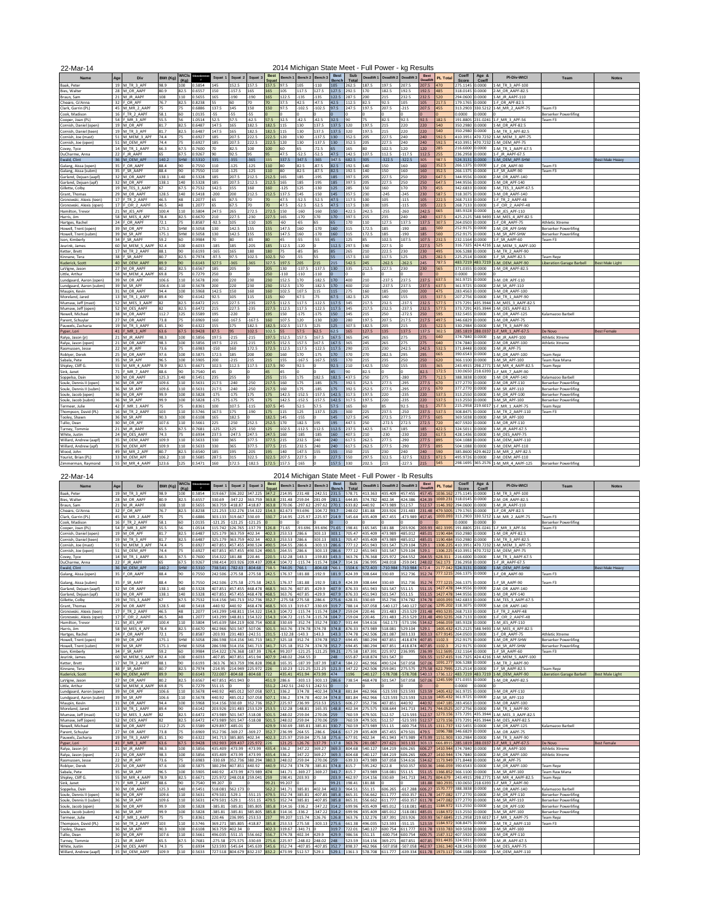22-Mar-14

## 2014 Michigan State Meet - Full Power - kg Results

| 22 TVICI - IT                                   |     |                             |                 |             |            |                          |          |          |                |         |                    | $\epsilon$ . The matrice is the state in the state in the state in the state in the state in the state in the state in the state in the state in the state in the state in the state in the state in the state in the state in the |              |                       |            |            | ny nooano  |                               |          |                   |                       |                                     |                              |                        |
|-------------------------------------------------|-----|-----------------------------|-----------------|-------------|------------|--------------------------|----------|----------|----------------|---------|--------------------|------------------------------------------------------------------------------------------------------------------------------------------------------------------------------------------------------------------------------------|--------------|-----------------------|------------|------------|------------|-------------------------------|----------|-------------------|-----------------------|-------------------------------------|------------------------------|------------------------|
| <b>Name</b>                                     | Age | Div                         | <b>BWt (Kg)</b> | WtCls       | Glossbrenr | Squat                    | Squat 2  | Squat    | <b>Best</b>    | Bench 1 | Bench <sub>2</sub> | Bench:                                                                                                                                                                                                                             | <b>Best</b>  | Sub                   | Deadlift 1 | Deadlift 2 | Deadlift 3 | <b>Best</b><br><b>Deadlif</b> | PL Total | Coeff             | Age &                 | <b>PI-Div-WtCl</b>                  | Tean                         | <b>Notes</b>           |
|                                                 |     | 19 M TR 3 APF               | 98.9            | (Ka)<br>100 | 0.5854     | 145                      | 152.5    | 157.5    | Squat<br>157.5 | 97.5    | 105                | $-110$                                                                                                                                                                                                                             | Bench<br>105 | <b>Total</b><br>262.5 | 187.5      | 197.5      | 207.5      |                               | 470      | Score<br>275 1145 | <b>Coeff</b><br>0000. | 1-M TR 3 APF-100                    |                              |                        |
| Baak, Peter                                     |     |                             |                 |             |            |                          |          |          |                |         |                    |                                                                                                                                                                                                                                    |              |                       |            |            |            | 207.5                         | 485      | 318.0145          | 0000.                 |                                     |                              |                        |
| Bies, Walte                                     |     | 28 M OR AAPF                | 80.9            | 82.5        | 0.6557     | 150                      | $-157.5$ | 165      | 165            | 105     | 117.5              | 127.5                                                                                                                                                                                                                              | 127.5        | 292.5                 | 170        | 182.5      | 192.5      | 192.5                         |          |                   |                       | 2-M OR AAPF-82.5                    |                              |                        |
| Braun, Sam                                      |     | 21 M JR AAPF                | 108             | 110         | 0.5655     | 165                      | $-190$   | 190      | 165            | 122.5   | $-135$             | -135                                                                                                                                                                                                                               | 122.5        | 2875                  | 200        | 215        | 232.5      | 232.5                         | 520      | 294.0600          | 0000.                 | 1-M JR AAPF-110                     |                              |                        |
| Cheairs, Gi'Anna                                | 32  | FOR APF                     | 76.7            | 82.5        | 0.8238     | $\overline{\phantom{a}}$ | 60       | 70       | 70             | 37.5    | 42.5               | $-47.5$                                                                                                                                                                                                                            | 42.5         | 112.5                 | 82.5       | 92.5       | 105        | 105                           | 217.5    | 179.1765          | .0000                 | 1-F OR APF-82.5                     |                              |                        |
| Clark, Garrin (PL                               |     | 45 M MR 2 AAPI              | 75              | 75          | 0.6886     | 137.5                    | 145      | 150      | 150            | 97.5    | $-102.5$           | $-102.5$                                                                                                                                                                                                                           | 97.5         | 247.5                 | 197.5      | 207.5      | $-215$     | 207.5                         | 455      | 313.2903          | 30.521                | 1-M MR_2_AAPF-75                    | eam F3                       |                        |
| Cook, Madison                                   | 16  | TR 2 AAPF                   | 58.1            | 60          | 1.0135     | -55                      | $-55$    | 55       |                |         |                    |                                                                                                                                                                                                                                    |              |                       |            |            |            |                               |          | 0000.             | 0.0000                |                                     | serserker Powerlifing        |                        |
| Cooper, Joan (PL)                               |     | 54 F MR 3 APF               | 55.5            | 56          | 1.0514     | 52.5                     | 57.5     | 62.5     | 57.5           | 32.5    | $-42.5$            | 42.5                                                                                                                                                                                                                               | 32.5         | 90                    | 75         | 82.5       | 92.5       | 92.5                          | 182.5    | 191.8805          | 231.0241              | 1-F MR 3 APF-56                     | Feam F3                      |                        |
| Cornish, Daniel (open                           |     | 19 M OR APF                 | 81.7            | 82.5        | 0.6487     | 147.5                    | 165      | 182.5    | 182.5          | 115     | 130                | 137.5                                                                                                                                                                                                                              | 137.5        | 320                   | 197.5      | 215        | 220        | 220                           | 540      | 350.2980          | 0000.                 | 1-M OR APF-82.5                     |                              |                        |
| Cornish, Daniel (teen)                          |     | 19 M TR 3 AP                | 81.7            | 82.5        | 0.6487     | 147.5                    | 165      | 182.5    | 182.5          | 115     | 130                | 137.5                                                                                                                                                                                                                              | 137.5        | 320                   | 197.5      | 215        | 220        | 220                           | 540      | 350.2980          | 0000.                 | 1-M TR 3 APF-82.5                   |                              |                        |
| Cornish, Joe (mast)                             |     | 51 M MFM 3 AP               | 74.4            | 75          | 0.6927     | 185                      | 207.5    | 222.5    | 222.5          | 120     | 130                | $-137.5$                                                                                                                                                                                                                           | 130          | 352.5                 | 205        | 227.5      | 240        | 240                           | 592.5    | 410.3951          | 470.7232              | 1-M MEM 3 APF-75                    |                              |                        |
| Cornish, Joe (open)                             |     | 51 M OEM APF                | 74.4            | 75          | 0.6927     | 185                      | 207.5    | 222.5    | 222.5          | 120     | 130                | $-137.5$                                                                                                                                                                                                                           | 130          | 352.5                 | 205        | 227.5      | 240        | 240                           | 592.5    | 410.3951          | 470.7232              | 1-M OEM APF-75                      |                              |                        |
| Covey, Tyce                                     |     | 14 M_TR_1_AAPF              | 66.3            | 67.5        | 0.7600     | 70                       | 82.5     | 100      | 100            | 60      | 65                 | $-72.5$                                                                                                                                                                                                                            | 65           | 165                   | 80         | 102.5      | 120        | 120                           | 285      | 216,6000          | .0000                 | 1-M TR 1 AAPF-67.5                  |                              |                        |
| DuCharme, Anna                                  | 22  | JR AAPF                     | 65              | 67.5        | 0.9267     | 90                       | 92.5     | 95       | 95             | 47.5    | $-52.5$            | 52.5                                                                                                                                                                                                                               | 47.5         | 142.5                 | 107.5      | 112.5      | $-117.5$   | 112.5                         | 255      | 236.2958          | 0.0000                | 1-F JR AAPF-67.5                    |                              |                        |
| Ewald, Clint                                    |     | 36 M OEM AP                 | 140.2           | SHW         | 0.5310     | 335                      | $-355$   | $-365$   | 335            | 337.5   | 347.5              | $-365$                                                                                                                                                                                                                             | 347.5        | 682.5                 | 305        | $-322.5$   | $-322.5$   | 305                           | 987.5    | 524.3131          | 0.0000                | 1-M OEM APF-SHW                     |                              | <b>Best Male Heavy</b> |
| Galang, Aissa (open)                            | 35  | OR AAPF                     | 88.4            | 90          | 0.7550     | 110                      | $-125$   | $-125$   | 110            | 80      | 82.5               | $-87.5$                                                                                                                                                                                                                            | 82.5         | 192.5                 | 140        | 150        | 160        | 160                           | 352.5    | 266.1375          | 0000.                 | 1-F OR AAPF-90                      | eam F3                       |                        |
| Galang, Aissa (subm)                            | 35  | SR AAPF                     | 88.4            | 90          | 0.7550     | 110                      | $-125$   | $-125$   | 110            | 80      | 82.5               | $-87.5$                                                                                                                                                                                                                            | 82.5         | 192.5                 | 140        | 150        | 160        | 160                           | 352.5    | 266.1375          | 0.0000                | 1-F SR AAPF-90                      | Pam F3                       |                        |
|                                                 |     | 32 M_OR_AAPF                | 138.1           | 140         | 0.5328     | 185                      | 207.5    | 212.5    | 212.5          | 165     | 185                | $-195$                                                                                                                                                                                                                             | 185          | 397.5                 | 205        | 227.5      | 250        | 250                           | 647.5    | 344.9556          | 0.0000                | 2-M_OR_AAPF-140                     |                              |                        |
| Garland, Dejuan (aapf)<br>Garland, Deiuan (apf) |     | 32 M OR APF                 | 138.1           | 140         | 0.5328     | 185                      | 207.5    | 212.5    | 212.5 165      |         | 185                | $-195$                                                                                                                                                                                                                             | 185          | 397.5                 | 205        | 227.5      | 250        | 250                           | 647.5    | 344.9556          | 0000.                 | 1-M OR APF-140                      |                              |                        |
|                                                 |     |                             | 67              |             |            |                          |          |          |                |         |                    |                                                                                                                                                                                                                                    |              |                       |            |            |            |                               |          |                   |                       | I-M TFS 3 AAPF-67                   |                              |                        |
| Gillette, Colby                                 |     | 19 M TES 3 AAP              |                 | 67.5        | 0.7532     | 142.5                    | 155      | 160      | 160            | $-125$  | 125                | -130                                                                                                                                                                                                                               | 125          | 285                   | 150        | 160        | 170        | 170                           | 455      | 342.6833          | 0.0000                |                                     |                              |                        |
| Grant, Thomas                                   |     | 29 M OR AAPF                | 128.5           | 140         | 0.5418     | $-200$                   | 200      | 212.5    | 212.5 137.5    |         | 145                | $-150$                                                                                                                                                                                                                             | 145          | 357.5                 | 230        | $-245$     | $-245$     | 230                           | 587.5    | 318,3075          | 0.0000                | 3-M OR AAPF-140                     |                              |                        |
| Gronowski, Alexis (teen)                        |     | 17 F TR 2 AAPF              | 46.5            | 48          | 1.2077     |                          | 67.5     | 70       | 70             | 47.5    | $-52.5$            | $-52.5$                                                                                                                                                                                                                            | 47.5         | 117.5                 | 100        | 105        | $-115$     | 105                           | 222.5    | 268.7133          | 0.0000                | 1-F TR 2 AAPF-48                    |                              |                        |
| Gronowski, Alexis (open)                        | 171 | OR_2_AAPF                   | 46.5            | 48          | 1.2077     |                          | 67.5     | 70       | 70             | 47.5    | $-52.5$            | $-52.5$                                                                                                                                                                                                                            | 47.5         | 117.5                 | 100        | 105        | $-115$     | 105                           | 222.5    | 268.7133          | 0.0000                | 1-F_OR_2_AAPF-48                    |                              |                        |
| Hamilton Trevor                                 |     | 21 M JES APF                | 100.4           | 110         | 1,5804     | 247.5                    | 265      | 272.5    | 272.5          | 150     | $-160$             | $-160$                                                                                                                                                                                                                             | 150          | 422.5                 | 242.5      | 255        | $-260$     | 242.5                         | 665      | 385.9328          | 0.0000                | 1-M JES APF-110                     |                              |                        |
| Harris, Jim                                     |     | 58 M MES 4 APF              | 78.4            | 82.5        | 0.6670     | 210                      | 227.5    | $-230$   | 227.5          | 165     | $-170$             | 170                                                                                                                                                                                                                                | 170          | 397.5                 | 215        | 235        | 240        | 240                           | 637.5    | 425.2125          | 548.9493              | 1-M MES 4 APF-82.5                  |                              |                        |
| Hartges, Rachel                                 |     | 24 F OR AAPF                | 72.1            | 75          | 0.8587     | $-92.5$                  | 105      | $-110$   | 105            | $-60$   | -65                | 65                                                                                                                                                                                                                                 | 65           | 170                   | 110        | 127.5      | 137.5      | 137.5                         | 307.5    | 264.0503          | 0.0000                | 1-F OR AAPF-75                      | Athletic Xtreme              |                        |
| Howell, Trent (open)                            |     | 39 M OR APF                 | 175.1           | SHW         | 0.5058     | 130                      | 142.5    | 155      | 155            | 147.5   | 160                | $-170$                                                                                                                                                                                                                             | 160          | 315                   | 172.5      | 185        | $-190$     | 185                           | 500      | 252.9175          | 0.0000                | 1-M OR APF-SHW                      | Berserker Powerlifing        |                        |
| Howell, Trent (subm)                            |     | 39 M SR APF                 | 175.1           | SHW         | 0.5058     | 130                      | 142.5    | 155      | 155            | 147.5   | 160                | $-170$                                                                                                                                                                                                                             | 160          | 315                   | 172.5      | 185        | $-190$     | 185                           | 500      | 252.9175          | 0.0000                | 1-M SR APF-SHW                      | Berserker Powerlifing        |                        |
| Ison, Kimberly                                  | 34  | SR AAPF                     | 59.2            | 60          | 0.9984     | 70                       | 80       | -85      | 80             | 45      | $-55$              | $-55$                                                                                                                                                                                                                              | 45           | 125                   | 85         | 102.5      | 107.5      | 107.5                         | 232.5    | 232.1164          | 0.0000                | 1-F SR AAPF-60                      | Feam F3                      |                        |
| Jeurink, James                                  |     | 60 M MEM 5 AAPF             | 92.4            | 100         | 0.6033     | 185                      | 185      | $-205$   | 185            | 112.5   | $-120$             |                                                                                                                                                                                                                                    | 112.5        | 297.5                 | 190        | 227.5      | 0          | 227.5                         | 525      | 316.7325          | 424.4216              | 1-M MEM 5 AAPF-100                  |                              |                        |
| Ketter, Brett                                   |     | 17 M TR 2 AAPF              | 88.1            | 90          | 0.6193     | 165                      | 165      | 180      | 180            | 75      | $-85$              | 85                                                                                                                                                                                                                                 | 85           | 265                   | 210        | 222.5      | 230        | 230                           | 495      | 306.5288          | 0000.                 | 1-M TR 2 AAPF-90                    |                              |                        |
| Kinnane Tera                                    | 38  | SR AAPF                     | 80.7            | 82.5        | 0.7974     | 97.5                     | 97.5     | 1025     | 102.5          | 50      | -55                | 55                                                                                                                                                                                                                                 | 55           | 157.5                 | 110        | 117.5      | 125        | 125                           | 282.5    | 225.2514          | 0000.                 | 1-F SR AAPF-82.5                    | eam Renz                     |                        |
|                                                 |     |                             | 89.9            | 90          | 0.6143     | 327.5                    | $-365$   | 365      |                |         |                    | 215                                                                                                                                                                                                                                | 215          | 542.5                 | 245        | $-262.5$   | $-262.5$   |                               | 787.5    | 483.7219          |                       | 1-M OEM AAPF-90                     |                              |                        |
| Kuderick, Scott                                 |     | 40 M_OEM_AAPR               |                 |             |            |                          |          |          | 327.5          | 197.5   | 205                |                                                                                                                                                                                                                                    |              |                       |            |            |            | 245                           |          |                   | 483.721               |                                     | Liberation Garage Barbell    | Best Male Light        |
| LaVigne, Jason                                  |     | 27 M OR AAPF                | 80.2            | 82.5        | 0.6567     | 185                      | 205      |          | 205            | 130     | $-137.5$           | $-137.5$                                                                                                                                                                                                                           | 130          | 335                   | 212.5      | 227.5      | 230        | 230                           | 565      | 371.0355          | 0.0000                | 1-M OR AAPF-82.5                    |                              |                        |
| Little, Arthur                                  |     | 58 M MFM 4 AAPR             | 69.8            | 75          | 0.7279     | 250                      |          |          | 250            | $-110$  | $-110$             | -110                                                                                                                                                                                                                               |              |                       | $\Omega$   |            | $\Omega$   |                               |          | 0000.             | .0000                 |                                     |                              |                        |
| Lundgaard, Aaron (open)                         |     | 39 M OR APF                 | 106.6           | 110         | 0.5678     | 200                      | 220      | 230      | 230            | 152.5   | 170                | 182.5                                                                                                                                                                                                                              | 170          | 400                   | 210        | $-237.5$   | 237.5      | 237.5                         | 637.5    | 361.9725          | 0000.                 | 3-M OR APF-110                      |                              |                        |
| Lundgaard, Aaron (subm)                         |     | 39 M SR APF                 | 106.6           | 110         | 0.5678     | 200                      | 220      | 230      | 230            | 152.5   | 170                | $-182.5$                                                                                                                                                                                                                           | 170          | 400                   | 210        | $-237.5$   | 237.5      | 237.5                         | 637.5    | 361.9725          | 0.0000                | 2-M SR APF-110                      |                              |                        |
| Maupin, Kevin                                   |     | 31 M OR AAPF                | 94.4            | 100         | 0.5968     | 142.5                    | 150      | 160      | 160            | 102.5   | 107.5              | 115                                                                                                                                                                                                                                | 115          | 275                   | 160        | 185        | 200        | 200                           | 475      | 283.4563          | 0.0000                | 3-M OR AAPF-100                     |                              |                        |
| Moreland, Jared                                 |     | 13 M TR 1 AAPF              | 89.4            | 90          | 0.6142     | 92.5                     | 105      | 115      | 115            | 60      | 67.5               | $-75$                                                                                                                                                                                                                              | 67.5         | 182.5                 | 125        | 140        | 155        | 155                           | 337.5    | 207.2756          | 0000.                 | 1-M TR 1 AAPF-90                    |                              |                        |
| Mumaw, Jeff (mast)                              |     | 52 M MES 3 AAPF             | 82              | 82.5        | 0.6472     | 215                      | 227.5    | $-235$   | 227.5          | 112.5   | 117.5              | $-122.5$                                                                                                                                                                                                                           | 117.5        | 345                   | 217.5      | 232.5      | $-237.5$   | 232.5                         | 577.5    | 373.7291          | 435.3944              | 1-M MES 3 AAPF-82.5                 |                              |                        |
| Mumaw, Jeff (open)                              |     | 52 M OES AAPF               | 82              | 82.5        | 0.6472     | 215                      | 227.5    | $-235$   | 227.5          | 112.5   | 117.5              | $-122.5$                                                                                                                                                                                                                           | 117.5        | 345                   | 217.5      | 232.5      | $-237.5$   | 232.5                         | 577.5    | 373.7291          | 435.3944              | 1-M OES AAPF-82.5                   |                              |                        |
| Newell, Michael                                 |     | 38 M OR AAPF                | 112.7           | 125         | 0.5589     | 195                      | $-220$   |          | 195            | 150     | $-175$             | $-175$                                                                                                                                                                                                                             | 150          | 345                   | 215        | 250        | $-272.5$   | 250                           | 595      | 332.5455          | 0000.                 | 1-M OR AAPF-125                     | Kalamazoo Barbell            |                        |
| Parent, Schuvlar                                |     | 27 M OR AAPF                | 73.8            | 75          | 0.6969     | 160                      | $-167.5$ | $-167.5$ | 160            | 107.5   | 120                | -130                                                                                                                                                                                                                               | 120          | 280                   | 197.5      | 207.5      | 217.5      | 217.5                         | 497.5    | 346.6829          | 0000.                 | 1-M OR AAPF-75                      |                              |                        |
| Pauwels, Zacharia                               |     | 19 M TR 3 AAPF              | 85.1            | 90          | 0.6322     | 155                      | 175      | 182.5    | 182.5          | 102.5   | 117.5              | 125                                                                                                                                                                                                                                | 125          | 307.5                 | 182.5      | 205        | 215        | 215                           | 522.5    | 330.2984          | noon                  | 1-M TR 3 AAPF-90                    |                              |                        |
| Pyper, Lori                                     | 41  | MR 1 APF                    | 63.6            | 67.5        | 0.9428     | 87.5                     | 95       | 102.5    | 102.5          | 55      | 57.5               | 62.5                                                                                                                                                                                                                               | 62.5         | 165                   | 127.5      | 135        | 137.5      | 137.5                         | 302.5    | 285.1819          | 288.033               | 1-F MR 1 APF-67.5                   | De Novo                      | <b>Best Female</b>     |
| Ralya, Jason (jr)                               |     | 21 M JR AAPF                | 98.3            | 100         | 0.5856     | 197.5                    | $-215$   | $-215$   | 197.5          | 152.5   | 157.5              | 167.5                                                                                                                                                                                                                              | 167.5        | 365                   | 245        | 265        | 275        | 275                           | 640      | 374.7840          | 0000.                 | 1-M JR AAPF-100                     | Athletic Xtreme              |                        |
| Ralya, Jason (open)                             |     | 21 M OR AAPF                | 983             | 100         | 0.5856     | 197.5                    | $-215$   | $-215$   | 197.5          | 152.5   | 157.5              | 167.5                                                                                                                                                                                                                              | 167.5        | 365                   | 245        | 265        | 275        | 275                           | 640      | 374.7840          | 0000.                 | 2-M OR AAPF-100                     | Athletic Xtreme              |                        |
|                                                 |     |                             | 73.6            | 75          | 0.6983     | 150                      | 160      | 172.5    | 172.5          | 112.5   | 117.5              | $-122.5$                                                                                                                                                                                                                           | 117.5        | 290                   | 215        | 230        | 242.5      | 242.5                         | 532.5    | 371,8448          | 0000.                 |                                     |                              |                        |
| Rasmussen, Jesse                                |     | 22 M_JR_APF                 |                 |             |            |                          |          |          |                |         |                    |                                                                                                                                                                                                                                    |              |                       |            |            |            |                               |          |                   |                       | 1-M JR APF-75                       |                              |                        |
| Roblyer, Derek                                  |     | 25 M OR AAPF<br>35 M SR APF | 97.6<br>96.5    | 100         | 0.5875     | 172.5                    | 185      | 200      | 200            | 160     | 170                | 175                                                                                                                                                                                                                                | 170          | 370                   | 270        | 282.5      | 295<br>250 | 295<br>250                    | 665      | 390.6543          | 0.0000                | 1-M OR AAPF-100                     | eam Repz                     |                        |
| Sabala, Pete                                    |     |                             |                 | 100         | 0.5905     | 200                      | $-215$   | 215      | 215            | 155     | $-167.5$           | $-167.5$                                                                                                                                                                                                                           | 155          | 370                   | 215        | 235        |            |                               | 620      | 366.1100          | .0000                 | 1-M SR APF-100                      | eam Raw Mana                 |                        |
| Shipley, Cliff G.                               |     | 55 M MR 4 AAP               | 78.9            | 82.5        | 0.6671     | 102.5                    | 112.5    | 117.5    | 117.5          | 90      | 92.5               |                                                                                                                                                                                                                                    | 92.5         | 210                   | 142.5      | 150        | 155        | 155                           | 365      | 243.4915          | 298.277               | 1-M MR 4 AAPF-82.5                  | Feam Repz                    |                        |
| Sink, Janet                                     |     | 71 F_MR_7_AAPF              | 88.6            | 90          | 0.7540     | 45                       |          |          | 45             | 45      |                    |                                                                                                                                                                                                                                    | 45           | 90                    | 82.5       |            |            | 82.5                          | 172.5    | 130.0650          | 218.639               | 1-F MR 7 AAPF-90                    |                              |                        |
| Soppelsa, Dain                                  |     | 30 M OR AAPF                | 125.3           | 140         | 0.5451     | 235                      | 255      |          | 255            | 155     | 175                | 182.5                                                                                                                                                                                                                              | 182.5        | 437.5                 | 250        | 275        | $-280$     | 275                           | 712.5    | 388.3838          | 0.0000                | 1-M OR AAPF-140                     | Kalamazoo Barbell            |                        |
| Soule, Dennis II (open)                         |     | 36 M OR APF                 | 109.6           | 110         | 0.5631     | 217.5                    | $-240$   | $-250$   | 217.5          | 160     | 175                | $-185$                                                                                                                                                                                                                             | 175          | 392.5                 | 252.5      | 277.5      | $-295$     | 277.5                         | 670      | 377.2770          | 0.0000                | 2-M OR APF-110                      | 3erserker Powerlifing        |                        |
| Soule, Dennis II (subm)                         |     | 36 M SR APF                 | 109.6           | 110         | 0.5631     | 217.5                    | $-240$   | $-250$   | 217.5          | 160     | 175                | $-185$                                                                                                                                                                                                                             | 175          | 392.5                 | 252.5      | 277.5      | $-295$     | 277.5                         | 670      | 377.2770          | 0.0000                | I-M SR APF-110                      | serserker Powerlifing        |                        |
| Soule, Jacob (open)                             |     | 36 M OR APF                 | 99.9            | 100         | 0.5828     | $-175$                   | $-175$   | 175      | 175            | 142.5   | $-152.5$           | $-157.5$                                                                                                                                                                                                                           | 142.5        | 317.5                 | 197.5      | 220        | $-235$     | 220                           | 537.5    | 313.2550          | 0.0000                | 1-M OR APF-100                      | <b>Berserker Powerlifing</b> |                        |
| Soule, Jacob (subm)                             |     | 36 M SR APF                 | 99.9            | 100         | 0.5828     | 175                      | $-175$   | 175      | 175            | 142.5   | $-152.5$           | $-157.5$                                                                                                                                                                                                                           | 142.5        | 317.5                 | 197.5      | 220        | $-235$     | 220                           | 537.5    | 313.2550          | 0000.                 | 3-M SR APF-100                      | Berserker Powerlifing        |                        |
| Termeer, Julie                                  |     | 42 F MR 1 AAPF              | 75              | 75          | 0.8361     | 100                      | 107.5    | $-115$   | 107.5          | 45      | 52.5               | 57.5                                                                                                                                                                                                                               | 57.5         | 165                   | 60         | 85         | 92.5       | 92.5                          | 257.5    | 215.2958          | 219.601               | 1-F MR 1 AAPF-75                    | Team Repa                    |                        |
| Thompson, David (PL)                            |     | 16 M_TR_2_AAPF              | 103             | 110         | 0.5746     | 167.5                    | 175      | $-190$   | 175            | 115     | 125                | $-137.5$                                                                                                                                                                                                                           | 125          | 300                   | 225        | 237.5      | $-250$     | 237.5                         | 537.5    | 308,8475          | 0000.                 | 1-M TR 2 AAPF-110                   | Team F3                      |                        |
| Tooley, Shawr                                   |     | 36 M SR APF                 | 90.3            | 100         | 0.6108     | 165                      | 182.5    |          | 182.5          | 145     | $-155$             |                                                                                                                                                                                                                                    | 145          | 327.5                 | 245        | 272.5      | 277.5      | 277.5                         | 605      | 369.5038          | 0.0000                | 2-M SR APF-100                      |                              |                        |
| Tullio, Dear                                    |     | 30 M OR APF                 | 107.6           | 110         | 0.5661     | 225                      | $-250$   | 252.5    | 252.5          | 170     | 182.5              | 195                                                                                                                                                                                                                                | 195          | 447.5                 | 250        | $-272.5$   | 272.5      | 272.5                         | 720      | 407.5920          | 0000.                 | 1-M OR APF-110                      |                              |                        |
| Turney, Tommie                                  |     | 21 M JR AAPF                | 65.5            | 67.5        | 0.7681     | $-125$                   | 125      | -150     | 125            | 102.5   | $-112.5$           | 112.5                                                                                                                                                                                                                              | 112.5        | 237.5                 | 142.5      | 167.5      | 185        | 185                           | 422.5    | 324.5011          | 0000.                 | 1-M JR AAPF-67.5                    |                              |                        |
| White, Justin                                   |     | 24 M OES AAPF               | 74.3            | 75          | 0.6934     | 237.5                    | $-247.5$ | 247.5    | 247.5          | 160     | $-185$             | 185                                                                                                                                                                                                                                | 160          | 407.5                 | 210        | -230       | $-230$     | 210                           | 617.5    | 428.1436          | 0000.                 | 1-M OES AAPF-75                     |                              |                        |
| Willard, Andrew (aapf                           |     | 35 M OEM AAPI               | 109.9           | 110         | 0.5633     | 330                      | 365      | 377.5    | 377.5 215      |         | 232.5              | 240                                                                                                                                                                                                                                | 240          | 617.5                 | 262.5      | 277.5      | $-290$     | 277.5                         | 895      | 504.1088          | 0000.                 | 1-M OEM AAPF-110                    |                              |                        |
|                                                 |     |                             |                 |             |            |                          |          |          | 377.5          | 215     | 232.5              | 240                                                                                                                                                                                                                                | 240          | 617.5                 |            | 277.5      |            |                               |          |                   |                       |                                     |                              |                        |
| Willard, Andrew (apf)                           |     | 35 M OEM APF                | 109.9           | 110         | 0.5633     | 330                      | 365      | 377.5    |                |         |                    |                                                                                                                                                                                                                                    |              |                       | 262.5      |            | $-290$     | 277.5                         | 895      | 504.1088          | .0000<br>129 462      | 1-M OEM APF-110                     |                              |                        |
| Wood, John                                      |     | 49 M MR 2 API               | 80.7            | 82.5        | 0.6540     | 185                      | 195      | $-205$   | 195            | 140     | 147.5              | 155                                                                                                                                                                                                                                | 155          | 350                   | 215        | 230        | 240        | 240                           | 590      | 385,8600          |                       | 1-M MR 2 APF-82.5                   |                              |                        |
| Yourist, Brian (PL)                             |     | 33 M_OEM_APF                | 106.2           | 110         | 1.5685     | 287.5                    | 315      | 322.5    | 322.5          | 207.5   | 227.5              |                                                                                                                                                                                                                                    | 227.5        | 550                   | 297.5      | 322.5      | $-327.5$   | 322.5                         | 872.5    | 495.9726          | .0000                 | 2-M OEM APF-110                     |                              |                        |
| Zimmerman, Raymond                              |     | 55 M MR 4 AAPF              | 123.6           |             | 125 0.5471 | 160                      | 172.5    | $-182.5$ | 172.5 157.5    |         | $-165$             |                                                                                                                                                                                                                                    | 157.5        | 330                   | 202.5      | 215        | $-227.5$   | 215                           | 545      |                   |                       | 298.1695 365.2576 1-M MR 4 AAPF-125 | <b>Berserker Powerlifing</b> |                        |
|                                                 |     |                             |                 |             |            |                          |          |          |                |         |                    |                                                                                                                                                                                                                                    |              |                       |            |            |            |                               |          |                   |                       |                                     |                              |                        |

22-Mar-14

2014 Michigan State Meet - Full Power - lb Results

| <b>Name</b>                           | Ag              | Dh                               | BWt (Kg)      | WtCls<br><b>Ka</b> | ossbre           | Squat             | Squat 2              | Squat               | <b>Best</b><br>Saua <sup>®</sup> | Bench <sup>®</sup> | Bench <sub>2</sub> | <b>Bench</b>        | <b>Best</b><br>Bencl | Sub<br>Tota      | Deadlift 1         | Deadlift 2            | <b>Deadlift</b>    | <b>Best</b><br><b>Deadlife</b> | PL Tota           | Coeff<br>Score       | Age &<br>Coeff    | PI-Div-WtCl                             | Team                         | <b>Notes</b>           |
|---------------------------------------|-----------------|----------------------------------|---------------|--------------------|------------------|-------------------|----------------------|---------------------|----------------------------------|--------------------|--------------------|---------------------|----------------------|------------------|--------------------|-----------------------|--------------------|--------------------------------|-------------------|----------------------|-------------------|-----------------------------------------|------------------------------|------------------------|
| saak, Pete                            | 19              | <b>ATR 3 APR</b>                 | 989           | 100                | 0.5854           | 19.667            | 36.202               | 347.225             | 147.2                            | 14.95              | 231 48             | $-242.51$           | 231.5                | 578.71           | 113 363            | 135.409               | 457.455            | 157.45                         | 036.16            | 275.1145             | 0.0000            | 1-M TR 3 APF-100                        |                              |                        |
| Bies, Walter                          | 28              | M OR AAPF                        | 80.9          | 82.5               | 0.6557           | 30.69             | 347.22               | 363.759             | 63.8                             | 231.48             | 159.04             | 281.09              | 281.1                | 44.85            | 374.782            | 402.34                | 424.386            | 424.39                         | 069.23            | 318 0145             | 0.0000            | 2-M OR AAPF-82.5                        |                              |                        |
| <b>Sraun</b> , Sam                    | 21              | M JR AAPF                        | 108           | 110                | 5655             | 63.759            | $-418.87$            | $-418.87$           | 63.8                             | 70.06              | 297.62             | 297.62              | 270.1                | 33.82            | 440.92             | 473.989               | 512.57             | 512.57                         | 146.392           | 294.0600             | 0.0000            | I-M JR AAPF-110                         |                              |                        |
| Cheairs, Gi'Anna                      | 32              | OR APF                           | 76.7          | 82.5               | 0.8238           | 121.253           | 132.276              | 154.322             | 54.3                             | 82.673             | 93.696             | 104.72              | 93.7                 | 148.02           | 181.88             | 203.926               | 231.483            | 231.48                         | 79.501            | 179.1765             | 0.0000            | I-F OR APF-82.5                         |                              |                        |
| Clark, Garrin (PL)                    | 45              | M MR 2 AAPF                      | 75            | 75                 | 1.6886           | 03.133            | 319.667              | 330.69              | 30.7                             | 214.95             | $-225.97$          | $-225.97$           | 214.9                | 45.64            | 435.409            | 457.455               | -473.989           | 457.45                         | 1003.09           | 313.2903             | 330.521           | L-M MR 2 AAPF-75                        | Team F3                      |                        |
| Cook, Madison                         | 16              | TR 2 AAPF                        | 58.1          | 60                 | 1.0135           | 121.25            | $-121.25$            | $-121.25$           |                                  |                    |                    |                     |                      |                  |                    |                       |                    |                                |                   | 0000                 | 0.0000            |                                         | Berserker Powerlifing        |                        |
| Cooper, Joan (PL                      | 54              | MR <sub>3</sub> APF              | 55.5          | 56                 | 1.0514           | 15.742            | 126.765              | $-137.79$           | 26.8                             | 71.65              | $-93.696$          | $-93.696$           | 71.65                | 198.41           | 165.345            | 181.88                | 203.926            | 203.93                         | 402.339           | 191.8805             | 231.024           | 1-F MR 3 APF-56                         | Team F3                      |                        |
| Cornish, Daniel (open                 | 19              | OR APF                           | 81.7          | 82.5               | 1.6487           | 325.179           | 363.759              | 402.34              | 102.3                            | 53.53              | 286.6              | 303.13              | 303.1                | 05.47            | 135,409            | 473.989               | 485.012            | 485.01                         | 190.48            | 50.2980              | 0000.             | I-M OR APF-82.5                         |                              |                        |
| Cornish, Daniel (teen                 | 19              | M TR 3 APR                       | 81.7          | 82.5               | 1.6487           | 325.179           | 363,759              | 402.34              | 102.3                            | 253.53             | 286.6              | 303.13              | 303.1                | 05.47            | 435,409            | 473.989               | 485.012            | 485.01                         | 190,484           | 50.2980              | 0.0000            | 1-M TR 3 APF-82.5                       |                              |                        |
| Cornish, Joe (mast)                   | 51              | M MEM 3 AP                       | 74.4          | 75                 | 0.6927           | 107.851           | 457.455              | 490.524             | 90.5                             | 264.55             | 286.6              | 303.13              | 286.6                | 777.12           | 451.943            | 501.547               | 529.104            | 529.1                          | 306.22            | 410.3951             | 470.7232          | 1-M MEM 3 APF-75                        |                              |                        |
| Cornish, Joe (open)                   | 51              | M OEM APF                        | 74.4          | 75                 | 0.6927           | 107.851           | 457.455              | 490.524             | 190.5                            | 264.55             | 286.6              | 303.13              | 286.6                | 77.12            | 451.943            | 501.547               | 529.104            | 529.1                          | 306.22            | 410.3951             | 470.7232          | I-M OEM APF-75                          |                              |                        |
| Covey, Tyce                           | 14              | M TR 1 AAPF                      | 66.3          | 67.5               | 0.7600           | 154.322           | 181.88               | 220.46              | 220.5                            | 132.28             | 143.3              | 159.83              | 143.3                | 363.76           | 176.368            | 225.972               | 264.552            | 264.55                         | 628.311           | 216.6000             | 0.0000            | I-M TR 1 AAPF-67.5                      |                              |                        |
| DuCharme, Anna                        | 22              | JR AAPF                          | 65            | 67.5               | 0.9267           | 98.414            | 203.926              | 209.437             | 09.4                             | 104.72             | 115.74             | 115.74              | 104.7                | 14.16            | 236.995            | 48.018                | $-259.041$         | 248.02                         | 562.173           | 236.2958             | 0.0000            | L-F JR AAPF-67.5                        |                              |                        |
| Ewald, Clint                          | 36              | M OEM API                        | 140.2         | <b>SHW</b>         | 5310             | 38.541            | $-782.63$            | $-804.68$           | 38.5                             | 744.05             | 766.1              | 804.68              | 766.1                | 1504.6           | 572.403            | 710.984               | 710.984            | 572.4                          | 177.04            | 524.3131             | 0.0000            | 1-M OEM APF-SHW                         |                              | Best Male Heavy        |
| Galang, Aissa (open)                  | 35              | OR AAPF                          | 88.4          | ٩n                 | 0.7550           | 42.506            | $-275.58$            | $-275.58$           | 42.5                             | 176.37             | 181.88             | 192.9               | 181.9                | 124.39           | 08.644             | 30.69                 | 352.736            | 352.74                         | 77.121            | 266.1375             | 0.0000            | 1-F OR AAPF-90                          | Team F3                      |                        |
|                                       | 35              | SR AAPF                          | 88.4          | ٩ñ                 | 1.7550           | 42.506            | $-275.58$            | 275.58              | 42.5                             | 76.37              |                    | 192.9               | 181.9                | 124.39           |                    | 30.69                 | 52.736             | 52.74                          | 77.121            | 66.137               | 0.0000            | -F SR AAPF-90                           |                              |                        |
| Galang, Aissa (subm                   | 32              |                                  | 138.1         | 140                |                  | 107.851           |                      |                     | 168.5                            | 363.76             | 181.88<br>407.85   |                     |                      | 376.33           | 08.644<br>151 943  |                       |                    |                                | 427,478           | 344.9556             | 0.0000            |                                         | Feam F3                      |                        |
| Garland, Dejuan (aapf                 |                 | <b>M OR AAPF</b>                 |               |                    | 0.5328           |                   | 457.455              | 468.478             |                                  |                    |                    | $-429.9$            | 407.9                |                  |                    | 501.547               | 551.15             | 551.15                         | 427.47            | 344.9556             | n nann            | 2-M OR AAPF-140                         |                              |                        |
| Sarland, Dejuan (apf)                 | 32              | M OR APF                         | 138.1         | 140                | 0.5328           | 107.851           | 457.455              | 468.478             | 168.5                            | 363.76             | 407.85             | 429.9<br>286.6      | 407.9                | 376.33           | 451.943            | 501.547               | 551.15             | 551.15                         | 003.09            | 342.6833             | 0.0000            | I-M OR APF-140                          |                              |                        |
| Sillette, Colby                       | 19              | <b>M TES 3 AAP</b>               | 67            | 67.5               | 0.7532           | 14.156            | 341.713              | 352.736             | 52.7                             | $-275.58$          | 275.58             |                     | 275.6                | 528.31           | 330.69             | 352.736               | 374,782            | 374.78                         | 295.20            | 318.3075             | 0.0000            | L-M TES 3 AAPF-67.                      |                              |                        |
| <b>Srant, Thomas</b>                  | 29              | M OR AAPF                        | 128.5         | 140                | 0.5418           | 440.92            | 440.92               | 468,478             | 168.5                            | 303.13             | 319.67             | 330.69              | 319.7                | 88.14            | 507.058            | $-540.127$            | 540.127            | 507.06                         |                   |                      |                   | M OR AAPF-140                           |                              |                        |
| Gronowski, Alexis (teen)              | 17              | TR 2 AAPI                        | 46.5          | 48                 | 1.2077           | 143.299           | 148.811              | 154.322             | 54.3                             | 104.72             | 115.74             | 115.74              | 104.7                | 59.04            | 20.46              | 231.483               | 253.529            | 231.48                         | 190.523           | 168.7133             | 0.0000            | L-F TR 2 AAPF-48                        |                              |                        |
| Gronowski, Alexis (open)              |                 | OR 2 AAPF                        | 46.5          | 48                 | .2077            | 43.299            | 148.811              | 154.322             | 54.3                             | 104.72             | 115.74             | $-115.74$           | 104.7                | 59.04            | 20.46              | 231.483               | 253.529            | 231.48                         | 190.523           | 68.7133 0.0000       |                   | -F_OR_2_AAPF-48                         |                              |                        |
| lamilton, Trevor                      | 21              | M JES APF                        | 100.4<br>78.4 | 110<br>82.5        | 1,5804           | 45.639            | 584.219              | 600.754             | 8.00                             | 330.69             | 352.74<br>374.78   | 352.74<br>374.78    | 330.7<br>374.8       | 31.44<br>376.33  | 34.616             | 562.17<br>518.081     | 573.196<br>529.104 | 534.62                         | 466.05            | 385.9328             | 0.0000<br>548,949 | I-M JES APF-110                         |                              |                        |
| Harris, Jim                           | 58              | M MES 4 APF                      |               |                    | 0.6670           | 162.966           | 501.547              | $-507.06$           | 01.5                             | 363.76             |                    |                     |                      |                  | 473.989            |                       |                    | 529.1                          | 405.43            | 425.2125             |                   | 1-M MES 4 APF-82.5                      |                              |                        |
| lartges, Rachel                       | 24              | OR AAPF                          | 721           | 75                 | 0.8587           | 203.93            | 231.483              | $-242.51$           | 31.5                             | $-132.28$          | 143.3              | 143.3               | 143.3                | 374.78           | 242 506            | 281.087               | 303.133            | 303.13                         | 77 914            | 264.0503             | 0.0000            | 1-F OR AAPF-75                          | <b>Athletic Xtreme</b>       |                        |
| Howell, Trent (open)                  | 39              | M OR APF                         | 175.1         | SHW                | 0.5058           | 86.598            | 314.156              | 341.713             | 41.7                             | 325.18             | 352.74             | 374.78              | 352.7                | 594.45           | 380.294            | 407.851               | -418.874           | 407.85                         | 102.3             | 252.9175             | 0.0000            | I-M OR APF-SHW                          | Berserker Powerlifing        |                        |
| Howell, Trent (subm)                  | 39              | <b>M SR APF</b>                  | 175.1         | SHW                | 1.5058           | 86.598            | 314.156              | 341.713             | 41.7                             | 325.18             | 352.74             | 374.78              | 352.7                | 94.45            | 380.294            | 407.851               | 418.874            | 407.85                         | 102.3             | 252.9175             | 0.0000            | I-M SR APF-SHW                          | <b>Berserker Powerlifing</b> |                        |
| son, Kimberl                          | 34              | SR AAPF                          | 59.2          | ñП                 | 9984             | 54.322            | 176.368              | 187.39              | 76.4                             | 99.207             | 121.25             | 121.25              | 99.21                | 75.58            | 87.391             | 225.972               | 36.995             | 236.99                         | 12.569            | 232.1164 0.0000      |                   | L-F SR AAPF-60                          | Team F3                      |                        |
| eurink, James                         | 60              | M MEM 5 AAPF                     | 92.4          | 100                | .6033            | 407.85            | 407.851              | $-451.94$           | 107.9                            | 248.02             | 264.55             |                     | 248                  | 55.87            | 418.874            | 501.547               |                    | 501.55                         | 157.41            | 316.7325 424.4216    |                   | 1-M MEM 5 AAPF-100                      |                              |                        |
| letter, Brett                         | 17<br>38        | M TR 2 AAPF                      | 88.1<br>80.7  | 90<br>82.5         | 0.6193           | 363.76<br>214.95  | 363,759<br>214.949   | 396.828             | 96.8<br>26                       | 165.35<br>110.23   | 187.39             | 187.39              | 187.4<br>121.3       | 84.22            | 162.966<br>242.506 | 190.524               | 507.058            | 507.06                         | 091.27            | 306.5288<br>25.2514  | 0.0000<br>0.0000  | I-M TR 2 AAPF-90                        |                              |                        |
| linnane, Tera                         |                 | SR AAPF                          |               | 90                 | 0.7974           |                   |                      | 225.972             | 722                              |                    | 121.25             | 121.25              | 474                  | 47.22            |                    | 259.041               | 275.575            | 275.58                         | 22.799            |                      |                   | 1-F SR_AAPF-82.5                        | <b>Team Rep2</b>             |                        |
| <b>Kuderick</b> , Scott               | 40<br>27        | <b>A OEM AAPR</b><br>M OR AAPF   | 89.9<br>80.2  | 82.5               | .6143<br>0.6567  | 22.007<br>107.851 | $-804.68$<br>451.943 | 804.68              | 451.9                            | 435.41<br>286.6    | 151.94<br>303.13   | 473.99<br>$-303.13$ | 286.6                | 196<br>38.54     | 540.127<br>468.478 | 578.708<br>501.547    | 578.708<br>507.058 | 540.13<br>507.06               | 736.12<br>245.599 | 483.7219<br>371.0355 | 483.721<br>0.0000 | I-M OEM AAPF-90<br>I-M OR AAPF-82.5     | Liberation Garage Barbell    | <b>Best Male Light</b> |
| LaVigne, Jason                        | 5.8             | M MEM 4 AAPF                     | 698           | 75                 |                  |                   |                      |                     |                                  | $-242.51$          | 242.51             | 242.51              |                      |                  |                    |                       |                    |                                |                   | ,0000                | 0.0000            |                                         |                              |                        |
| ittle, Arthur                         |                 |                                  |               |                    | 0.7279           | 51.15             |                      |                     | 551.2                            |                    |                    |                     |                      |                  |                    |                       |                    |                                |                   | 361.9725             | 0.0000            |                                         |                              |                        |
| undgaard, Aaron (open)                | 39              | A OR APF                         | 106.6         | 110                | 0.5678           | 140.92            | 485.012              | 507.058             | 07.1                             | 336.2              | 374.78             | 402.34              | 374.8                | 881.84           | 62.966             | 523.593               | 23.593             | 523.59                         | 405.43<br>405.43  | 361.9725             | 0.0000            | M OR APF-110                            |                              |                        |
| undgaard, Aaron (subm)                | 39<br>31        | <b>M SR APF</b>                  | 106.6<br>94.4 | 110                | 0.5678<br>0.5968 | 140.92            | 485.012<br>330.69    | 507.058<br>352.736  | 07.1<br>52.7                     | 336.2<br>225.97    | 374.78<br>36.99    | 402.34<br>253.53    | 374.8<br>253.5       | 881.84<br>506.27 | 162.966<br>152 736 | $-523.593$<br>407.851 | 23.593<br>140.92   | 523.59<br>140.92               | 047.18            | 283,4563             | 0.0000            | M SR APF-110                            |                              |                        |
| Maupin, Kevin                         | 13              | <b>A OR AAPR</b>                 | 89.4          | 100<br>90          | 0.6142           | 14.156<br>203.926 | 231.483              | 253.529             | 53.5                             | 132.28             | 148.81             | 165.35              | 148.8                | 102.34           | 175.575            | 308.644               | 341.713            |                                | 44.052            | 207.2756             | 0.0000            | M OR AAPF-100                           |                              |                        |
| Moreland, Jared<br>Mumaw. Jeff (mast) | 52              | TR 1 AAPF<br><b>M MES 3 AAPF</b> | 82            | 82.5               | 0.6472           | 173 989           | 501.547              | 518.08              | 01.5                             | 248.02             | 259.04             | 270.06              | 259                  | 60.59            | 179.501            | 512.57                | 523 593            | 341.71<br>512.57               | 273.15            | 373.7291             | 435.3944          | L-M TR 1 AAPF-90<br>L-M MES 3 AAPF-82.5 |                              |                        |
| Mumaw, Jeff (open)                    | 52              | VI OES AAPI                      | 82            | 82.5               | 0.6472           | 173.989           | 501.547              | 518.08              | 01.5                             | 248.02             | 259.04             | 270.06              | 259                  | 60.59            | 479.501            | 512.57                | -523.593           | 12.57                          | 273.15            | 373.7291             | 435.3944          | L-M OES AAPF-82.5                       |                              |                        |
| Vewell, Michael                       | 38              | <b>VI OR AAPF</b>                | 112.7         | 125                | 0.5589           | 129.897           | $-485.01$            |                     | 129.9                            | 330.69             | 385.81             | 385.81              | 330.7                | 60.59            | 473.989            | 551.15                | 600.754            | 551.15                         | 311.73            | 332.5455             | 0.0000            | I-M OR AAPF-125                         | Kalamazoo Barbell            |                        |
|                                       | 27              | <b>A OR AAPR</b>                 | 73.8          | 75                 | .6969            | 52.736            | 369.27               |                     | 52.7                             | 36.99              | 64.55              | 286.6               | 264.6                | 17.29            | 135.409            | 457.455               | 179.501            | 479.5                          | 096.78            | 346.6829 0.0000      |                   | I-M OR AAPF-75                          |                              |                        |
| Parent, Schuylar<br>Pauwels, Zacharia | 19              | <b>M TR 3 AAPF</b>               | 85.1          | 90                 | 0.6322           | 341.713           | 385.805              | $-369.27$<br>402.34 | 102.3                            | 225.97             | 259.04             | 275.58              | 275.6                | 577.91           | 402.34             | 451.943               | 173,989            | 473.99                         | 151.90            | 30.2984 0.0000       |                   | L-M TR 3 AAPF-90                        |                              |                        |
| Pyper, Lori                           | 41              | MR <sub>1</sub> API              | 63.6          | 675                | 19428            | 92.903            | 209.437              | 225.972             | 26                               | 121.25             | 126.76             | 137.79              | 137.8                | 63 76            | 281.087            | 297.621               | 303.133            | 103.13                         | 66.891            | 85 1819              | 288.033           | 1-F MR 1 APF-67.                        | De Novo                      | Best Female            |
| talya, Jason (jr                      | 21              | <b>A JR AAPF</b>                 | 98.3          | 100                | 0.5856           | 135.409           | -473.99              | $-473.99$           | 35.4                             | 336.2              | 347.22             | 369.27              | 369.3                | 04.68            | 540.127            | 584.219               | 606.265            | i06.27                         | 410.94            | 374.7840             | 0.0000            | I-M JR AAPF-100                         | Athletic Xtreme              |                        |
| Ralya, Jason (open)                   | 21              | <b>VI OR AAPF</b>                | 98.3          | 100                | 1.5856           | 135.409           | -473.99              | 473.99              | 35.4                             | 336.2              | 347.22             | 369.27              | 3693                 | 04.68            | 40.127             | 584.219               | 606.265            | 06.27                          | 410.94            | 374.7840             | 0.0000            | M OR AAPF-100                           | <b>Athletic Xtreme</b>       |                        |
| Rasmussen, Jesse                      | 22              | M IR API                         | 73.6          | 75                 | 0.6983           | 330.69            | 352.736              | 380.294             | 80.3                             | 248.02             | 259.04             | 270.06              | 259                  | 539.33           | 473.989            | 507.058               | 534.616            | 34.62                          | 173.949           | 371.8448 0.0000      |                   | L-M JR APF-75                           |                              |                        |
| Roblyer, Derek                        | 25              | M OR AAPF                        | 97.6          | 100                | 0.5875           | 80.294            | 407.851              | 440.92              | 9.04                             | 352.74             | 374.78             | 385.81              | 374.8                | 315.7            | 595.242            | 622.8                 | 550.357            | 550.36                         | 466.05            | 390.6543 0.0000      |                   | I-M OR AAPF-100                         | Team Repz                    |                        |
| Sabala, Pete                          | 35              | M SR APF                         | 96.5          | 100                | 0.5905           | 140.92            | -473.99              | 473.989             | 174                              | 341.71             | 369.27             | 369.27              | 341.7                | 15.7             | 473.989            | 518.081               | 551.15             | 551.15                         | 366.85            | 366.1100 0.0000      |                   | I-M SR APF-100                          | <b>Feam Raw Mana</b>         |                        |
| Shipley, Cliff C                      | 55              | M MR 4 AAPF                      | 78.9          | 82.5               | 0.6671           | 25.972            | 248.018              | 259.041             | 59                               | 198.41             | 203.93             |                     | 203.9                | 162.97           | 314.156            | 330.69                | 341.713            | 341.71                         | 04.679            | 243.4915 298.2771    |                   | 1-M MR 4 AAPF-82.5                      | <b>Team Repz</b>             |                        |
| sink, Janet                           | 71              | MR 7 AAPF                        | 88.6          | 90                 | 0.7540           | 9.207             |                      |                     | 99.21                            | 99.207             |                    |                     | 99.21                | 98.41            | 181.88             |                       |                    | 181.88                         | 80.293            | 130.0650             | 218.639           | 1-F MR 7 AAPF-90                        |                              |                        |
| Soppelsa, Dain                        | 30              | OR AAPF                          | 125.3         | 140                | 0.5451           | 18.081            | 562.173              |                     | 62.2                             | 341.71             | 385.81             | 402.34              | 402.3                | 964.51           | 551.15             | 606.265               | $-617.288$         | 506.27                         | 570.77            | 388,3838             | 0.0000            | I-M OR AAPF-140                         | Kalamazoo Barbell            |                        |
| Soule, Dennis II (open                | 36              | <b>VI OR APF</b>                 | 109.6         | 110                | 5631             | 79.501            | $-529.1$             | $-551.15$           | 179.5                            | 352.74             | 385.81             | 407.85              | 385.8                | 6531             | 556.662            | 611.777               | $-650.357$         | 511.78                         | 477.08            | 377.2770             | 0.0000            | 2-M OR APF-110                          | <b>Rerserker Powerlifing</b> |                        |
| Soule, Dennis II (subm                | 36              | <b>M SR APF</b>                  | 109.6         | 110                | 1.5631           | 179.501           | $-529.1$             | 551.15              | 179.5                            | 352.74             | 385.81             | $-407.85$           | 385.8                | 365.31           | 556.662            | 611.777               | $-650.357$         | 511.78                         | 477.082           | 377.2770             | 0.0000            | I-M SR APF-110                          | <b>Berserker Powerlifing</b> |                        |
| Soule, Jacob (open)                   | 36              | M OR APF                         | 99.9          | 100                | 5828             | 385.81            | $-385.81$            | 385.805             | 85.8                             | 314.16             | 336.2              | 347.22              | 314.2                | 699.96           | 435.409            | 485.012               | 518.081            | 485.01                         | 184.97            | 313,2550             | 0.0000            | 1-M OR APF-100                          | <b>Berserker Powerlifing</b> |                        |
| ioule, Jacob (subm)                   | 36              | <b>A SR APF</b>                  | 99.9          | 100                | .5828            | 385.81            | 385.81               | 385.805             | 85.8                             | 14.16              | 336.2              | 347.22              | 314.2                | 99.96            | 135.409            | 485.012               | 518.081            | 485.01                         | 184.97            | 13.2550              | 0.0000            | M SR APF-100                            | Berserker Powerlifing        |                        |
| 'ermeer, Julie                        | 42              | MR 1 AAPF                        | 75            | 75                 | 0.8361           | 20.46             | 236.995              | $-253.53$           | 37                               | 99.207             | 115 74             | 126.76              | 126.8                | 63 76            | 132.276            | 187.391               | 203.926            | 203.93                         | <b>67 684</b>     | 215.2958             | 219.6017          | L-F MR 1 AAPF-75                        | Team Repz                    |                        |
| [hompson, David (PL)                  | 16              | M TR 2 AAPF                      | 103           | 110                | 1.5746           | 69.271            | 385.805              | 418.87              | 85.8                             | 253.53             | 275.58             | 303.13              | 275.6                | 61.38            | 196.035            | 523.593               | 551.15             | 523.59                         | 184.97            | 308.8475             | 0.0000            | I-M TR 2 AAPF-110                       | Team F3                      |                        |
| ooley, Shawn                          | 36              | SR APF                           | 90.3          | 100                | 1.6108           | 63.759            | 402.34               |                     | 102.3                            | 19.67              | 341.71             |                     | 319.7                | 22.01            | 40.127             | 600.754               | 511.777            | 511.78                         | 333.78            | 369.5038             | 0.0000            | M SR APF-100                            |                              |                        |
| Jullio Dean                           | 30 <sub>1</sub> | M OR APF                         | 107.6         | 110                | 1.5661           | 196.035           | $-551.15$            | 556.662             | 56.7                             | 374.78             | 402.34             | 429.9               | 429.9                | 386.56           | \$51.15            | $-600.754$            | 600.754            | 500.75                         | 587.31            | 407.5920             | 0.0000            | I-M OR APF-110                          |                              |                        |
| urney, Tommie                         | 21              | M JR AAPI                        | 65.5          | 67.5               | 1.7681           | 275.58            | 275.575              | 330.69              | !75.6                            | 225.97             | 248.02             | 248.02              | 248                  | 123.59           | 314.156            | 369.271               | 407.851            | 407.85                         | 31.443            | 324.5011             | 0.0000            | I-M JR AAPF-67.5                        |                              |                        |
| White, Justin                         | 24              | M OES AAPI                       | 74.3          | 75                 | 0.6934           | 523.593           | $-545.64$            | 545.639             | 545.6                            | 352.74             | $-407.85$          | $-407.85$           | 352.7                | 398.37           | 462.966            | $-507.058$            | 507.058            | 462.97                         | 1361.340          | 428.1436 0.0000      |                   | 1-M OES AAPF-75                         |                              |                        |
| Willard, Andrew (aapf)                | 35              | M OEM AAPF                       | 109.9         | 110                | 0.5633           | 727.518           | 804.679              | 832.237             | 832.2                            | 473.99             | 512.57             | 529.1               | 529.1                | 361.3            | 578,708            | 611.777               | $-639.334$         | 611.78                         | 1973.117          | 504.1088 0.0000      |                   | 1-M OEM AAPF-110                        |                              |                        |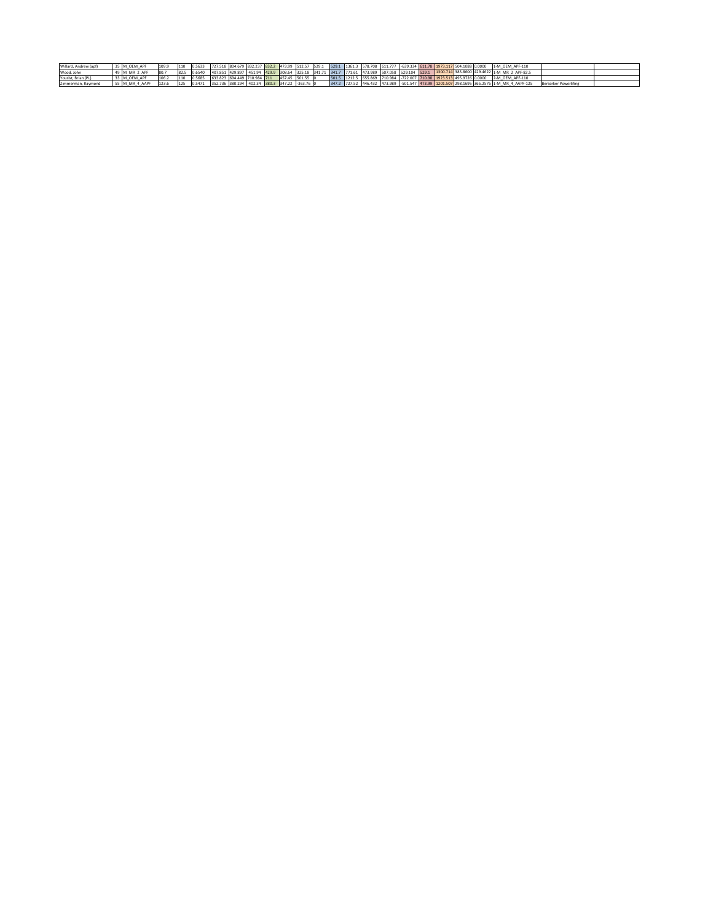| Willard, Andrew (apf) | 5 M OEM APF    | 109.9 | 1110 |        | 0.5633 727.518 804.679 832.237 832.2 473.99 512.57 529.1 529.1 1361.3 578.708 611.777 -639.334 611.78 1373.117 504.1088 0.0000 |  |                 |  |  |                                                                       |  |  |  | 1-M OEM APF-110                                                                                                                           |                       |  |
|-----------------------|----------------|-------|------|--------|--------------------------------------------------------------------------------------------------------------------------------|--|-----------------|--|--|-----------------------------------------------------------------------|--|--|--|-------------------------------------------------------------------------------------------------------------------------------------------|-----------------------|--|
| Wood, John            | 49 M MR 2 APF  | 80.7  |      | 0.6540 |                                                                                                                                |  |                 |  |  |                                                                       |  |  |  | 407.851 429.897 451.94 429.9 308.64 325.18 341.71 341.7 771.61 473.989 507.058 529.104 529.1 1300.714 385.8600 429.4622 1-M MR 2 APF-82.5 |                       |  |
| Yourist, Brian (PL)   | 33 M OEM APF   | 106.2 | 110  | 0.5685 | 633.823 694.449 710.984 711                                                                                                    |  | 457.45 501.55 0 |  |  | 501.5 1212.5 655.869 710.984 -722.007 710.98 1923.513 495.9726 0.0000 |  |  |  | 2-M OEM APF-110                                                                                                                           |                       |  |
| Zimmerman, Raymond    | 55 M MR 4 AAPF | 123.6 | 125  | 0.5471 | 352.736 380.294 -402.34 380.3 347.22 -363.76 0                                                                                 |  |                 |  |  |                                                                       |  |  |  | 347.2 727.52 446.432 473.989 -501.547 473.99 1201.507 298.1695 365.2576 1-M MR 4 AAPF-125                                                 | Berserker Powerlifing |  |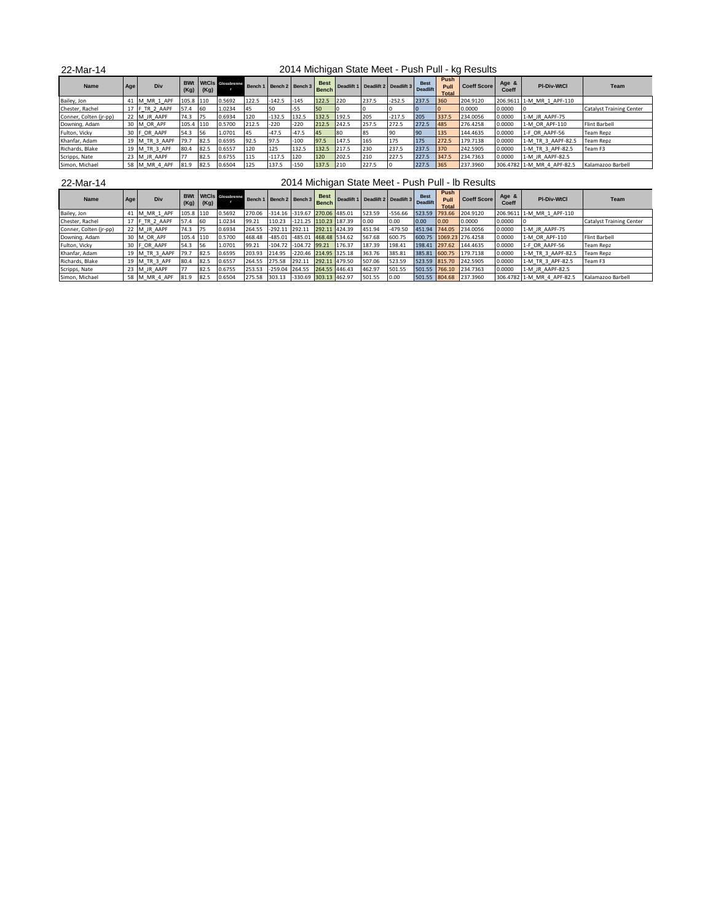| 22-Mar-14              |     |                |           |      |                              |       |                         |         |                             |       |                                           |          |       |                              | 2014 Michigan State Meet - Push Pull - kg Results |                |                            |                                |
|------------------------|-----|----------------|-----------|------|------------------------------|-------|-------------------------|---------|-----------------------------|-------|-------------------------------------------|----------|-------|------------------------------|---------------------------------------------------|----------------|----------------------------|--------------------------------|
| Name                   | Age | Div            | (Kg)      | (Kg) | <b>BWt</b> WtCls Glossbrenne |       | Bench 1 Bench 2 Bench 3 |         | <b>Best</b><br><b>Bench</b> |       | Deadlift 1 Deadlift 2 Deadlift 3 Deadlift |          |       | Push<br>Pull<br><b>Total</b> | <b>Coeff Score</b>                                | Age &<br>Coeff | <b>PI-Div-WtCl</b>         | Team                           |
| Bailey, Jon            | 41  | M MR 1 APF     | 105.8 110 |      | 0.5692                       | 122.5 | $-142.5$                | $-145$  | 122.5                       | 220   | 237.5                                     | $-252.5$ | 237.5 | 360                          | 204.9120                                          |                | 206.9611 1-M MR 1 APF-110  |                                |
| Chester, Rachel        |     | 17 F TR 2 AAPF | 57.4      | 60   | 1.0234                       | 145   | 50                      | $-55$   | 50                          |       |                                           |          |       |                              | 0.0000                                            | 0.0000         |                            | <b>Catalyst Training Cente</b> |
| Conner, Colten (jr-pp) |     | 22 M JR AAPF   | 74.3      | 175  | 0.6934                       | 120   | $-132.5$                | 132.5   | 132.5                       | 192.5 | 205                                       | $-217.5$ | 205   | 337.5                        | 234.0056                                          | 0.0000         | 1-M JR AAPF-75             |                                |
| Downing, Adam          |     | 30 M OR APF    | 105.4 110 |      | 0.5700                       | 212.5 | $-220$                  | $-220$  | 212.5                       | 242.5 | 257.5                                     | 272.5    | 272.5 | 485                          | 276.4258                                          | 0.0000         | 1-M OR APF-110             | <b>Flint Barbell</b>           |
| Fulton, Vicky          |     | 30 F OR AAPF   | 54.3      | 56   | 1.0701                       | 145   | $-47.5$                 | $-47.5$ | 45                          | 80    | 185                                       | 90       | 90    | 135                          | 144.4635                                          | 0.0000         | 1-F OR AAPF-56             | <b>Team Repz</b>               |
| Khanfar, Adam          |     | 19 M TR 3 AAPF | 79.7      | 82.5 | 0.6595                       | 92.5  | 97.5                    | $-100$  | 97.5                        | 147.5 | 165                                       | 175      | 175   | 272.5                        | 179,7138                                          | 0.0000         | 1-M TR 3 AAPF-82.5         | <b>Team Repz</b>               |
| Richards, Blake        |     | 19 M TR 3 APF  | 80.4      | 82.5 | 0.6557                       | 120   | 125                     | 132.5   | 132.5                       | 217.5 | 230                                       | 237.5    | 237.5 | 370                          | 242.5905                                          | 0.0000         | 1-M TR 3 APF-82.5          | Team F3                        |
| Scripps, Nate          |     | 23 M JR AAPF   | 77        | 82.5 | 0.6755                       | 115   | $-117.5$                | 120     | 120                         | 202.5 | 210                                       | 227.5    | 227.5 | 347.5                        | 234.7363                                          | 0.0000         | 1-M JR AAPF-82.5           |                                |
| Simon, Michael         |     | 58 M MR 4 APF  | 81.9      | 82.5 | 0.6504                       | 125   | 137.5                   | $-150$  | 137.5                       | 210   | 227.5                                     |          | 227.5 | 365                          | 237,3960                                          |                | 306.4782 1-M MR 4 APF-82.5 | Kalamazoo Barbell              |

| 2-Mar-ʻ<br><u>, </u> |  |
|----------------------|--|
|----------------------|--|

2014 Michigan State Meet - Push Pull - lb Results

| Name                   | Age | Div            | (Kg)      | (Kg) | <b>BWt</b> WtCls Glossbrenne |        | Bench 1 Bench 2 Bench 3             |                               |               |        | Best Deadlift 1 Deadlift 2 Deadlift 3 Deadlift |           |      | Push<br>Pull<br><b>Total</b> | Coeff Score             | Age &<br>Coeff | <b>PI-Div-WtCl</b>         | Team                            |
|------------------------|-----|----------------|-----------|------|------------------------------|--------|-------------------------------------|-------------------------------|---------------|--------|------------------------------------------------|-----------|------|------------------------------|-------------------------|----------------|----------------------------|---------------------------------|
| Bailey, Jon            |     | M MR 1 APF     | 105.8 110 |      | 0.5692                       | 270.06 | -314.16 -319.67 270.06 485.01       |                               |               |        | 523.59                                         | $-556.66$ |      |                              | 523.59 793.66 204.9120  |                | 206.9611 1-M MR 1 APF-110  |                                 |
| Chester, Rachel        |     | 17 F TR 2 AAPF | 57.4      | 60   | 1.0234                       | 99.21  | 110.23                              | $-121.25$ 110.23 187.39       |               |        | 0.00                                           | 0.00      | 0.00 | 0.00                         | 0.0000                  | 0.0000         |                            | <b>Catalyst Training Center</b> |
| Conner, Colten (jr-pp) |     | 22 M JR AAPF   | 74.3      | 75   | 0.6934                       | 264.55 | $-292.11$ 292.11                    |                               | 292.11 424.39 |        | 451.94                                         | $-479.50$ |      |                              | 451.94 744.05 234.0056  | 0.0000         | 1-M JR AAPF-75             |                                 |
| Downing, Adam          |     | 30 M OR APF    | 105.4 110 |      | 0.5700                       | 468.48 |                                     | -485.01 -485.01 468.48 534.62 |               |        | 567.68                                         | 600.75    |      |                              | 600.75 1069.23 276.4258 | 0.0000         | 1-M OR APF-110             | <b>Flint Barbell</b>            |
| Fulton, Vicky          |     | 30 F OR AAPF   | 54.3      | 56   | 1.0701                       | 99.21  | $-104.72$ $-104.72$ 99.21           |                               |               | 176.37 | 187.39                                         | 198.41    |      |                              | 198.41 297.62 144.4635  | 0.0000         | 1-F OR AAPF-56             | <b>Team Repz</b>                |
| Khanfar, Adam          |     | 19 M TR 3 AAPF | 79.7      | 82.5 | 0.6595                       | 203.93 | 214.95                              | -220.46 214.95 325.18         |               |        | 363.76                                         | 385.81    |      |                              | 385.81 600.75 179.7138  | 0.0000         | 1-M TR 3 AAPF-82.5         | <b>Team Repz</b>                |
| Richards, Blake        |     | 19 M TR 3 APF  | 80.4      | 82.5 | 0.6557                       | 264.55 | 275.58                              | 292.11                        | 292.11 479.50 |        | 507.06                                         | 523.59    |      |                              | 523.59 815.70 242.5905  | 0.0000         | 1-M TR 3 APF-82.5          | Team F3                         |
| Scripps, Nate          |     | 23 M JR AAPF   |           | 82.5 | 0.6755                       | 253.53 | -259.04 264.55 264.55 446.43        |                               |               |        | 462.97                                         | 501.55    |      |                              | 501.55 766.10 234.7363  | 0.0000         | 1-M JR AAPF-82.5           |                                 |
| Simon, Michael         |     | 58 M MR 4 APF  | 81.9      | 82.5 | 0.6504                       |        | 275.58 303.13 -330.69 303.13 462.97 |                               |               |        | 501.55                                         | 0.00      |      |                              | 501.55 804.68 237.3960  |                | 306.4782 1-M MR 4 APF-82.5 | Kalamazoo Barbell               |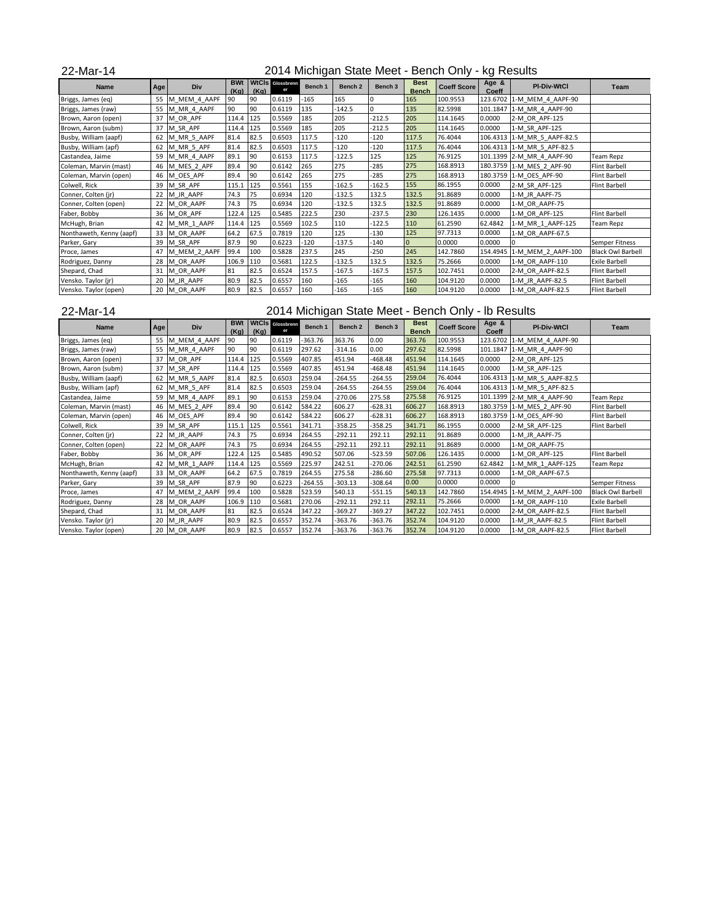| 22-Mar-14                |     |              |                    |      |                        |         |                    |                    |                             | 2014 Michigan State Meet - Bench Only - kg Results |                |                             |                          |
|--------------------------|-----|--------------|--------------------|------|------------------------|---------|--------------------|--------------------|-----------------------------|----------------------------------------------------|----------------|-----------------------------|--------------------------|
| <b>Name</b>              | Age | Div          | <b>BWt</b><br>(Kg) | (Kg) | WtCls Glossbrenn<br>er | Bench 1 | Bench <sub>2</sub> | Bench <sub>3</sub> | <b>Best</b><br><b>Bench</b> | <b>Coeff Score</b>                                 | Age &<br>Coeff | <b>PI-Div-WtCl</b>          | Team                     |
| Briggs, James (eq)       | 55  | M MEM 4 AAPF | 90                 | 90   | 0.6119                 | $-165$  | 165                | o                  | 165                         | 100.9553                                           |                | 123.6702 1-M MEM 4 AAPF-90  |                          |
| Briggs, James (raw)      | 55  | M MR 4 AAPF  | 90                 | 90   | 0.6119                 | 135     | $-142.5$           | $\Omega$           | 135                         | 82.5998                                            |                | 101.1847 1-M MR 4 AAPF-90   |                          |
| Brown, Aaron (open)      | 37  | M OR APF     | 114.4 125          |      | 0.5569                 | 185     | 205                | $-212.5$           | 205                         | 114.1645                                           | 0.0000         | 2-M OR APF-125              |                          |
| Brown, Aaron (subm)      | 37  | M SR APF     | 114.4              | 125  | 0.5569                 | 185     | 205                | $-212.5$           | 205                         | 114.1645                                           | 0.0000         | 1-M SR APF-125              |                          |
| Busby, William (aapf)    | 62  | M MR 5 AAPF  | 81.4               | 82.5 | 0.6503                 | 117.5   | $-120$             | $-120$             | 117.5                       | 76.4044                                            |                | 106.4313 1-M MR 5 AAPF-82.5 |                          |
| Busby, William (apf)     | 62  | M MR 5 APF   | 81.4               | 82.5 | 0.6503                 | 117.5   | $-120$             | $-120$             | 117.5                       | 76.4044                                            |                | 106.4313 1-M MR 5 APF-82.5  |                          |
| Castandea, Jaime         | 59  | M MR 4 AAPF  | 89.1               | 90   | 0.6153                 | 117.5   | $-122.5$           | 125                | 125                         | 76.9125                                            |                | 101.1399 2-M MR 4 AAPF-90   | <b>Team Repz</b>         |
| Coleman, Marvin (mast)   | 46  | M MES 2 APF  | 89.4               | 90   | 0.6142                 | 265     | 275                | $-285$             | 275                         | 168.8913                                           |                | 180.3759 1-M MES 2 APF-90   | <b>Flint Barbell</b>     |
| Coleman, Marvin (open)   | 46  | M OES APF    | 89.4               | 90   | 0.6142                 | 265     | 275                | $-285$             | 275                         | 168.8913                                           |                | 180.3759 1-M OES APF-90     | <b>Flint Barbell</b>     |
| Colwell, Rick            |     | 39 M SR APF  | 115.1 125          |      | 0.5561                 | 155     | $-162.5$           | $-162.5$           | 155                         | 86.1955                                            | 0.0000         | 2-M SR APF-125              | <b>Flint Barbell</b>     |
| Conner, Colten (ir)      |     | 22 M JR AAPF | 74.3               | 75   | 0.6934                 | 120     | $-132.5$           | 132.5              | 132.5                       | 91.8689                                            | 0.0000         | 1-M JR AAPF-75              |                          |
| Conner, Colten (open)    |     | 22 M OR AAPF | 74.3               | 75   | 0.6934                 | 120     | $-132.5$           | 132.5              | 132.5                       | 91.8689                                            | 0.0000         | 1-M OR AAPF-75              |                          |
| Faber, Bobby             |     | 36 M OR APF  | 122.4              | 125  | 0.5485                 | 222.5   | 230                | $-237.5$           | 230                         | 126.1435                                           | 0.0000         | 1-M OR APF-125              | <b>Flint Barbell</b>     |
| McHugh, Brian            | 42  | M MR 1 AAPF  | 114.4 125          |      | 0.5569                 | 102.5   | 110                | $-122.5$           | 110                         | 61.2590                                            | 62.4842        | 1-M MR 1 AAPF-125           | <b>Team Repz</b>         |
| Nonthaweth, Kenny (aapf) | 33  | M OR AAPF    | 64.2               | 67.5 | 0.7819                 | 120     | 125                | -130               | 125                         | 97.7313                                            | 0.0000         | 1-M OR AAPF-67.5            |                          |
| Parker, Gary             | 39  | M SR APF     | 87.9               | 90   | 0.6223                 | $-120$  | $-137.5$           | $-140$             | $\overline{0}$              | 0.0000                                             | 0.0000         | $\mathbf 0$                 | Semper Fitness           |
| Proce, James             | 47  | M MEM 2 AAPF | 99.4               | 100  | 0.5828                 | 237.5   | 245                | $-250$             | 245                         | 142.7860                                           | 154.4945       | 1-M MEM 2 AAPF-100          | <b>Black Owl Barbell</b> |
| Rodriguez, Danny         | 28  | M OR AAPF    | 106.9              | 110  | 0.5681                 | 122.5   | $-132.5$           | 132.5              | 132.5                       | 75.2666                                            | 0.0000         | 1-M OR AAPF-110             | <b>Exile Barbell</b>     |
| Shepard, Chad            |     | 31 M OR AAPF | 81                 | 82.5 | 0.6524                 | 157.5   | $-167.5$           | $-167.5$           | 157.5                       | 102.7451                                           | 0.0000         | 2-M OR AAPF-82.5            | <b>Flint Barbell</b>     |
| Vensko. Taylor (jr)      | 20  | M JR AAPF    | 80.9               | 82.5 | 0.6557                 | 160     | -165               | -165               | 160                         | 104.9120                                           | 0.0000         | 1-M JR AAPF-82.5            | <b>Flint Barbell</b>     |
| Vensko. Taylor (open)    |     | 20 M OR AAPF | 80.9               | 82.5 | 0.6557                 | 160     | $-165$             | $-165$             | 160                         | 104.9120                                           | 0.0000         | 1-M OR AAPF-82.5            | <b>Flint Barbell</b>     |

## Vensko. Taylor (open) 22-Mar-14

2014 Michigan State Meet - Bench Only - lb Results

| Name                     | Age | Div          | <b>BWt</b><br>(Ka) | (Ka) | <b>WtCls</b> Glossbrenn<br>er | Bench 1   | Bench <sub>2</sub> | Bench 3   | <b>Best</b><br><b>Bench</b> | <b>Coeff Score</b> | Age &<br>Coeff | <b>PI-Div-WtCl</b>          | Team                     |
|--------------------------|-----|--------------|--------------------|------|-------------------------------|-----------|--------------------|-----------|-----------------------------|--------------------|----------------|-----------------------------|--------------------------|
| Briggs, James (eq)       | 55  | M MEM 4 AAPF | 90                 | 90   | 0.6119                        | $-363.76$ | 363.76             | 0.00      | 363.76                      | 100.9553           |                | 123.6702 1-M MEM 4 AAPF-90  |                          |
| Briggs, James (raw)      | 55  | M MR 4 AAPF  | 90                 | 90   | 0.6119                        | 297.62    | $-314.16$          | 0.00      | 297.62                      | 82.5998            |                | 101.1847 1-M MR 4 AAPF-90   |                          |
| Brown, Aaron (open)      | 37  | M OR APF     | 114.4              | 125  | 0.5569                        | 407.85    | 451.94             | -468.48   | 451.94                      | 114.1645           | 0.0000         | 2-M OR APF-125              |                          |
| Brown, Aaron (subm)      | 37  | M SR APF     | 114.4              | 125  | 0.5569                        | 407.85    | 451.94             | $-468.48$ | 451.94                      | 114.1645           | 0.0000         | 1-M SR APF-125              |                          |
| Busby, William (aapf)    | 62  | M MR 5 AAPF  | 81.4               | 82.5 | 0.6503                        | 259.04    | $-264.55$          | $-264.55$ | 259.04                      | 76.4044            |                | 106.4313 1-M MR 5 AAPF-82.5 |                          |
| Busby, William (apf)     | 62  | M MR 5 APF   | 81.4               | 82.5 | 0.6503                        | 259.04    | $-264.55$          | $-264.55$ | 259.04                      | 76.4044            |                | 106.4313 1-M MR 5 APF-82.5  |                          |
| Castandea, Jaime         | 59  | M MR 4 AAPF  | 89.1               | 90   | 0.6153                        | 259.04    | $-270.06$          | 275.58    | 275.58                      | 76.9125            |                | 101.1399 2-M MR 4 AAPF-90   | Team Repz                |
| Coleman, Marvin (mast)   | 46  | M MES 2 APF  | 89.4               | 90   | 0.6142                        | 584.22    | 606.27             | $-628.31$ | 606.27                      | 168.8913           |                | 180.3759 1-M MES 2 APF-90   | <b>Flint Barbell</b>     |
| Coleman, Marvin (open)   | 46  | M OES APF    | 89.4               | 90   | 0.6142                        | 584.22    | 606.27             | $-628.31$ | 606.27                      | 168.8913           |                | 180.3759 1-M OES APF-90     | Flint Barbell            |
| Colwell, Rick            | 39  | M SR APF     | 115.1 125          |      | 0.5561                        | 341.71    | $-358.25$          | $-358.25$ | 341.71                      | 86.1955            | 0.0000         | 2-M SR APF-125              | <b>Flint Barbell</b>     |
| Conner, Colten (jr)      | 22  | M JR AAPF    | 74.3               | 75   | 0.6934                        | 264.55    | $-292.11$          | 292.11    | 292.11                      | 91.8689            | 0.0000         | 1-M JR AAPF-75              |                          |
| Conner, Colten (open)    | 22  | M OR AAPF    | 74.3               | 75   | 0.6934                        | 264.55    | $-292.11$          | 292.11    | 292.11                      | 91.8689            | 0.0000         | 1-M OR AAPF-75              |                          |
| Faber, Bobby             | 36  | M OR APF     | 122.4              | 125  | 0.5485                        | 490.52    | 507.06             | $-523.59$ | 507.06                      | 126.1435           | 0.0000         | 1-M OR APF-125              | Flint Barbell            |
| McHugh, Brian            | 42  | M MR 1 AAPF  | 114.4              | 125  | 0.5569                        | 225.97    | 242.51             | $-270.06$ | 242.51                      | 61.2590            | 62.4842        | 1-M MR 1 AAPF-125           | Team Repz                |
| Nonthaweth, Kenny (aapf) | 33  | M OR AAPF    | 64.2               | 67.5 | 0.7819                        | 264.55    | 275.58             | $-286.60$ | 275.58                      | 97.7313            | 0.0000         | 1-M OR AAPF-67.5            |                          |
| Parker, Gary             | 39  | M SR APF     | 87.9               | 90   | 0.6223                        | $-264.55$ | $-303.13$          | $-308.64$ | 0.00                        | 0.0000             | 0.0000         | $\Omega$                    | Semper Fitness           |
| Proce, James             | 47  | M MEM 2 AAPF | 99.4               | 100  | 0.5828                        | 523.59    | 540.13             | $-551.15$ | 540.13                      | 142.7860           |                | 154.4945 1-M MEM 2 AAPF-100 | <b>Black Owl Barbell</b> |
| Rodriguez, Danny         | 28  | M OR AAPF    | 106.9 110          |      | 0.5681                        | 270.06    | $-292.11$          | 292.11    | 292.11                      | 75.2666            | 0.0000         | 1-M OR AAPF-110             | <b>Exile Barbell</b>     |
| Shepard, Chad            | 31  | M OR AAPF    | 81                 | 82.5 | 0.6524                        | 347.22    | $-369.27$          | $-369.27$ | 347.22                      | 102.7451           | 0.0000         | 2-M OR AAPF-82.5            | <b>Flint Barbell</b>     |
| Vensko. Taylor (jr)      | 20  | M JR AAPF    | 80.9               | 82.5 | 0.6557                        | 352.74    | $-363.76$          | $-363.76$ | 352.74                      | 104.9120           | 0.0000         | 1-M JR AAPF-82.5            | Flint Barbell            |
| Vensko. Taylor (open)    | 20  | M OR AAPF    | 80.9               | 82.5 | 0.6557                        | 352.74    | $-363.76$          | -363.76   | 352.74                      | 104.9120           | 0.0000         | 1-M OR AAPF-82.5            | <b>Flint Barbell</b>     |